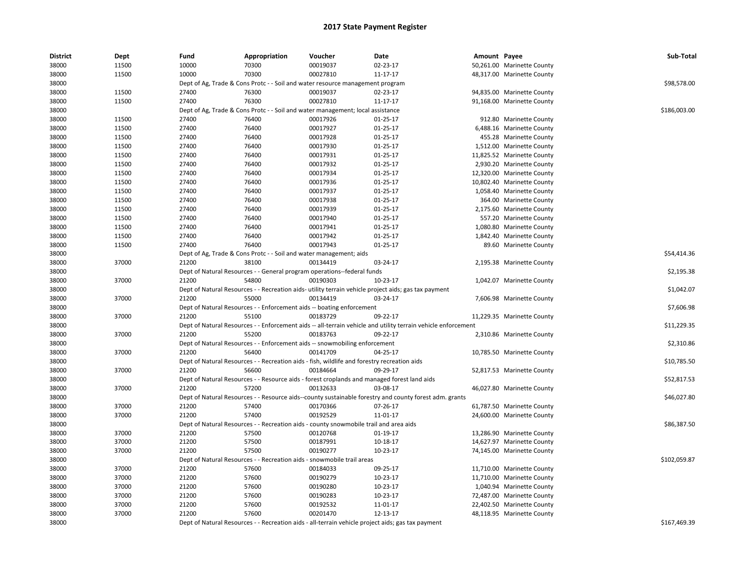| <b>District</b> | Dept  | Fund  | Appropriation                                                                               | Voucher  | Date                                                                                                          | Amount Payee |                            | Sub-Total    |
|-----------------|-------|-------|---------------------------------------------------------------------------------------------|----------|---------------------------------------------------------------------------------------------------------------|--------------|----------------------------|--------------|
| 38000           | 11500 | 10000 | 70300                                                                                       | 00019037 | 02-23-17                                                                                                      |              | 50,261.00 Marinette County |              |
| 38000           | 11500 | 10000 | 70300                                                                                       | 00027810 | 11-17-17                                                                                                      |              | 48,317.00 Marinette County |              |
| 38000           |       |       | Dept of Ag, Trade & Cons Protc - - Soil and water resource management program               |          |                                                                                                               |              |                            | \$98,578.00  |
| 38000           | 11500 | 27400 | 76300                                                                                       | 00019037 | 02-23-17                                                                                                      |              | 94,835.00 Marinette County |              |
| 38000           | 11500 | 27400 | 76300                                                                                       | 00027810 | 11-17-17                                                                                                      |              | 91,168.00 Marinette County |              |
| 38000           |       |       | Dept of Ag, Trade & Cons Protc - - Soil and water management; local assistance              |          |                                                                                                               |              |                            | \$186,003.00 |
| 38000           | 11500 | 27400 | 76400                                                                                       | 00017926 | $01-25-17$                                                                                                    |              | 912.80 Marinette County    |              |
| 38000           | 11500 | 27400 | 76400                                                                                       | 00017927 | $01 - 25 - 17$                                                                                                |              | 6,488.16 Marinette County  |              |
| 38000           | 11500 | 27400 | 76400                                                                                       | 00017928 | 01-25-17                                                                                                      |              | 455.28 Marinette County    |              |
| 38000           | 11500 | 27400 | 76400                                                                                       | 00017930 | 01-25-17                                                                                                      |              | 1,512.00 Marinette County  |              |
| 38000           | 11500 | 27400 | 76400                                                                                       | 00017931 | $01-25-17$                                                                                                    |              | 11,825.52 Marinette County |              |
| 38000           | 11500 | 27400 | 76400                                                                                       | 00017932 | $01-25-17$                                                                                                    |              | 2,930.20 Marinette County  |              |
| 38000           | 11500 | 27400 | 76400                                                                                       | 00017934 | $01 - 25 - 17$                                                                                                |              | 12,320.00 Marinette County |              |
| 38000           | 11500 | 27400 | 76400                                                                                       | 00017936 | $01 - 25 - 17$                                                                                                |              | 10,802.40 Marinette County |              |
| 38000           | 11500 | 27400 | 76400                                                                                       | 00017937 | 01-25-17                                                                                                      |              | 1,058.40 Marinette County  |              |
| 38000           | 11500 | 27400 | 76400                                                                                       | 00017938 | $01 - 25 - 17$                                                                                                |              | 364.00 Marinette County    |              |
| 38000           | 11500 | 27400 | 76400                                                                                       | 00017939 | 01-25-17                                                                                                      |              | 2,175.60 Marinette County  |              |
| 38000           | 11500 | 27400 | 76400                                                                                       | 00017940 | $01-25-17$                                                                                                    |              | 557.20 Marinette County    |              |
| 38000           | 11500 | 27400 | 76400                                                                                       | 00017941 | $01 - 25 - 17$                                                                                                |              | 1,080.80 Marinette County  |              |
| 38000           | 11500 | 27400 | 76400                                                                                       | 00017942 | $01 - 25 - 17$                                                                                                |              | 1,842.40 Marinette County  |              |
| 38000           | 11500 | 27400 | 76400                                                                                       | 00017943 | $01 - 25 - 17$                                                                                                |              | 89.60 Marinette County     |              |
| 38000           |       |       | Dept of Ag, Trade & Cons Protc - - Soil and water management; aids                          |          |                                                                                                               |              |                            | \$54,414.36  |
| 38000           | 37000 | 21200 | 38100                                                                                       | 00134419 | 03-24-17                                                                                                      |              | 2,195.38 Marinette County  |              |
| 38000           |       |       | Dept of Natural Resources - - General program operations--federal funds                     |          |                                                                                                               |              |                            | \$2,195.38   |
| 38000           | 37000 | 21200 | 54800                                                                                       | 00190303 | 10-23-17                                                                                                      |              | 1,042.07 Marinette County  |              |
| 38000           |       |       |                                                                                             |          | Dept of Natural Resources - - Recreation aids- utility terrain vehicle project aids; gas tax payment          |              |                            | \$1,042.07   |
| 38000           | 37000 | 21200 | 55000                                                                                       | 00134419 | 03-24-17                                                                                                      |              | 7,606.98 Marinette County  |              |
| 38000           |       |       | Dept of Natural Resources - - Enforcement aids -- boating enforcement                       |          |                                                                                                               |              |                            | \$7,606.98   |
| 38000           | 37000 | 21200 | 55100                                                                                       | 00183729 | 09-22-17                                                                                                      |              | 11,229.35 Marinette County |              |
| 38000           |       |       |                                                                                             |          | Dept of Natural Resources - - Enforcement aids -- all-terrain vehicle and utility terrain vehicle enforcement |              |                            | \$11,229.35  |
| 38000           | 37000 | 21200 | 55200                                                                                       | 00183763 | 09-22-17                                                                                                      |              | 2,310.86 Marinette County  |              |
| 38000           |       |       | Dept of Natural Resources - - Enforcement aids -- snowmobiling enforcement                  |          |                                                                                                               |              |                            | \$2,310.86   |
| 38000           | 37000 | 21200 | 56400                                                                                       | 00141709 | 04-25-17                                                                                                      |              | 10,785.50 Marinette County |              |
| 38000           |       |       | Dept of Natural Resources - - Recreation aids - fish, wildlife and forestry recreation aids |          |                                                                                                               |              |                            | \$10,785.50  |
| 38000           | 37000 | 21200 | 56600                                                                                       | 00184664 | 09-29-17                                                                                                      |              | 52,817.53 Marinette County |              |
| 38000           |       |       |                                                                                             |          | Dept of Natural Resources - - Resource aids - forest croplands and managed forest land aids                   |              |                            | \$52,817.53  |
| 38000           | 37000 | 21200 | 57200                                                                                       | 00132633 | 03-08-17                                                                                                      |              | 46,027.80 Marinette County |              |
| 38000           |       |       |                                                                                             |          | Dept of Natural Resources - - Resource aids--county sustainable forestry and county forest adm. grants        |              |                            | \$46,027.80  |
| 38000           | 37000 | 21200 | 57400                                                                                       | 00170366 | 07-26-17                                                                                                      |              | 61,787.50 Marinette County |              |
| 38000           | 37000 | 21200 | 57400                                                                                       | 00192529 | 11-01-17                                                                                                      |              | 24,600.00 Marinette County |              |
| 38000           |       |       | Dept of Natural Resources - - Recreation aids - county snowmobile trail and area aids       |          |                                                                                                               |              |                            | \$86,387.50  |
| 38000           | 37000 | 21200 | 57500                                                                                       | 00120768 | 01-19-17                                                                                                      |              | 13,286.90 Marinette County |              |
| 38000           | 37000 | 21200 | 57500                                                                                       | 00187991 | 10-18-17                                                                                                      |              | 14,627.97 Marinette County |              |
| 38000           | 37000 | 21200 | 57500                                                                                       | 00190277 | 10-23-17                                                                                                      |              | 74,145.00 Marinette County |              |
| 38000           |       |       | Dept of Natural Resources - - Recreation aids - snowmobile trail areas                      |          |                                                                                                               |              |                            | \$102,059.87 |
| 38000           | 37000 | 21200 | 57600                                                                                       | 00184033 | 09-25-17                                                                                                      |              | 11,710.00 Marinette County |              |
| 38000           | 37000 | 21200 | 57600                                                                                       | 00190279 | 10-23-17                                                                                                      |              | 11,710.00 Marinette County |              |
| 38000           | 37000 | 21200 | 57600                                                                                       | 00190280 | 10-23-17                                                                                                      |              | 1,040.94 Marinette County  |              |
| 38000           | 37000 | 21200 | 57600                                                                                       | 00190283 | 10-23-17                                                                                                      |              | 72,487.00 Marinette County |              |
| 38000           | 37000 | 21200 | 57600                                                                                       | 00192532 | 11-01-17                                                                                                      |              | 22,402.50 Marinette County |              |
| 38000           | 37000 | 21200 | 57600                                                                                       | 00201470 | 12-13-17                                                                                                      |              | 48,118.95 Marinette County |              |
| 38000           |       |       |                                                                                             |          | Dept of Natural Resources - - Recreation aids - all-terrain vehicle project aids; gas tax payment             |              |                            | \$167,469.39 |
|                 |       |       |                                                                                             |          |                                                                                                               |              |                            |              |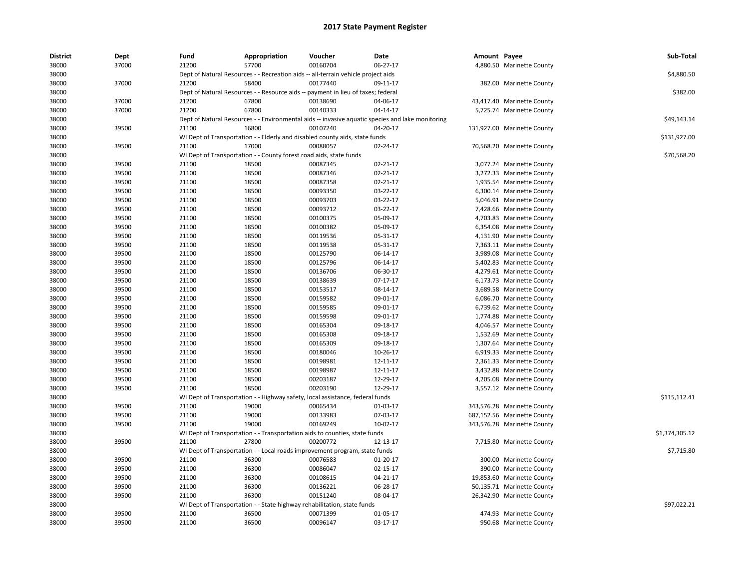| <b>District</b> | Dept  | Fund  | Appropriation                                                                     | Voucher  | Date                                                                                             | Amount Payee |                             | Sub-Total      |
|-----------------|-------|-------|-----------------------------------------------------------------------------------|----------|--------------------------------------------------------------------------------------------------|--------------|-----------------------------|----------------|
| 38000           | 37000 | 21200 | 57700                                                                             | 00160704 | 06-27-17                                                                                         |              | 4,880.50 Marinette County   |                |
| 38000           |       |       | Dept of Natural Resources - - Recreation aids -- all-terrain vehicle project aids |          |                                                                                                  |              |                             | \$4,880.50     |
| 38000           | 37000 | 21200 | 58400                                                                             | 00177440 | 09-11-17                                                                                         |              | 382.00 Marinette County     |                |
| 38000           |       |       | Dept of Natural Resources - - Resource aids -- payment in lieu of taxes; federal  |          |                                                                                                  |              |                             | \$382.00       |
| 38000           | 37000 | 21200 | 67800                                                                             | 00138690 | 04-06-17                                                                                         |              | 43,417.40 Marinette County  |                |
| 38000           | 37000 | 21200 | 67800                                                                             | 00140333 | 04-14-17                                                                                         |              | 5,725.74 Marinette County   |                |
| 38000           |       |       |                                                                                   |          | Dept of Natural Resources - - Environmental aids -- invasive aquatic species and lake monitoring |              |                             | \$49,143.14    |
| 38000           | 39500 | 21100 | 16800                                                                             | 00107240 | 04-20-17                                                                                         |              | 131,927.00 Marinette County |                |
| 38000           |       |       | WI Dept of Transportation - - Elderly and disabled county aids, state funds       |          |                                                                                                  |              |                             | \$131,927.00   |
| 38000           | 39500 | 21100 | 17000                                                                             | 00088057 | 02-24-17                                                                                         |              | 70,568.20 Marinette County  |                |
| 38000           |       |       | WI Dept of Transportation - - County forest road aids, state funds                |          |                                                                                                  |              |                             | \$70,568.20    |
| 38000           | 39500 | 21100 | 18500                                                                             | 00087345 | 02-21-17                                                                                         |              | 3,077.24 Marinette County   |                |
| 38000           | 39500 | 21100 | 18500                                                                             | 00087346 | 02-21-17                                                                                         |              | 3,272.33 Marinette County   |                |
| 38000           | 39500 | 21100 | 18500                                                                             | 00087358 | $02 - 21 - 17$                                                                                   |              | 1,935.54 Marinette County   |                |
| 38000           | 39500 | 21100 | 18500                                                                             | 00093350 | 03-22-17                                                                                         |              | 6,300.14 Marinette County   |                |
| 38000           | 39500 | 21100 | 18500                                                                             | 00093703 | 03-22-17                                                                                         |              | 5,046.91 Marinette County   |                |
| 38000           | 39500 | 21100 | 18500                                                                             | 00093712 | 03-22-17                                                                                         |              | 7,428.66 Marinette County   |                |
| 38000           | 39500 | 21100 | 18500                                                                             | 00100375 | 05-09-17                                                                                         |              | 4,703.83 Marinette County   |                |
| 38000           | 39500 | 21100 | 18500                                                                             | 00100382 | 05-09-17                                                                                         |              | 6,354.08 Marinette County   |                |
| 38000           | 39500 | 21100 | 18500                                                                             | 00119536 | 05-31-17                                                                                         |              | 4,131.90 Marinette County   |                |
| 38000           | 39500 | 21100 | 18500                                                                             | 00119538 | 05-31-17                                                                                         |              | 7,363.11 Marinette County   |                |
| 38000           | 39500 | 21100 | 18500                                                                             | 00125790 | 06-14-17                                                                                         |              | 3,989.08 Marinette County   |                |
| 38000           | 39500 | 21100 | 18500                                                                             | 00125796 | 06-14-17                                                                                         |              | 5,402.83 Marinette County   |                |
| 38000           | 39500 | 21100 | 18500                                                                             | 00136706 | 06-30-17                                                                                         |              | 4,279.61 Marinette County   |                |
| 38000           | 39500 | 21100 | 18500                                                                             | 00138639 | $07-17-17$                                                                                       |              | 6,173.73 Marinette County   |                |
| 38000           | 39500 | 21100 | 18500                                                                             | 00153517 | 08-14-17                                                                                         |              | 3,689.58 Marinette County   |                |
| 38000           | 39500 | 21100 | 18500                                                                             | 00159582 | 09-01-17                                                                                         |              | 6,086.70 Marinette County   |                |
| 38000           | 39500 | 21100 | 18500                                                                             | 00159585 | 09-01-17                                                                                         |              | 6,739.62 Marinette County   |                |
| 38000           | 39500 | 21100 | 18500                                                                             | 00159598 | 09-01-17                                                                                         |              | 1,774.88 Marinette County   |                |
| 38000           | 39500 | 21100 | 18500                                                                             | 00165304 | 09-18-17                                                                                         |              | 4,046.57 Marinette County   |                |
| 38000           | 39500 | 21100 | 18500                                                                             | 00165308 | 09-18-17                                                                                         |              | 1,532.69 Marinette County   |                |
| 38000           | 39500 | 21100 | 18500                                                                             | 00165309 | 09-18-17                                                                                         |              | 1,307.64 Marinette County   |                |
| 38000           | 39500 | 21100 | 18500                                                                             | 00180046 | 10-26-17                                                                                         |              | 6,919.33 Marinette County   |                |
| 38000           | 39500 | 21100 | 18500                                                                             | 00198981 | 12-11-17                                                                                         |              | 2,361.33 Marinette County   |                |
| 38000           | 39500 | 21100 | 18500                                                                             | 00198987 | 12-11-17                                                                                         |              | 3,432.88 Marinette County   |                |
| 38000           | 39500 | 21100 | 18500                                                                             | 00203187 | 12-29-17                                                                                         |              | 4,205.08 Marinette County   |                |
| 38000           | 39500 | 21100 | 18500                                                                             | 00203190 | 12-29-17                                                                                         |              | 3,557.12 Marinette County   |                |
| 38000           |       |       | WI Dept of Transportation - - Highway safety, local assistance, federal funds     |          |                                                                                                  |              |                             | \$115,112.41   |
| 38000           | 39500 | 21100 | 19000                                                                             | 00065434 | 01-03-17                                                                                         |              | 343,576.28 Marinette County |                |
| 38000           | 39500 | 21100 | 19000                                                                             | 00133983 | 07-03-17                                                                                         |              | 687,152.56 Marinette County |                |
| 38000           | 39500 | 21100 | 19000                                                                             | 00169249 | 10-02-17                                                                                         |              | 343,576.28 Marinette County |                |
| 38000           |       |       | WI Dept of Transportation - - Transportation aids to counties, state funds        |          |                                                                                                  |              |                             | \$1,374,305.12 |
| 38000           | 39500 | 21100 | 27800                                                                             | 00200772 | 12-13-17                                                                                         |              | 7,715.80 Marinette County   |                |
| 38000           |       |       | WI Dept of Transportation - - Local roads improvement program, state funds        |          |                                                                                                  |              |                             | \$7,715.80     |
| 38000           | 39500 | 21100 | 36300                                                                             | 00076583 | 01-20-17                                                                                         |              | 300.00 Marinette County     |                |
| 38000           | 39500 | 21100 | 36300                                                                             | 00086047 | 02-15-17                                                                                         |              | 390.00 Marinette County     |                |
| 38000           | 39500 | 21100 | 36300                                                                             | 00108615 | 04-21-17                                                                                         |              | 19,853.60 Marinette County  |                |
| 38000           | 39500 | 21100 | 36300                                                                             | 00136221 | 06-28-17                                                                                         |              | 50,135.71 Marinette County  |                |
| 38000           | 39500 | 21100 | 36300                                                                             | 00151240 | 08-04-17                                                                                         |              | 26,342.90 Marinette County  |                |
| 38000           |       |       | WI Dept of Transportation - - State highway rehabilitation, state funds           |          |                                                                                                  |              |                             | \$97,022.21    |
| 38000           | 39500 | 21100 | 36500                                                                             | 00071399 | 01-05-17                                                                                         |              | 474.93 Marinette County     |                |
| 38000           | 39500 | 21100 | 36500                                                                             | 00096147 | 03-17-17                                                                                         |              | 950.68 Marinette County     |                |
|                 |       |       |                                                                                   |          |                                                                                                  |              |                             |                |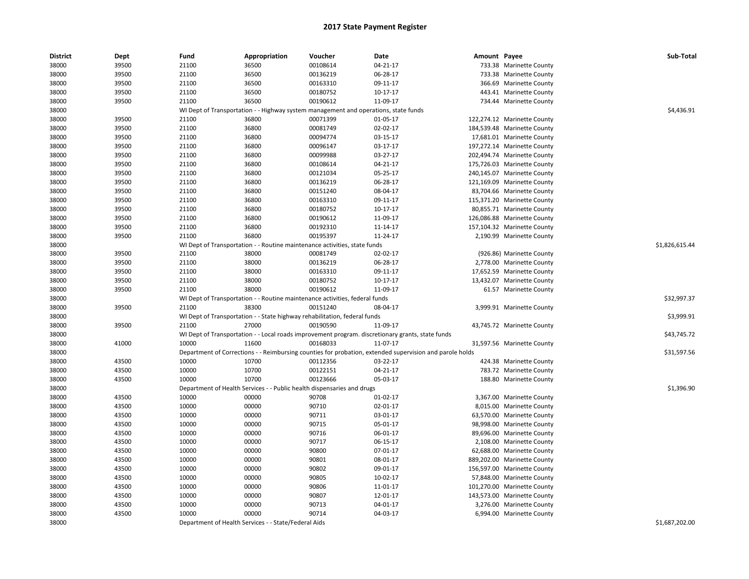| <b>District</b> | Dept  | Fund  | Appropriation                                        | Voucher                                                                             | Date                                                                                                    | Amount Payee |                             | Sub-Total      |
|-----------------|-------|-------|------------------------------------------------------|-------------------------------------------------------------------------------------|---------------------------------------------------------------------------------------------------------|--------------|-----------------------------|----------------|
| 38000           | 39500 | 21100 | 36500                                                | 00108614                                                                            | 04-21-17                                                                                                |              | 733.38 Marinette County     |                |
| 38000           | 39500 | 21100 | 36500                                                | 00136219                                                                            | 06-28-17                                                                                                |              | 733.38 Marinette County     |                |
| 38000           | 39500 | 21100 | 36500                                                | 00163310                                                                            | 09-11-17                                                                                                |              | 366.69 Marinette County     |                |
| 38000           | 39500 | 21100 | 36500                                                | 00180752                                                                            | 10-17-17                                                                                                |              | 443.41 Marinette County     |                |
| 38000           | 39500 | 21100 | 36500                                                | 00190612                                                                            | 11-09-17                                                                                                |              | 734.44 Marinette County     |                |
| 38000           |       |       |                                                      | WI Dept of Transportation - - Highway system management and operations, state funds |                                                                                                         |              |                             | \$4,436.91     |
| 38000           | 39500 | 21100 | 36800                                                | 00071399                                                                            | 01-05-17                                                                                                |              | 122,274.12 Marinette County |                |
| 38000           | 39500 | 21100 | 36800                                                | 00081749                                                                            | 02-02-17                                                                                                |              | 184,539.48 Marinette County |                |
| 38000           | 39500 | 21100 | 36800                                                | 00094774                                                                            | 03-15-17                                                                                                |              | 17,681.01 Marinette County  |                |
| 38000           | 39500 | 21100 | 36800                                                | 00096147                                                                            | 03-17-17                                                                                                |              | 197,272.14 Marinette County |                |
| 38000           | 39500 | 21100 | 36800                                                | 00099988                                                                            | 03-27-17                                                                                                |              | 202,494.74 Marinette County |                |
| 38000           | 39500 | 21100 | 36800                                                | 00108614                                                                            | 04-21-17                                                                                                |              | 175,726.03 Marinette County |                |
| 38000           | 39500 | 21100 | 36800                                                | 00121034                                                                            | 05-25-17                                                                                                |              | 240,145.07 Marinette County |                |
| 38000           | 39500 | 21100 | 36800                                                | 00136219                                                                            | 06-28-17                                                                                                |              | 121,169.09 Marinette County |                |
| 38000           | 39500 | 21100 | 36800                                                | 00151240                                                                            | 08-04-17                                                                                                |              | 83,704.66 Marinette County  |                |
| 38000           | 39500 | 21100 | 36800                                                | 00163310                                                                            | 09-11-17                                                                                                |              | 115,371.20 Marinette County |                |
| 38000           | 39500 | 21100 | 36800                                                | 00180752                                                                            | 10-17-17                                                                                                |              | 80,855.71 Marinette County  |                |
| 38000           | 39500 | 21100 | 36800                                                | 00190612                                                                            | 11-09-17                                                                                                |              | 126,086.88 Marinette County |                |
| 38000           | 39500 | 21100 | 36800                                                | 00192310                                                                            | 11-14-17                                                                                                |              | 157,104.32 Marinette County |                |
| 38000           | 39500 | 21100 | 36800                                                | 00195397                                                                            | 11-24-17                                                                                                |              | 2,190.99 Marinette County   |                |
| 38000           |       |       |                                                      | WI Dept of Transportation - - Routine maintenance activities, state funds           |                                                                                                         |              |                             | \$1,826,615.44 |
| 38000           | 39500 | 21100 | 38000                                                | 00081749                                                                            | 02-02-17                                                                                                |              | (926.86) Marinette County   |                |
| 38000           | 39500 | 21100 | 38000                                                | 00136219                                                                            | 06-28-17                                                                                                |              | 2,778.00 Marinette County   |                |
| 38000           | 39500 | 21100 | 38000                                                | 00163310                                                                            | 09-11-17                                                                                                |              | 17,652.59 Marinette County  |                |
| 38000           | 39500 | 21100 | 38000                                                | 00180752                                                                            | 10-17-17                                                                                                |              | 13,432.07 Marinette County  |                |
| 38000           | 39500 | 21100 | 38000                                                | 00190612                                                                            | 11-09-17                                                                                                |              | 61.57 Marinette County      |                |
| 38000           |       |       |                                                      | WI Dept of Transportation - - Routine maintenance activities, federal funds         |                                                                                                         |              |                             | \$32,997.37    |
| 38000           | 39500 | 21100 | 38300                                                | 00151240                                                                            | 08-04-17                                                                                                |              | 3,999.91 Marinette County   |                |
| 38000           |       |       |                                                      | WI Dept of Transportation - - State highway rehabilitation, federal funds           |                                                                                                         |              |                             | \$3,999.91     |
| 38000           | 39500 | 21100 | 27000                                                | 00190590                                                                            | 11-09-17                                                                                                |              | 43,745.72 Marinette County  |                |
| 38000           |       |       |                                                      |                                                                                     | WI Dept of Transportation - - Local roads improvement program. discretionary grants, state funds        |              |                             | \$43,745.72    |
| 38000           | 41000 | 10000 | 11600                                                | 00168033                                                                            | 11-07-17                                                                                                |              | 31,597.56 Marinette County  |                |
| 38000           |       |       |                                                      |                                                                                     | Department of Corrections - - Reimbursing counties for probation, extended supervision and parole holds |              |                             | \$31,597.56    |
| 38000           | 43500 | 10000 | 10700                                                | 00112356                                                                            | 03-22-17                                                                                                |              | 424.38 Marinette County     |                |
| 38000           | 43500 | 10000 | 10700                                                | 00122151                                                                            | 04-21-17                                                                                                |              | 783.72 Marinette County     |                |
| 38000           | 43500 | 10000 | 10700                                                | 00123666                                                                            | 05-03-17                                                                                                |              | 188.80 Marinette County     |                |
| 38000           |       |       |                                                      | Department of Health Services - - Public health dispensaries and drugs              |                                                                                                         |              |                             | \$1,396.90     |
| 38000           | 43500 | 10000 | 00000                                                | 90708                                                                               | 01-02-17                                                                                                |              | 3,367.00 Marinette County   |                |
| 38000           | 43500 | 10000 | 00000                                                | 90710                                                                               | 02-01-17                                                                                                |              | 8,015.00 Marinette County   |                |
| 38000           | 43500 | 10000 | 00000                                                | 90711                                                                               | 03-01-17                                                                                                |              | 63,570.00 Marinette County  |                |
| 38000           | 43500 | 10000 | 00000                                                | 90715                                                                               | 05-01-17                                                                                                |              | 98,998.00 Marinette County  |                |
| 38000           | 43500 | 10000 | 00000                                                | 90716                                                                               | 06-01-17                                                                                                |              | 89,696.00 Marinette County  |                |
| 38000           | 43500 | 10000 | 00000                                                | 90717                                                                               | 06-15-17                                                                                                |              | 2,108.00 Marinette County   |                |
| 38000           | 43500 | 10000 | 00000                                                | 90800                                                                               | 07-01-17                                                                                                |              | 62,688.00 Marinette County  |                |
| 38000           | 43500 | 10000 | 00000                                                | 90801                                                                               | 08-01-17                                                                                                |              | 889,202.00 Marinette County |                |
| 38000           | 43500 | 10000 | 00000                                                | 90802                                                                               | 09-01-17                                                                                                |              | 156,597.00 Marinette County |                |
| 38000           | 43500 | 10000 | 00000                                                | 90805                                                                               | 10-02-17                                                                                                |              | 57,848.00 Marinette County  |                |
| 38000           | 43500 | 10000 | 00000                                                | 90806                                                                               | 11-01-17                                                                                                |              | 101,270.00 Marinette County |                |
| 38000           | 43500 | 10000 | 00000                                                | 90807                                                                               | 12-01-17                                                                                                |              | 143,573.00 Marinette County |                |
| 38000           | 43500 | 10000 | 00000                                                | 90713                                                                               | 04-01-17                                                                                                |              | 3,276.00 Marinette County   |                |
| 38000           | 43500 | 10000 | 00000                                                | 90714                                                                               | 04-03-17                                                                                                |              | 6,994.00 Marinette County   |                |
| 38000           |       |       | Department of Health Services - - State/Federal Aids |                                                                                     |                                                                                                         |              |                             | \$1,687,202.00 |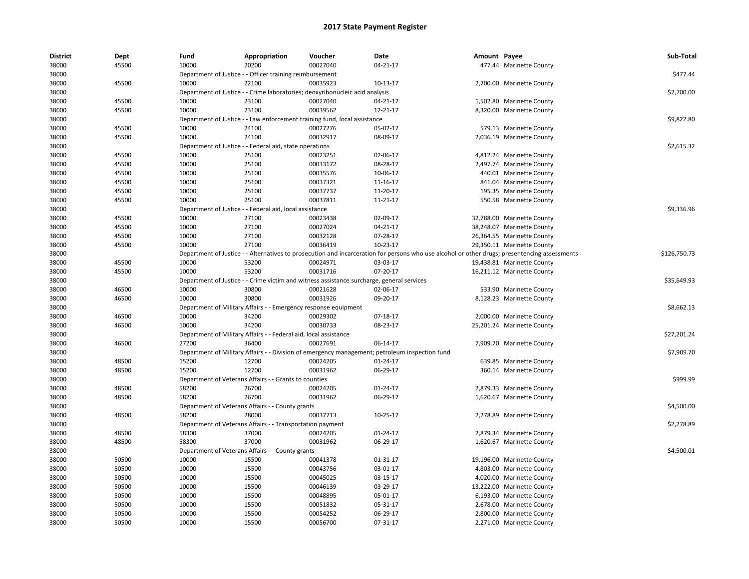| <b>District</b> | Dept  | Fund  | Appropriation                                                                             | Voucher  | Date                                                                                                                                          | Amount Payee |                            | Sub-Total    |
|-----------------|-------|-------|-------------------------------------------------------------------------------------------|----------|-----------------------------------------------------------------------------------------------------------------------------------------------|--------------|----------------------------|--------------|
| 38000           | 45500 | 10000 | 20200                                                                                     | 00027040 | $04 - 21 - 17$                                                                                                                                |              | 477.44 Marinette County    |              |
| 38000           |       |       | Department of Justice - - Officer training reimbursement                                  |          |                                                                                                                                               |              |                            | \$477.44     |
| 38000           | 45500 | 10000 | 22100                                                                                     | 00035923 | 10-13-17                                                                                                                                      |              | 2,700.00 Marinette County  |              |
| 38000           |       |       | Department of Justice - - Crime laboratories; deoxyribonucleic acid analysis              |          |                                                                                                                                               |              |                            | \$2,700.00   |
| 38000           | 45500 | 10000 | 23100                                                                                     | 00027040 | 04-21-17                                                                                                                                      |              | 1,502.80 Marinette County  |              |
| 38000           | 45500 | 10000 | 23100                                                                                     | 00039562 | 12-21-17                                                                                                                                      |              | 8,320.00 Marinette County  |              |
| 38000           |       |       | Department of Justice - - Law enforcement training fund, local assistance                 |          |                                                                                                                                               |              |                            | \$9,822.80   |
| 38000           | 45500 | 10000 | 24100                                                                                     | 00027276 | 05-02-17                                                                                                                                      |              | 579.13 Marinette County    |              |
| 38000           | 45500 | 10000 | 24100                                                                                     | 00032917 | 08-09-17                                                                                                                                      |              | 2,036.19 Marinette County  |              |
| 38000           |       |       | Department of Justice - - Federal aid, state operations                                   |          |                                                                                                                                               |              |                            | \$2,615.32   |
| 38000           | 45500 | 10000 | 25100                                                                                     | 00023251 | 02-06-17                                                                                                                                      |              | 4,812.24 Marinette County  |              |
| 38000           | 45500 | 10000 | 25100                                                                                     | 00033172 | 08-28-17                                                                                                                                      |              | 2,497.74 Marinette County  |              |
| 38000           | 45500 | 10000 | 25100                                                                                     | 00035576 | 10-06-17                                                                                                                                      |              | 440.01 Marinette County    |              |
| 38000           | 45500 | 10000 | 25100                                                                                     | 00037321 | 11-16-17                                                                                                                                      |              | 841.04 Marinette County    |              |
| 38000           | 45500 | 10000 | 25100                                                                                     | 00037737 | 11-20-17                                                                                                                                      |              | 195.35 Marinette County    |              |
| 38000           | 45500 | 10000 | 25100                                                                                     | 00037811 | 11-21-17                                                                                                                                      |              | 550.58 Marinette County    |              |
| 38000           |       |       | Department of Justice - - Federal aid, local assistance                                   |          |                                                                                                                                               |              |                            | \$9,336.96   |
| 38000           | 45500 | 10000 | 27100                                                                                     | 00023438 | 02-09-17                                                                                                                                      |              | 32,788.00 Marinette County |              |
| 38000           | 45500 | 10000 | 27100                                                                                     | 00027024 | 04-21-17                                                                                                                                      |              | 38,248.07 Marinette County |              |
| 38000           | 45500 | 10000 | 27100                                                                                     | 00032128 | 07-28-17                                                                                                                                      |              | 26,364.55 Marinette County |              |
| 38000           | 45500 | 10000 | 27100                                                                                     | 00036419 | 10-23-17                                                                                                                                      |              | 29,350.11 Marinette County |              |
| 38000           |       |       |                                                                                           |          | Department of Justice - - Alternatives to prosecution and incarceration for persons who use alcohol or other drugs; presentencing assessments |              |                            | \$126,750.73 |
| 38000           | 45500 | 10000 | 53200                                                                                     | 00024971 | 03-03-17                                                                                                                                      |              | 19,438.81 Marinette County |              |
| 38000           | 45500 | 10000 | 53200                                                                                     | 00031716 | 07-20-17                                                                                                                                      |              | 16,211.12 Marinette County |              |
| 38000           |       |       | Department of Justice - - Crime victim and witness assistance surcharge, general services |          |                                                                                                                                               |              |                            | \$35,649.93  |
| 38000           | 46500 | 10000 | 30800                                                                                     | 00021628 | 02-06-17                                                                                                                                      |              | 533.90 Marinette County    |              |
| 38000           | 46500 | 10000 | 30800                                                                                     | 00031926 | 09-20-17                                                                                                                                      |              | 8,128.23 Marinette County  |              |
| 38000           |       |       | Department of Military Affairs - - Emergency response equipment                           |          |                                                                                                                                               |              |                            | \$8,662.13   |
| 38000           | 46500 | 10000 | 34200                                                                                     | 00029302 | 07-18-17                                                                                                                                      |              | 2,000.00 Marinette County  |              |
| 38000           | 46500 | 10000 | 34200                                                                                     | 00030733 | 08-23-17                                                                                                                                      |              | 25,201.24 Marinette County |              |
| 38000           |       |       | Department of Military Affairs - - Federal aid, local assistance                          |          |                                                                                                                                               |              |                            | \$27,201.24  |
| 38000           | 46500 | 27200 | 36400                                                                                     | 00027691 | 06-14-17                                                                                                                                      |              | 7,909.70 Marinette County  |              |
| 38000           |       |       |                                                                                           |          | Department of Military Affairs - - Division of emergency management; petroleum inspection fund                                                |              |                            | \$7,909.70   |
| 38000           | 48500 | 15200 | 12700                                                                                     | 00024205 | $01 - 24 - 17$                                                                                                                                |              | 639.85 Marinette County    |              |
| 38000           | 48500 | 15200 | 12700                                                                                     | 00031962 | 06-29-17                                                                                                                                      |              | 360.14 Marinette County    |              |
| 38000           |       |       | Department of Veterans Affairs - - Grants to counties                                     |          |                                                                                                                                               |              |                            | \$999.99     |
| 38000           | 48500 | 58200 | 26700                                                                                     | 00024205 | $01 - 24 - 17$                                                                                                                                |              | 2,879.33 Marinette County  |              |
| 38000           | 48500 | 58200 | 26700                                                                                     | 00031962 | 06-29-17                                                                                                                                      |              | 1,620.67 Marinette County  |              |
| 38000           |       |       | Department of Veterans Affairs - - County grants                                          |          |                                                                                                                                               |              |                            | \$4,500.00   |
| 38000           | 48500 | 58200 | 28000                                                                                     | 00037713 | 10-25-17                                                                                                                                      |              | 2,278.89 Marinette County  |              |
| 38000           |       |       |                                                                                           |          |                                                                                                                                               |              |                            | \$2,278.89   |
| 38000           | 48500 | 58300 | Department of Veterans Affairs - - Transportation payment<br>37000                        | 00024205 | 01-24-17                                                                                                                                      |              | 2,879.34 Marinette County  |              |
| 38000           | 48500 | 58300 | 37000                                                                                     | 00031962 | 06-29-17                                                                                                                                      |              | 1,620.67 Marinette County  |              |
| 38000           |       |       | Department of Veterans Affairs - - County grants                                          |          |                                                                                                                                               |              |                            | \$4,500.01   |
|                 |       |       |                                                                                           |          |                                                                                                                                               |              |                            |              |
| 38000           | 50500 | 10000 | 15500                                                                                     | 00041378 | 01-31-17                                                                                                                                      |              | 19,196.00 Marinette County |              |
| 38000           | 50500 | 10000 | 15500                                                                                     | 00043756 | 03-01-17                                                                                                                                      |              | 4,803.00 Marinette County  |              |
| 38000           | 50500 | 10000 | 15500                                                                                     | 00045025 | 03-15-17                                                                                                                                      |              | 4,020.00 Marinette County  |              |
| 38000           | 50500 | 10000 | 15500                                                                                     | 00046139 | 03-29-17                                                                                                                                      |              | 13,222.00 Marinette County |              |
| 38000           | 50500 | 10000 | 15500                                                                                     | 00048895 | 05-01-17                                                                                                                                      |              | 6,193.00 Marinette County  |              |
| 38000           | 50500 | 10000 | 15500                                                                                     | 00051832 | 05-31-17                                                                                                                                      |              | 2,678.00 Marinette County  |              |
| 38000           | 50500 | 10000 | 15500                                                                                     | 00054252 | 06-29-17                                                                                                                                      |              | 2,800.00 Marinette County  |              |
| 38000           | 50500 | 10000 | 15500                                                                                     | 00056700 | 07-31-17                                                                                                                                      |              | 2,271.00 Marinette County  |              |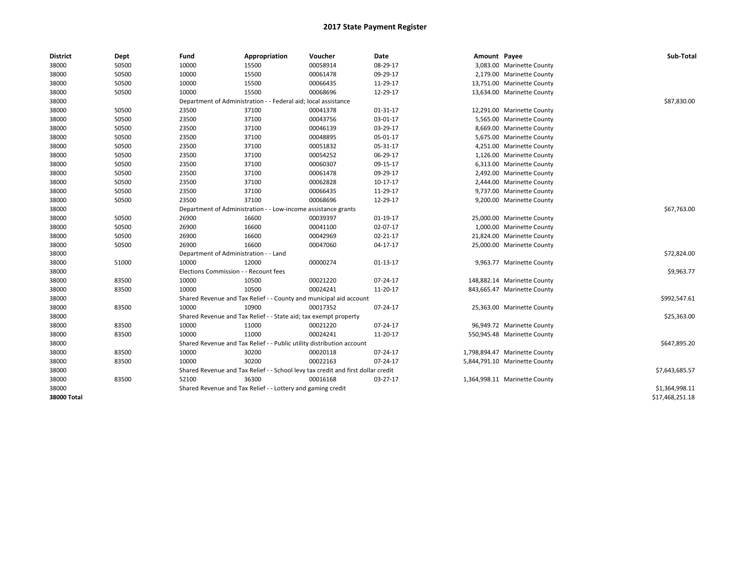| <b>District</b> | Dept  | Fund                                  | Appropriation                                                                    | Voucher                         | Date           | Amount Payee |                               | Sub-Total       |
|-----------------|-------|---------------------------------------|----------------------------------------------------------------------------------|---------------------------------|----------------|--------------|-------------------------------|-----------------|
| 38000           | 50500 | 10000                                 | 15500                                                                            | 00058914                        | 08-29-17       |              | 3,083.00 Marinette County     |                 |
| 38000           | 50500 | 10000                                 | 15500                                                                            | 00061478                        | 09-29-17       |              | 2,179.00 Marinette County     |                 |
| 38000           | 50500 | 10000                                 | 15500                                                                            | 00066435                        | 11-29-17       |              | 13,751.00 Marinette County    |                 |
| 38000           | 50500 | 10000                                 | 15500                                                                            | 00068696                        | 12-29-17       |              | 13,634.00 Marinette County    |                 |
| 38000           |       | Department of Administration -        |                                                                                  | - Federal aid; local assistance |                |              |                               | \$87,830.00     |
| 38000           | 50500 | 23500                                 | 37100                                                                            | 00041378                        | 01-31-17       |              | 12,291.00 Marinette County    |                 |
| 38000           | 50500 | 23500                                 | 37100                                                                            | 00043756                        | 03-01-17       |              | 5,565.00 Marinette County     |                 |
| 38000           | 50500 | 23500                                 | 37100                                                                            | 00046139                        | 03-29-17       |              | 8,669.00 Marinette County     |                 |
| 38000           | 50500 | 23500                                 | 37100                                                                            | 00048895                        | 05-01-17       |              | 5,675.00 Marinette County     |                 |
| 38000           | 50500 | 23500                                 | 37100                                                                            | 00051832                        | 05-31-17       |              | 4,251.00 Marinette County     |                 |
| 38000           | 50500 | 23500                                 | 37100                                                                            | 00054252                        | 06-29-17       |              | 1,126.00 Marinette County     |                 |
| 38000           | 50500 | 23500                                 | 37100                                                                            | 00060307                        | 09-15-17       |              | 6,313.00 Marinette County     |                 |
| 38000           | 50500 | 23500                                 | 37100                                                                            | 00061478                        | 09-29-17       |              | 2,492.00 Marinette County     |                 |
| 38000           | 50500 | 23500                                 | 37100                                                                            | 00062828                        | 10-17-17       |              | 2,444.00 Marinette County     |                 |
| 38000           | 50500 | 23500                                 | 37100                                                                            | 00066435                        | 11-29-17       |              | 9,737.00 Marinette County     |                 |
| 38000           | 50500 | 23500                                 | 37100                                                                            | 00068696                        | 12-29-17       |              | 9,200.00 Marinette County     |                 |
| 38000           |       |                                       | Department of Administration - - Low-income assistance grants                    |                                 |                |              |                               | \$67,763.00     |
| 38000           | 50500 | 26900                                 | 16600                                                                            | 00039397                        | 01-19-17       |              | 25,000.00 Marinette County    |                 |
| 38000           | 50500 | 26900                                 | 16600                                                                            | 00041100                        | 02-07-17       |              | 1,000.00 Marinette County     |                 |
| 38000           | 50500 | 26900                                 | 16600                                                                            | 00042969                        | $02 - 21 - 17$ |              | 21,824.00 Marinette County    |                 |
| 38000           | 50500 | 26900                                 | 16600                                                                            | 00047060                        | 04-17-17       |              | 25,000.00 Marinette County    |                 |
| 38000           |       | Department of Administration - - Land |                                                                                  |                                 |                |              |                               | \$72,824.00     |
| 38000           | 51000 | 10000                                 | 12000                                                                            | 00000274                        | 01-13-17       |              | 9,963.77 Marinette County     |                 |
| 38000           |       | Elections Commission - - Recount fees |                                                                                  |                                 |                |              |                               | \$9,963.77      |
| 38000           | 83500 | 10000                                 | 10500                                                                            | 00021220                        | 07-24-17       |              | 148,882.14 Marinette County   |                 |
| 38000           | 83500 | 10000                                 | 10500                                                                            | 00024241                        | 11-20-17       |              | 843,665.47 Marinette County   |                 |
| 38000           |       |                                       | Shared Revenue and Tax Relief - - County and municipal aid account               |                                 |                |              |                               | \$992,547.61    |
| 38000           | 83500 | 10000                                 | 10900                                                                            | 00017352                        | 07-24-17       |              | 25,363.00 Marinette County    |                 |
| 38000           |       |                                       | Shared Revenue and Tax Relief - - State aid; tax exempt property                 |                                 |                |              |                               | \$25,363.00     |
| 38000           | 83500 | 10000                                 | 11000                                                                            | 00021220                        | 07-24-17       |              | 96,949.72 Marinette County    |                 |
| 38000           | 83500 | 10000                                 | 11000                                                                            | 00024241                        | 11-20-17       |              | 550,945.48 Marinette County   |                 |
| 38000           |       |                                       | Shared Revenue and Tax Relief - - Public utility distribution account            |                                 |                |              |                               | \$647,895.20    |
| 38000           | 83500 | 10000                                 | 30200                                                                            | 00020118                        | 07-24-17       |              | 1,798,894.47 Marinette County |                 |
| 38000           | 83500 | 10000                                 | 30200                                                                            | 00022163                        | 07-24-17       |              | 5,844,791.10 Marinette County |                 |
| 38000           |       |                                       | Shared Revenue and Tax Relief - - School levy tax credit and first dollar credit |                                 |                |              |                               | \$7,643,685.57  |
| 38000           | 83500 | 52100                                 | 36300                                                                            | 00016168                        | 03-27-17       |              | 1,364,998.11 Marinette County |                 |
| 38000           |       |                                       | Shared Revenue and Tax Relief - - Lottery and gaming credit                      |                                 |                |              |                               | \$1,364,998.11  |
| 38000 Total     |       |                                       |                                                                                  |                                 |                |              |                               | \$17,468,251.18 |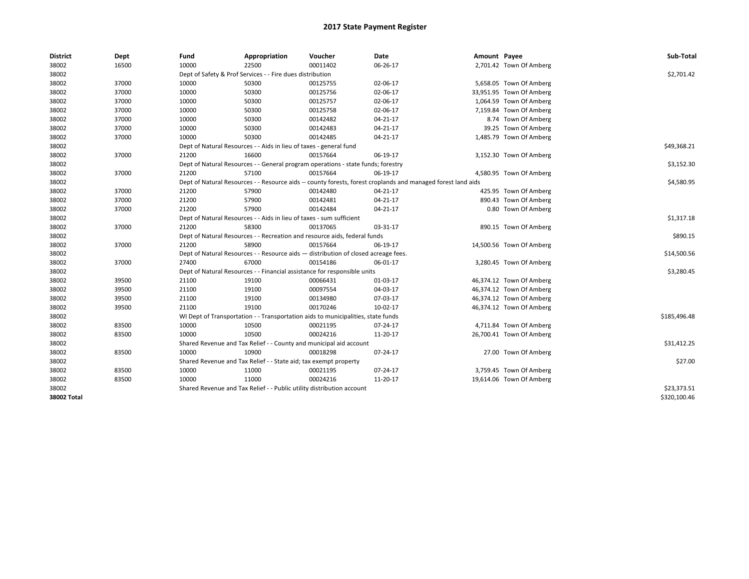| Dept  | Fund                                                                                            | Appropriation                                                                          | Voucher                                                                                | Date                                                                                                                                                                              |                                                                                                                                                                                                                                                                                                                                                                                                                                                                                                                                                                                                                                                                                                                                                                                                                                                                                                              |                                                                                                              | Sub-Total                                                                                                                                                                                                                                                                                                                                                                                                                                                                                                                                                                                                                                                                                           |  |  |  |
|-------|-------------------------------------------------------------------------------------------------|----------------------------------------------------------------------------------------|----------------------------------------------------------------------------------------|-----------------------------------------------------------------------------------------------------------------------------------------------------------------------------------|--------------------------------------------------------------------------------------------------------------------------------------------------------------------------------------------------------------------------------------------------------------------------------------------------------------------------------------------------------------------------------------------------------------------------------------------------------------------------------------------------------------------------------------------------------------------------------------------------------------------------------------------------------------------------------------------------------------------------------------------------------------------------------------------------------------------------------------------------------------------------------------------------------------|--------------------------------------------------------------------------------------------------------------|-----------------------------------------------------------------------------------------------------------------------------------------------------------------------------------------------------------------------------------------------------------------------------------------------------------------------------------------------------------------------------------------------------------------------------------------------------------------------------------------------------------------------------------------------------------------------------------------------------------------------------------------------------------------------------------------------------|--|--|--|
| 16500 | 10000                                                                                           | 22500                                                                                  | 00011402                                                                               | 06-26-17                                                                                                                                                                          |                                                                                                                                                                                                                                                                                                                                                                                                                                                                                                                                                                                                                                                                                                                                                                                                                                                                                                              |                                                                                                              |                                                                                                                                                                                                                                                                                                                                                                                                                                                                                                                                                                                                                                                                                                     |  |  |  |
|       |                                                                                                 |                                                                                        |                                                                                        |                                                                                                                                                                                   |                                                                                                                                                                                                                                                                                                                                                                                                                                                                                                                                                                                                                                                                                                                                                                                                                                                                                                              |                                                                                                              | \$2,701.42                                                                                                                                                                                                                                                                                                                                                                                                                                                                                                                                                                                                                                                                                          |  |  |  |
| 37000 | 10000                                                                                           | 50300                                                                                  | 00125755                                                                               | 02-06-17                                                                                                                                                                          |                                                                                                                                                                                                                                                                                                                                                                                                                                                                                                                                                                                                                                                                                                                                                                                                                                                                                                              |                                                                                                              |                                                                                                                                                                                                                                                                                                                                                                                                                                                                                                                                                                                                                                                                                                     |  |  |  |
| 37000 | 10000                                                                                           | 50300                                                                                  | 00125756                                                                               | 02-06-17                                                                                                                                                                          |                                                                                                                                                                                                                                                                                                                                                                                                                                                                                                                                                                                                                                                                                                                                                                                                                                                                                                              |                                                                                                              |                                                                                                                                                                                                                                                                                                                                                                                                                                                                                                                                                                                                                                                                                                     |  |  |  |
| 37000 | 10000                                                                                           | 50300                                                                                  | 00125757                                                                               | 02-06-17                                                                                                                                                                          |                                                                                                                                                                                                                                                                                                                                                                                                                                                                                                                                                                                                                                                                                                                                                                                                                                                                                                              |                                                                                                              |                                                                                                                                                                                                                                                                                                                                                                                                                                                                                                                                                                                                                                                                                                     |  |  |  |
| 37000 | 10000                                                                                           | 50300                                                                                  | 00125758                                                                               | 02-06-17                                                                                                                                                                          |                                                                                                                                                                                                                                                                                                                                                                                                                                                                                                                                                                                                                                                                                                                                                                                                                                                                                                              |                                                                                                              |                                                                                                                                                                                                                                                                                                                                                                                                                                                                                                                                                                                                                                                                                                     |  |  |  |
| 37000 | 10000                                                                                           | 50300                                                                                  | 00142482                                                                               | 04-21-17                                                                                                                                                                          |                                                                                                                                                                                                                                                                                                                                                                                                                                                                                                                                                                                                                                                                                                                                                                                                                                                                                                              |                                                                                                              |                                                                                                                                                                                                                                                                                                                                                                                                                                                                                                                                                                                                                                                                                                     |  |  |  |
| 37000 | 10000                                                                                           | 50300                                                                                  | 00142483                                                                               | 04-21-17                                                                                                                                                                          |                                                                                                                                                                                                                                                                                                                                                                                                                                                                                                                                                                                                                                                                                                                                                                                                                                                                                                              |                                                                                                              |                                                                                                                                                                                                                                                                                                                                                                                                                                                                                                                                                                                                                                                                                                     |  |  |  |
| 37000 | 10000                                                                                           | 50300                                                                                  | 00142485                                                                               | $04 - 21 - 17$                                                                                                                                                                    |                                                                                                                                                                                                                                                                                                                                                                                                                                                                                                                                                                                                                                                                                                                                                                                                                                                                                                              |                                                                                                              |                                                                                                                                                                                                                                                                                                                                                                                                                                                                                                                                                                                                                                                                                                     |  |  |  |
|       |                                                                                                 |                                                                                        |                                                                                        |                                                                                                                                                                                   |                                                                                                                                                                                                                                                                                                                                                                                                                                                                                                                                                                                                                                                                                                                                                                                                                                                                                                              |                                                                                                              | \$49,368.21                                                                                                                                                                                                                                                                                                                                                                                                                                                                                                                                                                                                                                                                                         |  |  |  |
| 37000 | 21200                                                                                           | 16600                                                                                  | 00157664                                                                               | 06-19-17                                                                                                                                                                          |                                                                                                                                                                                                                                                                                                                                                                                                                                                                                                                                                                                                                                                                                                                                                                                                                                                                                                              |                                                                                                              |                                                                                                                                                                                                                                                                                                                                                                                                                                                                                                                                                                                                                                                                                                     |  |  |  |
|       |                                                                                                 |                                                                                        |                                                                                        |                                                                                                                                                                                   |                                                                                                                                                                                                                                                                                                                                                                                                                                                                                                                                                                                                                                                                                                                                                                                                                                                                                                              |                                                                                                              | \$3,152.30                                                                                                                                                                                                                                                                                                                                                                                                                                                                                                                                                                                                                                                                                          |  |  |  |
| 37000 | 21200                                                                                           | 57100                                                                                  | 00157664                                                                               | 06-19-17                                                                                                                                                                          |                                                                                                                                                                                                                                                                                                                                                                                                                                                                                                                                                                                                                                                                                                                                                                                                                                                                                                              |                                                                                                              |                                                                                                                                                                                                                                                                                                                                                                                                                                                                                                                                                                                                                                                                                                     |  |  |  |
|       |                                                                                                 |                                                                                        |                                                                                        |                                                                                                                                                                                   |                                                                                                                                                                                                                                                                                                                                                                                                                                                                                                                                                                                                                                                                                                                                                                                                                                                                                                              |                                                                                                              | \$4,580.95                                                                                                                                                                                                                                                                                                                                                                                                                                                                                                                                                                                                                                                                                          |  |  |  |
| 37000 | 21200                                                                                           | 57900                                                                                  | 00142480                                                                               | 04-21-17                                                                                                                                                                          |                                                                                                                                                                                                                                                                                                                                                                                                                                                                                                                                                                                                                                                                                                                                                                                                                                                                                                              |                                                                                                              |                                                                                                                                                                                                                                                                                                                                                                                                                                                                                                                                                                                                                                                                                                     |  |  |  |
|       |                                                                                                 |                                                                                        |                                                                                        |                                                                                                                                                                                   |                                                                                                                                                                                                                                                                                                                                                                                                                                                                                                                                                                                                                                                                                                                                                                                                                                                                                                              |                                                                                                              |                                                                                                                                                                                                                                                                                                                                                                                                                                                                                                                                                                                                                                                                                                     |  |  |  |
| 37000 | 21200                                                                                           | 57900                                                                                  | 00142484                                                                               | 04-21-17                                                                                                                                                                          |                                                                                                                                                                                                                                                                                                                                                                                                                                                                                                                                                                                                                                                                                                                                                                                                                                                                                                              |                                                                                                              |                                                                                                                                                                                                                                                                                                                                                                                                                                                                                                                                                                                                                                                                                                     |  |  |  |
|       |                                                                                                 |                                                                                        |                                                                                        |                                                                                                                                                                                   |                                                                                                                                                                                                                                                                                                                                                                                                                                                                                                                                                                                                                                                                                                                                                                                                                                                                                                              |                                                                                                              |                                                                                                                                                                                                                                                                                                                                                                                                                                                                                                                                                                                                                                                                                                     |  |  |  |
| 37000 | 21200                                                                                           | 58300                                                                                  | 00137065                                                                               | 03-31-17                                                                                                                                                                          |                                                                                                                                                                                                                                                                                                                                                                                                                                                                                                                                                                                                                                                                                                                                                                                                                                                                                                              |                                                                                                              | \$1,317.18                                                                                                                                                                                                                                                                                                                                                                                                                                                                                                                                                                                                                                                                                          |  |  |  |
|       |                                                                                                 |                                                                                        |                                                                                        |                                                                                                                                                                                   |                                                                                                                                                                                                                                                                                                                                                                                                                                                                                                                                                                                                                                                                                                                                                                                                                                                                                                              |                                                                                                              | \$890.15                                                                                                                                                                                                                                                                                                                                                                                                                                                                                                                                                                                                                                                                                            |  |  |  |
|       | 21200                                                                                           | 58900                                                                                  | 00157664                                                                               | 06-19-17                                                                                                                                                                          |                                                                                                                                                                                                                                                                                                                                                                                                                                                                                                                                                                                                                                                                                                                                                                                                                                                                                                              |                                                                                                              |                                                                                                                                                                                                                                                                                                                                                                                                                                                                                                                                                                                                                                                                                                     |  |  |  |
|       |                                                                                                 |                                                                                        |                                                                                        |                                                                                                                                                                                   |                                                                                                                                                                                                                                                                                                                                                                                                                                                                                                                                                                                                                                                                                                                                                                                                                                                                                                              |                                                                                                              | \$14,500.56                                                                                                                                                                                                                                                                                                                                                                                                                                                                                                                                                                                                                                                                                         |  |  |  |
| 37000 | 27400                                                                                           | 67000                                                                                  | 00154186                                                                               | 06-01-17                                                                                                                                                                          |                                                                                                                                                                                                                                                                                                                                                                                                                                                                                                                                                                                                                                                                                                                                                                                                                                                                                                              |                                                                                                              |                                                                                                                                                                                                                                                                                                                                                                                                                                                                                                                                                                                                                                                                                                     |  |  |  |
|       |                                                                                                 |                                                                                        |                                                                                        |                                                                                                                                                                                   |                                                                                                                                                                                                                                                                                                                                                                                                                                                                                                                                                                                                                                                                                                                                                                                                                                                                                                              |                                                                                                              | \$3,280.45                                                                                                                                                                                                                                                                                                                                                                                                                                                                                                                                                                                                                                                                                          |  |  |  |
|       |                                                                                                 |                                                                                        |                                                                                        |                                                                                                                                                                                   |                                                                                                                                                                                                                                                                                                                                                                                                                                                                                                                                                                                                                                                                                                                                                                                                                                                                                                              |                                                                                                              |                                                                                                                                                                                                                                                                                                                                                                                                                                                                                                                                                                                                                                                                                                     |  |  |  |
|       |                                                                                                 |                                                                                        |                                                                                        |                                                                                                                                                                                   |                                                                                                                                                                                                                                                                                                                                                                                                                                                                                                                                                                                                                                                                                                                                                                                                                                                                                                              |                                                                                                              |                                                                                                                                                                                                                                                                                                                                                                                                                                                                                                                                                                                                                                                                                                     |  |  |  |
|       |                                                                                                 |                                                                                        |                                                                                        |                                                                                                                                                                                   |                                                                                                                                                                                                                                                                                                                                                                                                                                                                                                                                                                                                                                                                                                                                                                                                                                                                                                              |                                                                                                              |                                                                                                                                                                                                                                                                                                                                                                                                                                                                                                                                                                                                                                                                                                     |  |  |  |
|       |                                                                                                 |                                                                                        |                                                                                        |                                                                                                                                                                                   |                                                                                                                                                                                                                                                                                                                                                                                                                                                                                                                                                                                                                                                                                                                                                                                                                                                                                                              |                                                                                                              |                                                                                                                                                                                                                                                                                                                                                                                                                                                                                                                                                                                                                                                                                                     |  |  |  |
|       |                                                                                                 |                                                                                        |                                                                                        |                                                                                                                                                                                   |                                                                                                                                                                                                                                                                                                                                                                                                                                                                                                                                                                                                                                                                                                                                                                                                                                                                                                              |                                                                                                              | \$185,496.48                                                                                                                                                                                                                                                                                                                                                                                                                                                                                                                                                                                                                                                                                        |  |  |  |
|       |                                                                                                 |                                                                                        |                                                                                        |                                                                                                                                                                                   |                                                                                                                                                                                                                                                                                                                                                                                                                                                                                                                                                                                                                                                                                                                                                                                                                                                                                                              |                                                                                                              |                                                                                                                                                                                                                                                                                                                                                                                                                                                                                                                                                                                                                                                                                                     |  |  |  |
|       |                                                                                                 |                                                                                        |                                                                                        |                                                                                                                                                                                   |                                                                                                                                                                                                                                                                                                                                                                                                                                                                                                                                                                                                                                                                                                                                                                                                                                                                                                              |                                                                                                              |                                                                                                                                                                                                                                                                                                                                                                                                                                                                                                                                                                                                                                                                                                     |  |  |  |
|       |                                                                                                 |                                                                                        |                                                                                        |                                                                                                                                                                                   |                                                                                                                                                                                                                                                                                                                                                                                                                                                                                                                                                                                                                                                                                                                                                                                                                                                                                                              |                                                                                                              | \$31,412.25                                                                                                                                                                                                                                                                                                                                                                                                                                                                                                                                                                                                                                                                                         |  |  |  |
|       |                                                                                                 |                                                                                        |                                                                                        |                                                                                                                                                                                   |                                                                                                                                                                                                                                                                                                                                                                                                                                                                                                                                                                                                                                                                                                                                                                                                                                                                                                              |                                                                                                              |                                                                                                                                                                                                                                                                                                                                                                                                                                                                                                                                                                                                                                                                                                     |  |  |  |
|       |                                                                                                 |                                                                                        |                                                                                        |                                                                                                                                                                                   |                                                                                                                                                                                                                                                                                                                                                                                                                                                                                                                                                                                                                                                                                                                                                                                                                                                                                                              |                                                                                                              | \$27.00                                                                                                                                                                                                                                                                                                                                                                                                                                                                                                                                                                                                                                                                                             |  |  |  |
|       |                                                                                                 |                                                                                        |                                                                                        |                                                                                                                                                                                   |                                                                                                                                                                                                                                                                                                                                                                                                                                                                                                                                                                                                                                                                                                                                                                                                                                                                                                              |                                                                                                              |                                                                                                                                                                                                                                                                                                                                                                                                                                                                                                                                                                                                                                                                                                     |  |  |  |
|       |                                                                                                 |                                                                                        |                                                                                        |                                                                                                                                                                                   |                                                                                                                                                                                                                                                                                                                                                                                                                                                                                                                                                                                                                                                                                                                                                                                                                                                                                                              |                                                                                                              |                                                                                                                                                                                                                                                                                                                                                                                                                                                                                                                                                                                                                                                                                                     |  |  |  |
|       |                                                                                                 |                                                                                        |                                                                                        |                                                                                                                                                                                   |                                                                                                                                                                                                                                                                                                                                                                                                                                                                                                                                                                                                                                                                                                                                                                                                                                                                                                              |                                                                                                              | \$23,373.51                                                                                                                                                                                                                                                                                                                                                                                                                                                                                                                                                                                                                                                                                         |  |  |  |
|       |                                                                                                 |                                                                                        |                                                                                        |                                                                                                                                                                                   |                                                                                                                                                                                                                                                                                                                                                                                                                                                                                                                                                                                                                                                                                                                                                                                                                                                                                                              |                                                                                                              | \$320,100.46                                                                                                                                                                                                                                                                                                                                                                                                                                                                                                                                                                                                                                                                                        |  |  |  |
|       | 37000<br>37000<br>39500<br>39500<br>39500<br>39500<br>83500<br>83500<br>83500<br>83500<br>83500 | 21200<br>21100<br>21100<br>21100<br>21100<br>10000<br>10000<br>10000<br>10000<br>10000 | 57900<br>19100<br>19100<br>19100<br>19100<br>10500<br>10500<br>10900<br>11000<br>11000 | Dept of Safety & Prof Services - - Fire dues distribution<br>00142481<br>00066431<br>00097554<br>00134980<br>00170246<br>00021195<br>00024216<br>00018298<br>00021195<br>00024216 | Dept of Natural Resources - - Aids in lieu of taxes - general fund<br>Dept of Natural Resources - - General program operations - state funds; forestry<br>04-21-17<br>Dept of Natural Resources - - Aids in lieu of taxes - sum sufficient<br>Dept of Natural Resources - - Recreation and resource aids, federal funds<br>Dept of Natural Resources - - Resource aids - distribution of closed acreage fees.<br>Dept of Natural Resources - - Financial assistance for responsible units<br>01-03-17<br>04-03-17<br>07-03-17<br>10-02-17<br>WI Dept of Transportation - - Transportation aids to municipalities, state funds<br>07-24-17<br>11-20-17<br>Shared Revenue and Tax Relief - - County and municipal aid account<br>07-24-17<br>Shared Revenue and Tax Relief - - State aid; tax exempt property<br>07-24-17<br>11-20-17<br>Shared Revenue and Tax Relief - - Public utility distribution account | Dept of Natural Resources - - Resource aids -- county forests, forest croplands and managed forest land aids | Amount Payee<br>2,701.42 Town Of Amberg<br>5,658.05 Town Of Amberg<br>33,951.95 Town Of Amberg<br>1,064.59 Town Of Amberg<br>7,159.84 Town Of Amberg<br>8.74 Town Of Amberg<br>39.25 Town Of Amberg<br>1,485.79 Town Of Amberg<br>3,152.30 Town Of Amberg<br>4,580.95 Town Of Amberg<br>425.95 Town Of Amberg<br>890.43 Town Of Amberg<br>0.80 Town Of Amberg<br>890.15 Town Of Amberg<br>14,500.56 Town Of Amberg<br>3,280.45 Town Of Amberg<br>46,374.12 Town Of Amberg<br>46,374.12 Town Of Amberg<br>46,374.12 Town Of Amberg<br>46,374.12 Town Of Amberg<br>4,711.84 Town Of Amberg<br>26,700.41 Town Of Amberg<br>27.00 Town Of Amberg<br>3,759.45 Town Of Amberg<br>19,614.06 Town Of Amberg |  |  |  |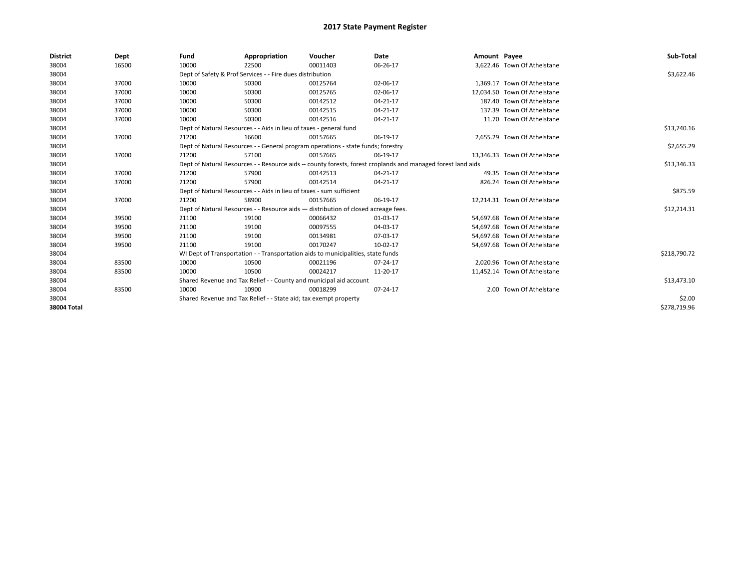| <b>District</b> | Dept  | Fund  | Appropriation                                                                      | Voucher  | Date                                                                                                         | Amount Payee |                              | Sub-Total    |
|-----------------|-------|-------|------------------------------------------------------------------------------------|----------|--------------------------------------------------------------------------------------------------------------|--------------|------------------------------|--------------|
| 38004           | 16500 | 10000 | 22500                                                                              | 00011403 | 06-26-17                                                                                                     |              | 3,622.46 Town Of Athelstane  |              |
| 38004           |       |       | Dept of Safety & Prof Services - - Fire dues distribution                          |          |                                                                                                              |              |                              | \$3,622.46   |
| 38004           | 37000 | 10000 | 50300                                                                              | 00125764 | 02-06-17                                                                                                     |              | 1.369.17 Town Of Athelstane  |              |
| 38004           | 37000 | 10000 | 50300                                                                              | 00125765 | 02-06-17                                                                                                     |              | 12.034.50 Town Of Athelstane |              |
| 38004           | 37000 | 10000 | 50300                                                                              | 00142512 | 04-21-17                                                                                                     |              | 187.40 Town Of Athelstane    |              |
| 38004           | 37000 | 10000 | 50300                                                                              | 00142515 | 04-21-17                                                                                                     |              | 137.39 Town Of Athelstane    |              |
| 38004           | 37000 | 10000 | 50300                                                                              | 00142516 | 04-21-17                                                                                                     |              | 11.70 Town Of Athelstane     |              |
| 38004           |       |       | Dept of Natural Resources - - Aids in lieu of taxes - general fund                 |          |                                                                                                              |              |                              | \$13,740.16  |
| 38004           | 37000 | 21200 | 16600                                                                              | 00157665 | 06-19-17                                                                                                     |              | 2,655.29 Town Of Athelstane  |              |
| 38004           |       |       | Dept of Natural Resources - - General program operations - state funds; forestry   |          |                                                                                                              |              |                              | \$2,655.29   |
| 38004           | 37000 | 21200 | 57100                                                                              | 00157665 | 06-19-17                                                                                                     |              | 13.346.33 Town Of Athelstane |              |
| 38004           |       |       |                                                                                    |          | Dept of Natural Resources - - Resource aids -- county forests, forest croplands and managed forest land aids |              |                              | \$13,346.33  |
| 38004           | 37000 | 21200 | 57900                                                                              | 00142513 | 04-21-17                                                                                                     |              | 49.35 Town Of Athelstane     |              |
| 38004           | 37000 | 21200 | 57900                                                                              | 00142514 | 04-21-17                                                                                                     |              | 826.24 Town Of Athelstane    |              |
| 38004           |       |       | Dept of Natural Resources - - Aids in lieu of taxes - sum sufficient               |          |                                                                                                              |              |                              | \$875.59     |
| 38004           | 37000 | 21200 | 58900                                                                              | 00157665 | 06-19-17                                                                                                     |              | 12,214.31 Town Of Athelstane |              |
| 38004           |       |       | Dept of Natural Resources - - Resource aids - distribution of closed acreage fees. |          |                                                                                                              |              |                              | \$12,214.31  |
| 38004           | 39500 | 21100 | 19100                                                                              | 00066432 | 01-03-17                                                                                                     |              | 54,697.68 Town Of Athelstane |              |
| 38004           | 39500 | 21100 | 19100                                                                              | 00097555 | 04-03-17                                                                                                     |              | 54,697.68 Town Of Athelstane |              |
| 38004           | 39500 | 21100 | 19100                                                                              | 00134981 | 07-03-17                                                                                                     |              | 54.697.68 Town Of Athelstane |              |
| 38004           | 39500 | 21100 | 19100                                                                              | 00170247 | 10-02-17                                                                                                     |              | 54,697.68 Town Of Athelstane |              |
| 38004           |       |       | WI Dept of Transportation - - Transportation aids to municipalities, state funds   |          |                                                                                                              |              |                              | \$218,790.72 |
| 38004           | 83500 | 10000 | 10500                                                                              | 00021196 | 07-24-17                                                                                                     |              | 2,020.96 Town Of Athelstane  |              |
| 38004           | 83500 | 10000 | 10500                                                                              | 00024217 | 11-20-17                                                                                                     |              | 11,452.14 Town Of Athelstane |              |
| 38004           |       |       | Shared Revenue and Tax Relief - - County and municipal aid account                 |          |                                                                                                              |              |                              | \$13,473.10  |
| 38004           | 83500 | 10000 | 10900                                                                              | 00018299 | 07-24-17                                                                                                     |              | 2.00 Town Of Athelstane      |              |
| 38004           |       |       | Shared Revenue and Tax Relief - - State aid; tax exempt property                   |          |                                                                                                              |              |                              | \$2.00       |
| 38004 Total     |       |       |                                                                                    |          |                                                                                                              |              |                              | \$278.719.96 |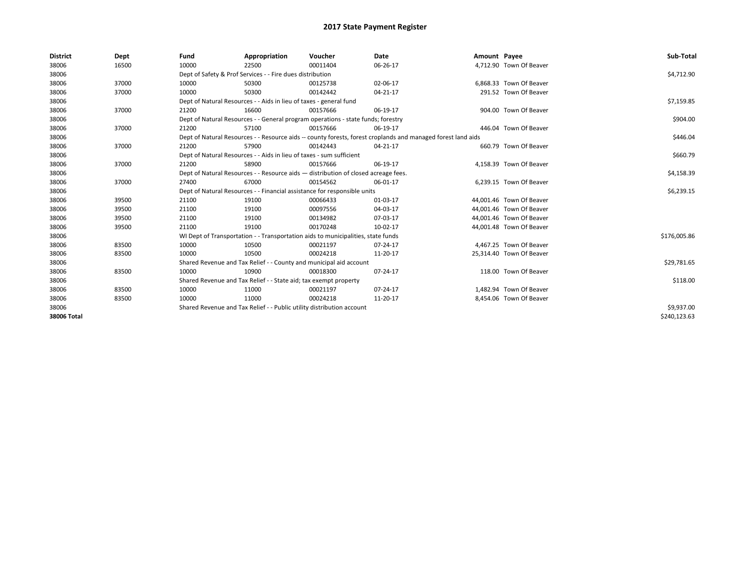| <b>District</b> | Dept  | Fund  | Appropriation                                                                      | Voucher  | Date                                                                                                         | Amount Payee |                          | Sub-Total    |
|-----------------|-------|-------|------------------------------------------------------------------------------------|----------|--------------------------------------------------------------------------------------------------------------|--------------|--------------------------|--------------|
| 38006           | 16500 | 10000 | 22500                                                                              | 00011404 | 06-26-17                                                                                                     |              | 4,712.90 Town Of Beaver  |              |
| 38006           |       |       | Dept of Safety & Prof Services - - Fire dues distribution                          |          |                                                                                                              |              |                          | \$4,712.90   |
| 38006           | 37000 | 10000 | 50300                                                                              | 00125738 | 02-06-17                                                                                                     |              | 6,868.33 Town Of Beaver  |              |
| 38006           | 37000 | 10000 | 50300                                                                              | 00142442 | 04-21-17                                                                                                     |              | 291.52 Town Of Beaver    |              |
| 38006           |       |       | Dept of Natural Resources - - Aids in lieu of taxes - general fund                 |          |                                                                                                              |              |                          | \$7,159.85   |
| 38006           | 37000 | 21200 | 16600                                                                              | 00157666 | 06-19-17                                                                                                     |              | 904.00 Town Of Beaver    |              |
| 38006           |       |       | Dept of Natural Resources - - General program operations - state funds; forestry   |          |                                                                                                              |              |                          | \$904.00     |
| 38006           | 37000 | 21200 | 57100                                                                              | 00157666 | 06-19-17                                                                                                     |              | 446.04 Town Of Beaver    |              |
| 38006           |       |       |                                                                                    |          | Dept of Natural Resources - - Resource aids -- county forests, forest croplands and managed forest land aids |              |                          | \$446.04     |
| 38006           | 37000 | 21200 | 57900                                                                              | 00142443 | $04 - 21 - 17$                                                                                               |              | 660.79 Town Of Beaver    |              |
| 38006           |       |       | Dept of Natural Resources - - Aids in lieu of taxes - sum sufficient               |          |                                                                                                              |              |                          | \$660.79     |
| 38006           | 37000 | 21200 | 58900                                                                              | 00157666 | 06-19-17                                                                                                     |              | 4,158.39 Town Of Beaver  |              |
| 38006           |       |       | Dept of Natural Resources - - Resource aids - distribution of closed acreage fees. |          | \$4,158.39                                                                                                   |              |                          |              |
| 38006           | 37000 | 27400 | 67000                                                                              | 00154562 | 06-01-17                                                                                                     |              | 6,239.15 Town Of Beaver  |              |
| 38006           |       |       | Dept of Natural Resources - - Financial assistance for responsible units           |          |                                                                                                              |              |                          | \$6,239.15   |
| 38006           | 39500 | 21100 | 19100                                                                              | 00066433 | 01-03-17                                                                                                     |              | 44,001.46 Town Of Beaver |              |
| 38006           | 39500 | 21100 | 19100                                                                              | 00097556 | 04-03-17                                                                                                     |              | 44,001.46 Town Of Beaver |              |
| 38006           | 39500 | 21100 | 19100                                                                              | 00134982 | 07-03-17                                                                                                     |              | 44,001.46 Town Of Beaver |              |
| 38006           | 39500 | 21100 | 19100                                                                              | 00170248 | 10-02-17                                                                                                     |              | 44,001.48 Town Of Beaver |              |
| 38006           |       |       | WI Dept of Transportation - - Transportation aids to municipalities, state funds   |          |                                                                                                              |              |                          | \$176,005.86 |
| 38006           | 83500 | 10000 | 10500                                                                              | 00021197 | 07-24-17                                                                                                     |              | 4,467.25 Town Of Beaver  |              |
| 38006           | 83500 | 10000 | 10500                                                                              | 00024218 | 11-20-17                                                                                                     |              | 25,314.40 Town Of Beaver |              |
| 38006           |       |       | Shared Revenue and Tax Relief - - County and municipal aid account                 |          |                                                                                                              |              |                          | \$29,781.65  |
| 38006           | 83500 | 10000 | 10900                                                                              | 00018300 | 07-24-17                                                                                                     |              | 118.00 Town Of Beaver    |              |
| 38006           |       |       | Shared Revenue and Tax Relief - - State aid; tax exempt property                   |          |                                                                                                              |              |                          | \$118.00     |
| 38006           | 83500 | 10000 | 11000                                                                              | 00021197 | 07-24-17                                                                                                     |              | 1,482.94 Town Of Beaver  |              |
| 38006           | 83500 | 10000 | 11000                                                                              | 00024218 | 11-20-17                                                                                                     |              | 8,454.06 Town Of Beaver  |              |
| 38006           |       |       | Shared Revenue and Tax Relief - - Public utility distribution account              |          |                                                                                                              |              |                          | \$9,937.00   |
| 38006 Total     |       |       |                                                                                    |          |                                                                                                              |              |                          | \$240,123.63 |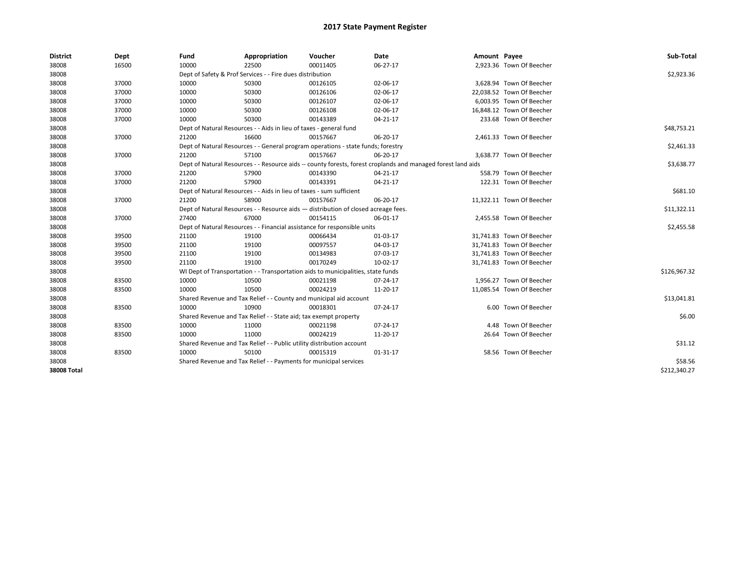| <b>District</b>    | Dept  | Fund  | Appropriation                                                                                                | Voucher  | Date           | Amount Payee |                           | Sub-Total    |
|--------------------|-------|-------|--------------------------------------------------------------------------------------------------------------|----------|----------------|--------------|---------------------------|--------------|
| 38008              | 16500 | 10000 | 22500                                                                                                        | 00011405 | 06-27-17       |              | 2,923.36 Town Of Beecher  |              |
| 38008              |       |       | Dept of Safety & Prof Services - - Fire dues distribution                                                    |          |                |              |                           | \$2,923.36   |
| 38008              | 37000 | 10000 | 50300                                                                                                        | 00126105 | 02-06-17       |              | 3.628.94 Town Of Beecher  |              |
| 38008              | 37000 | 10000 | 50300                                                                                                        | 00126106 | 02-06-17       |              | 22.038.52 Town Of Beecher |              |
| 38008              | 37000 | 10000 | 50300                                                                                                        | 00126107 | 02-06-17       |              | 6.003.95 Town Of Beecher  |              |
| 38008              | 37000 | 10000 | 50300                                                                                                        | 00126108 | 02-06-17       |              | 16,848.12 Town Of Beecher |              |
| 38008              | 37000 | 10000 | 50300                                                                                                        | 00143389 | 04-21-17       |              | 233.68 Town Of Beecher    |              |
| 38008              |       |       | Dept of Natural Resources - - Aids in lieu of taxes - general fund                                           |          |                |              |                           | \$48,753.21  |
| 38008              | 37000 | 21200 | 16600                                                                                                        | 00157667 | 06-20-17       |              | 2,461.33 Town Of Beecher  |              |
| 38008              |       |       | Dept of Natural Resources - - General program operations - state funds; forestry                             |          |                |              |                           | \$2,461.33   |
| 38008              | 37000 | 21200 | 57100                                                                                                        | 00157667 | 06-20-17       |              | 3,638.77 Town Of Beecher  |              |
| 38008              |       |       | Dept of Natural Resources - - Resource aids -- county forests, forest croplands and managed forest land aids |          |                |              |                           | \$3,638.77   |
| 38008              | 37000 | 21200 | 57900                                                                                                        | 00143390 | 04-21-17       |              | 558.79 Town Of Beecher    |              |
| 38008              | 37000 | 21200 | 57900                                                                                                        | 00143391 | 04-21-17       |              | 122.31 Town Of Beecher    |              |
| 38008              |       |       | Dept of Natural Resources - - Aids in lieu of taxes - sum sufficient                                         |          |                |              |                           | \$681.10     |
| 38008              | 37000 | 21200 | 58900                                                                                                        | 00157667 | 06-20-17       |              | 11,322.11 Town Of Beecher |              |
| 38008              |       |       | Dept of Natural Resources - - Resource aids - distribution of closed acreage fees.                           |          |                |              |                           | \$11,322.11  |
| 38008              | 37000 | 27400 | 67000                                                                                                        | 00154115 | 06-01-17       |              | 2,455.58 Town Of Beecher  |              |
| 38008              |       |       | Dept of Natural Resources - - Financial assistance for responsible units                                     |          |                |              |                           | \$2,455.58   |
| 38008              | 39500 | 21100 | 19100                                                                                                        | 00066434 | 01-03-17       |              | 31,741.83 Town Of Beecher |              |
| 38008              | 39500 | 21100 | 19100                                                                                                        | 00097557 | 04-03-17       |              | 31,741.83 Town Of Beecher |              |
| 38008              | 39500 | 21100 | 19100                                                                                                        | 00134983 | 07-03-17       |              | 31,741.83 Town Of Beecher |              |
| 38008              | 39500 | 21100 | 19100                                                                                                        | 00170249 | 10-02-17       |              | 31,741.83 Town Of Beecher |              |
| 38008              |       |       | WI Dept of Transportation - - Transportation aids to municipalities, state funds                             |          |                |              |                           | \$126,967.32 |
| 38008              | 83500 | 10000 | 10500                                                                                                        | 00021198 | $07 - 24 - 17$ |              | 1,956.27 Town Of Beecher  |              |
| 38008              | 83500 | 10000 | 10500                                                                                                        | 00024219 | 11-20-17       |              | 11,085.54 Town Of Beecher |              |
| 38008              |       |       | Shared Revenue and Tax Relief - - County and municipal aid account                                           |          |                |              |                           | \$13,041.81  |
| 38008              | 83500 | 10000 | 10900                                                                                                        | 00018301 | 07-24-17       |              | 6.00 Town Of Beecher      |              |
| 38008              |       |       | Shared Revenue and Tax Relief - - State aid; tax exempt property                                             |          |                |              |                           | \$6.00       |
| 38008              | 83500 | 10000 | 11000                                                                                                        | 00021198 | 07-24-17       |              | 4.48 Town Of Beecher      |              |
| 38008              | 83500 | 10000 | 11000                                                                                                        | 00024219 | 11-20-17       |              | 26.64 Town Of Beecher     |              |
| 38008              |       |       | Shared Revenue and Tax Relief - - Public utility distribution account                                        |          |                |              |                           | \$31.12      |
| 38008              | 83500 | 10000 | 50100                                                                                                        | 00015319 | $01-31-17$     |              | 58.56 Town Of Beecher     |              |
| 38008              |       |       | Shared Revenue and Tax Relief - - Payments for municipal services                                            |          |                |              |                           | \$58.56      |
| <b>38008 Total</b> |       |       |                                                                                                              |          |                |              |                           | \$212,340.27 |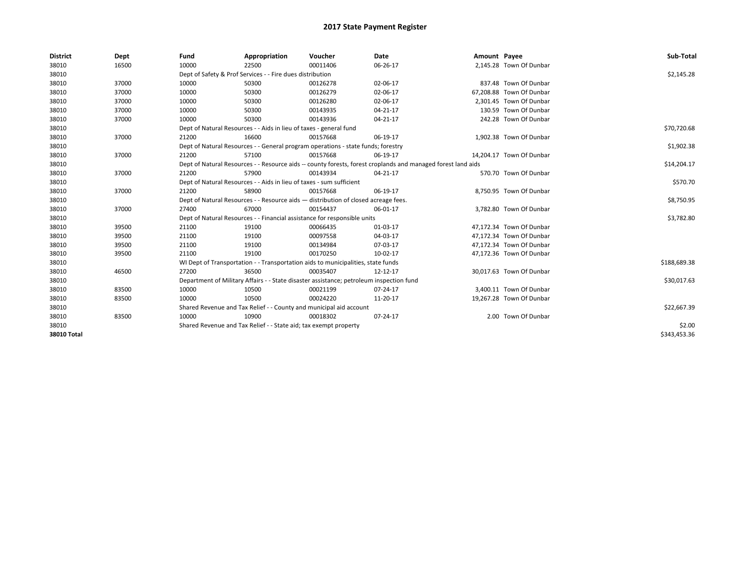| <b>District</b> | Dept  | Fund  | Appropriation                                                                           | Voucher  | Date                                                                                                         | Amount Payee |                          | Sub-Total    |
|-----------------|-------|-------|-----------------------------------------------------------------------------------------|----------|--------------------------------------------------------------------------------------------------------------|--------------|--------------------------|--------------|
| 38010           | 16500 | 10000 | 22500                                                                                   | 00011406 | 06-26-17                                                                                                     |              | 2,145.28 Town Of Dunbar  |              |
| 38010           |       |       | Dept of Safety & Prof Services - - Fire dues distribution                               |          |                                                                                                              |              |                          | \$2,145.28   |
| 38010           | 37000 | 10000 | 50300                                                                                   | 00126278 | 02-06-17                                                                                                     |              | 837.48 Town Of Dunbar    |              |
| 38010           | 37000 | 10000 | 50300                                                                                   | 00126279 | 02-06-17                                                                                                     |              | 67,208.88 Town Of Dunbar |              |
| 38010           | 37000 | 10000 | 50300                                                                                   | 00126280 | 02-06-17                                                                                                     |              | 2,301.45 Town Of Dunbar  |              |
| 38010           | 37000 | 10000 | 50300                                                                                   | 00143935 | $04 - 21 - 17$                                                                                               |              | 130.59 Town Of Dunbar    |              |
| 38010           | 37000 | 10000 | 50300                                                                                   | 00143936 | 04-21-17                                                                                                     |              | 242.28 Town Of Dunbar    |              |
| 38010           |       |       | Dept of Natural Resources - - Aids in lieu of taxes - general fund                      |          |                                                                                                              |              |                          | \$70,720.68  |
| 38010           | 37000 | 21200 | 16600                                                                                   | 00157668 | 06-19-17                                                                                                     |              | 1,902.38 Town Of Dunbar  |              |
| 38010           |       |       | Dept of Natural Resources - - General program operations - state funds; forestry        |          |                                                                                                              |              |                          | \$1,902.38   |
| 38010           | 37000 | 21200 | 57100                                                                                   | 00157668 | 06-19-17                                                                                                     |              | 14,204.17 Town Of Dunbar |              |
| 38010           |       |       |                                                                                         |          | Dept of Natural Resources - - Resource aids -- county forests, forest croplands and managed forest land aids |              |                          | \$14,204.17  |
| 38010           | 37000 | 21200 | 57900                                                                                   | 00143934 | $04 - 21 - 17$                                                                                               |              | 570.70 Town Of Dunbar    |              |
| 38010           |       |       | Dept of Natural Resources - - Aids in lieu of taxes - sum sufficient                    |          |                                                                                                              |              |                          | \$570.70     |
| 38010           | 37000 | 21200 | 58900                                                                                   | 00157668 | 06-19-17                                                                                                     |              | 8,750.95 Town Of Dunbar  |              |
| 38010           |       |       | Dept of Natural Resources - - Resource aids - distribution of closed acreage fees.      |          |                                                                                                              |              |                          | \$8,750.95   |
| 38010           | 37000 | 27400 | 67000                                                                                   | 00154437 | 06-01-17                                                                                                     |              | 3,782.80 Town Of Dunbar  |              |
| 38010           |       |       | Dept of Natural Resources - - Financial assistance for responsible units                |          |                                                                                                              |              |                          | \$3,782.80   |
| 38010           | 39500 | 21100 | 19100                                                                                   | 00066435 | 01-03-17                                                                                                     |              | 47,172.34 Town Of Dunbar |              |
| 38010           | 39500 | 21100 | 19100                                                                                   | 00097558 | 04-03-17                                                                                                     |              | 47.172.34 Town Of Dunbar |              |
| 38010           | 39500 | 21100 | 19100                                                                                   | 00134984 | 07-03-17                                                                                                     |              | 47.172.34 Town Of Dunbar |              |
| 38010           | 39500 | 21100 | 19100                                                                                   | 00170250 | 10-02-17                                                                                                     |              | 47,172.36 Town Of Dunbar |              |
| 38010           |       |       | WI Dept of Transportation - - Transportation aids to municipalities, state funds        |          |                                                                                                              |              |                          | \$188,689.38 |
| 38010           | 46500 | 27200 | 36500                                                                                   | 00035407 | 12-12-17                                                                                                     |              | 30.017.63 Town Of Dunbar |              |
| 38010           |       |       | Department of Military Affairs - - State disaster assistance; petroleum inspection fund |          |                                                                                                              |              |                          | \$30,017.63  |
| 38010           | 83500 | 10000 | 10500                                                                                   | 00021199 | 07-24-17                                                                                                     |              | 3,400.11 Town Of Dunbar  |              |
| 38010           | 83500 | 10000 | 10500                                                                                   | 00024220 | 11-20-17                                                                                                     |              | 19,267.28 Town Of Dunbar |              |
| 38010           |       |       | Shared Revenue and Tax Relief - - County and municipal aid account                      |          |                                                                                                              |              |                          | \$22,667.39  |
| 38010           | 83500 | 10000 | 10900                                                                                   | 00018302 | 07-24-17                                                                                                     |              | 2.00 Town Of Dunbar      |              |
| 38010           |       |       | Shared Revenue and Tax Relief - - State aid; tax exempt property                        |          |                                                                                                              |              |                          | \$2.00       |
| 38010 Total     |       |       |                                                                                         |          |                                                                                                              |              |                          | \$343,453.36 |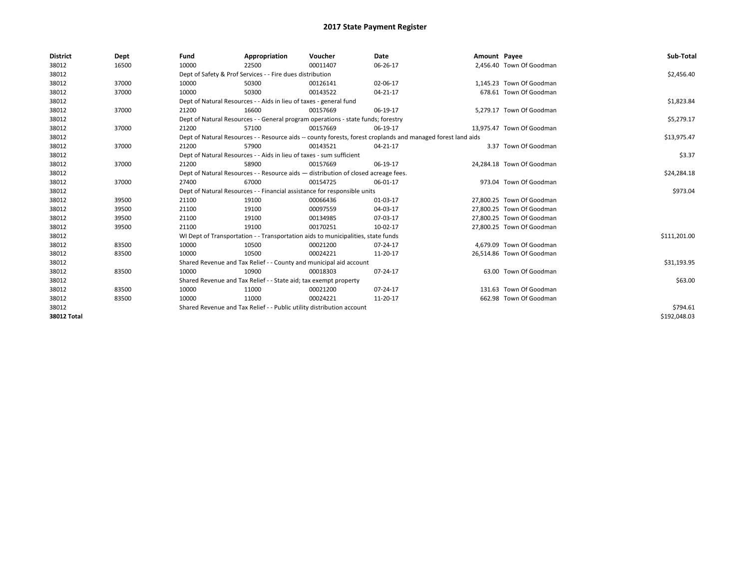| <b>District</b>    | Dept  | Fund  | Appropriation                                                                      | Voucher  | Date                                                                                                         | Amount Payee |                           | Sub-Total    |
|--------------------|-------|-------|------------------------------------------------------------------------------------|----------|--------------------------------------------------------------------------------------------------------------|--------------|---------------------------|--------------|
| 38012              | 16500 | 10000 | 22500                                                                              | 00011407 | 06-26-17                                                                                                     |              | 2,456.40 Town Of Goodman  |              |
| 38012              |       |       | Dept of Safety & Prof Services - - Fire dues distribution                          |          |                                                                                                              |              |                           | \$2,456.40   |
| 38012              | 37000 | 10000 | 50300                                                                              | 00126141 | 02-06-17                                                                                                     |              | 1,145.23 Town Of Goodman  |              |
| 38012              | 37000 | 10000 | 50300                                                                              | 00143522 | $04 - 21 - 17$                                                                                               |              | 678.61 Town Of Goodman    |              |
| 38012              |       |       | Dept of Natural Resources - - Aids in lieu of taxes - general fund                 |          |                                                                                                              |              |                           | \$1,823.84   |
| 38012              | 37000 | 21200 | 16600                                                                              | 00157669 | 06-19-17                                                                                                     |              | 5,279.17 Town Of Goodman  |              |
| 38012              |       |       | Dept of Natural Resources - - General program operations - state funds; forestry   |          |                                                                                                              |              |                           | \$5,279.17   |
| 38012              | 37000 | 21200 | 57100                                                                              | 00157669 | 06-19-17                                                                                                     |              | 13,975.47 Town Of Goodman |              |
| 38012              |       |       |                                                                                    |          | Dept of Natural Resources - - Resource aids -- county forests, forest croplands and managed forest land aids |              |                           | \$13,975.47  |
| 38012              | 37000 | 21200 | 57900                                                                              | 00143521 | 04-21-17                                                                                                     |              | 3.37 Town Of Goodman      |              |
| 38012              |       |       | Dept of Natural Resources - - Aids in lieu of taxes - sum sufficient               |          |                                                                                                              |              |                           | \$3.37       |
| 38012              | 37000 | 21200 | 58900                                                                              | 00157669 | 06-19-17                                                                                                     |              | 24,284.18 Town Of Goodman |              |
| 38012              |       |       | Dept of Natural Resources - - Resource aids - distribution of closed acreage fees. |          |                                                                                                              |              |                           | \$24,284.18  |
| 38012              | 37000 | 27400 | 67000                                                                              | 00154725 | 06-01-17                                                                                                     |              | 973.04 Town Of Goodman    |              |
| 38012              |       |       | Dept of Natural Resources - - Financial assistance for responsible units           |          |                                                                                                              |              |                           | \$973.04     |
| 38012              | 39500 | 21100 | 19100                                                                              | 00066436 | 01-03-17                                                                                                     |              | 27,800.25 Town Of Goodman |              |
| 38012              | 39500 | 21100 | 19100                                                                              | 00097559 | 04-03-17                                                                                                     |              | 27,800.25 Town Of Goodman |              |
| 38012              | 39500 | 21100 | 19100                                                                              | 00134985 | 07-03-17                                                                                                     |              | 27,800.25 Town Of Goodman |              |
| 38012              | 39500 | 21100 | 19100                                                                              | 00170251 | 10-02-17                                                                                                     |              | 27,800.25 Town Of Goodman |              |
| 38012              |       |       | WI Dept of Transportation - - Transportation aids to municipalities, state funds   |          |                                                                                                              |              |                           | \$111,201.00 |
| 38012              | 83500 | 10000 | 10500                                                                              | 00021200 | 07-24-17                                                                                                     |              | 4,679.09 Town Of Goodman  |              |
| 38012              | 83500 | 10000 | 10500                                                                              | 00024221 | 11-20-17                                                                                                     |              | 26,514.86 Town Of Goodman |              |
| 38012              |       |       | Shared Revenue and Tax Relief - - County and municipal aid account                 |          |                                                                                                              |              |                           | \$31,193.95  |
| 38012              | 83500 | 10000 | 10900                                                                              | 00018303 | 07-24-17                                                                                                     |              | 63.00 Town Of Goodman     |              |
| 38012              |       |       | Shared Revenue and Tax Relief - - State aid; tax exempt property                   |          |                                                                                                              |              |                           | \$63.00      |
| 38012              | 83500 | 10000 | 11000                                                                              | 00021200 | 07-24-17                                                                                                     |              | 131.63 Town Of Goodman    |              |
| 38012              | 83500 | 10000 | 11000                                                                              | 00024221 | 11-20-17                                                                                                     |              | 662.98 Town Of Goodman    |              |
| 38012              |       |       | Shared Revenue and Tax Relief - - Public utility distribution account              |          |                                                                                                              |              |                           | \$794.61     |
| <b>38012 Total</b> |       |       |                                                                                    |          |                                                                                                              |              |                           | \$192,048.03 |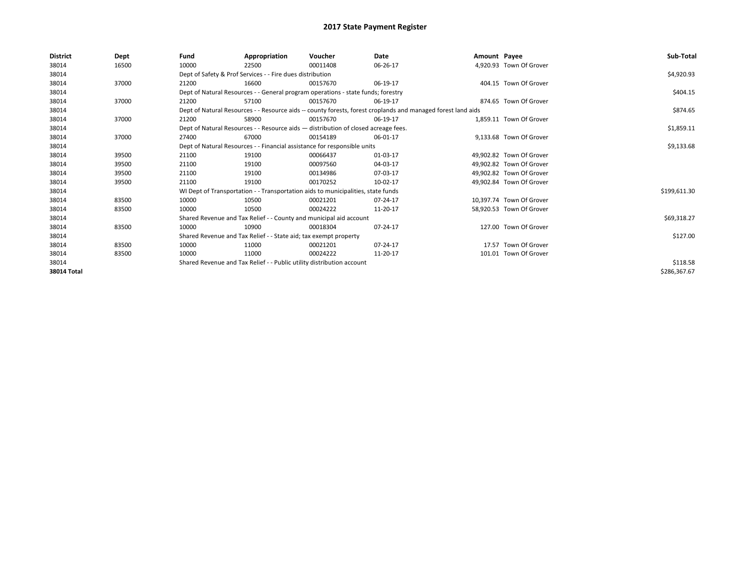| <b>District</b> | Dept  | Fund  | Appropriation                                                                      | Voucher  | Date                                                                                                         | Amount Payee |                          | Sub-Total    |
|-----------------|-------|-------|------------------------------------------------------------------------------------|----------|--------------------------------------------------------------------------------------------------------------|--------------|--------------------------|--------------|
| 38014           | 16500 | 10000 | 22500                                                                              | 00011408 | 06-26-17                                                                                                     |              | 4,920.93 Town Of Grover  |              |
| 38014           |       |       | Dept of Safety & Prof Services - - Fire dues distribution                          |          |                                                                                                              |              |                          | \$4,920.93   |
| 38014           | 37000 | 21200 | 16600                                                                              | 00157670 | 06-19-17                                                                                                     |              | 404.15 Town Of Grover    |              |
| 38014           |       |       | Dept of Natural Resources - - General program operations - state funds; forestry   |          |                                                                                                              |              |                          | \$404.15     |
| 38014           | 37000 | 21200 | 57100                                                                              | 00157670 | 06-19-17                                                                                                     |              | 874.65 Town Of Grover    |              |
| 38014           |       |       |                                                                                    |          | Dept of Natural Resources - - Resource aids -- county forests, forest croplands and managed forest land aids |              |                          | \$874.65     |
| 38014           | 37000 | 21200 | 58900                                                                              | 00157670 | 06-19-17                                                                                                     |              | 1.859.11 Town Of Grover  |              |
| 38014           |       |       | Dept of Natural Resources - - Resource aids - distribution of closed acreage fees. |          |                                                                                                              |              |                          | \$1,859.11   |
| 38014           | 37000 | 27400 | 67000                                                                              | 00154189 | 06-01-17                                                                                                     |              | 9,133.68 Town Of Grover  |              |
| 38014           |       |       | Dept of Natural Resources - - Financial assistance for responsible units           |          |                                                                                                              |              |                          | \$9,133.68   |
| 38014           | 39500 | 21100 | 19100                                                                              | 00066437 | 01-03-17                                                                                                     |              | 49.902.82 Town Of Grover |              |
| 38014           | 39500 | 21100 | 19100                                                                              | 00097560 | 04-03-17                                                                                                     |              | 49,902.82 Town Of Grover |              |
| 38014           | 39500 | 21100 | 19100                                                                              | 00134986 | 07-03-17                                                                                                     |              | 49.902.82 Town Of Grover |              |
| 38014           | 39500 | 21100 | 19100                                                                              | 00170252 | 10-02-17                                                                                                     |              | 49,902.84 Town Of Grover |              |
| 38014           |       |       | WI Dept of Transportation - - Transportation aids to municipalities, state funds   |          |                                                                                                              |              |                          | \$199,611.30 |
| 38014           | 83500 | 10000 | 10500                                                                              | 00021201 | 07-24-17                                                                                                     |              | 10.397.74 Town Of Grover |              |
| 38014           | 83500 | 10000 | 10500                                                                              | 00024222 | 11-20-17                                                                                                     |              | 58,920.53 Town Of Grover |              |
| 38014           |       |       | Shared Revenue and Tax Relief - - County and municipal aid account                 |          |                                                                                                              |              |                          | \$69,318.27  |
| 38014           | 83500 | 10000 | 10900                                                                              | 00018304 | 07-24-17                                                                                                     |              | 127.00 Town Of Grover    |              |
| 38014           |       |       | Shared Revenue and Tax Relief - - State aid; tax exempt property                   |          |                                                                                                              |              |                          | \$127.00     |
| 38014           | 83500 | 10000 | 11000                                                                              | 00021201 | 07-24-17                                                                                                     |              | 17.57 Town Of Grover     |              |
| 38014           | 83500 | 10000 | 11000                                                                              | 00024222 | 11-20-17                                                                                                     |              | 101.01 Town Of Grover    |              |
| 38014           |       |       | Shared Revenue and Tax Relief - - Public utility distribution account              |          |                                                                                                              |              |                          | \$118.58     |
| 38014 Total     |       |       |                                                                                    |          |                                                                                                              |              |                          | \$286,367.67 |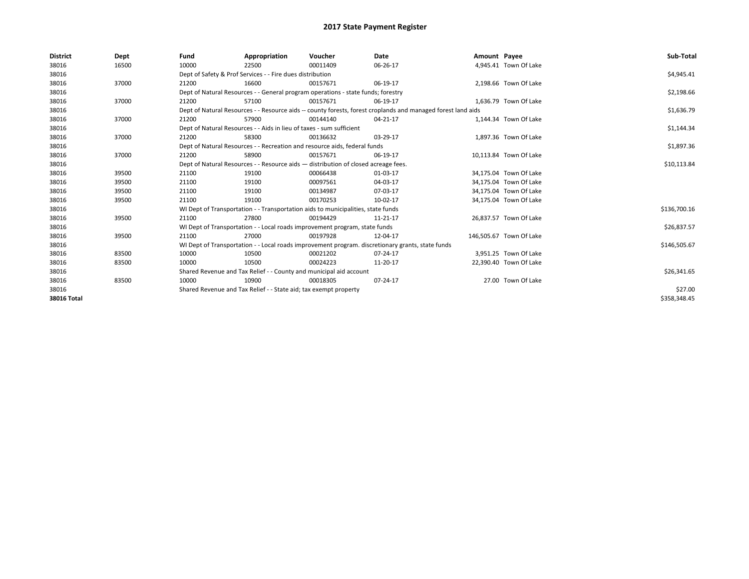| <b>District</b> | Dept  | Fund  | Appropriation                                                                      | Voucher  | Date                                                                                                         | Amount Payee |                         | Sub-Total    |
|-----------------|-------|-------|------------------------------------------------------------------------------------|----------|--------------------------------------------------------------------------------------------------------------|--------------|-------------------------|--------------|
| 38016           | 16500 | 10000 | 22500                                                                              | 00011409 | 06-26-17                                                                                                     |              | 4,945.41 Town Of Lake   |              |
| 38016           |       |       | Dept of Safety & Prof Services - - Fire dues distribution                          |          |                                                                                                              |              |                         | \$4,945.41   |
| 38016           | 37000 | 21200 | 16600                                                                              | 00157671 | 06-19-17                                                                                                     |              | 2,198.66 Town Of Lake   |              |
| 38016           |       |       | Dept of Natural Resources - - General program operations - state funds; forestry   |          |                                                                                                              |              |                         | \$2,198.66   |
| 38016           | 37000 | 21200 | 57100                                                                              | 00157671 | 06-19-17                                                                                                     |              | 1,636.79 Town Of Lake   |              |
| 38016           |       |       |                                                                                    |          | Dept of Natural Resources - - Resource aids -- county forests, forest croplands and managed forest land aids |              |                         | \$1,636.79   |
| 38016           | 37000 | 21200 | 57900                                                                              | 00144140 | 04-21-17                                                                                                     |              | 1,144.34 Town Of Lake   |              |
| 38016           |       |       | Dept of Natural Resources - - Aids in lieu of taxes - sum sufficient               |          |                                                                                                              |              |                         | \$1,144.34   |
| 38016           | 37000 | 21200 | 58300                                                                              | 00136632 | 03-29-17                                                                                                     |              | 1,897.36 Town Of Lake   |              |
| 38016           |       |       | Dept of Natural Resources - - Recreation and resource aids, federal funds          |          |                                                                                                              |              |                         | \$1,897.36   |
| 38016           | 37000 | 21200 | 58900                                                                              | 00157671 | 06-19-17                                                                                                     |              | 10,113.84 Town Of Lake  |              |
| 38016           |       |       | Dept of Natural Resources - - Resource aids - distribution of closed acreage fees. |          |                                                                                                              |              |                         | \$10,113.84  |
| 38016           | 39500 | 21100 | 19100                                                                              | 00066438 | 01-03-17                                                                                                     |              | 34,175.04 Town Of Lake  |              |
| 38016           | 39500 | 21100 | 19100                                                                              | 00097561 | 04-03-17                                                                                                     |              | 34.175.04 Town Of Lake  |              |
| 38016           | 39500 | 21100 | 19100                                                                              | 00134987 | 07-03-17                                                                                                     |              | 34,175.04 Town Of Lake  |              |
| 38016           | 39500 | 21100 | 19100                                                                              | 00170253 | 10-02-17                                                                                                     |              | 34,175.04 Town Of Lake  |              |
| 38016           |       |       | WI Dept of Transportation - - Transportation aids to municipalities, state funds   |          |                                                                                                              |              |                         | \$136,700.16 |
| 38016           | 39500 | 21100 | 27800                                                                              | 00194429 | 11-21-17                                                                                                     |              | 26.837.57 Town Of Lake  |              |
| 38016           |       |       | WI Dept of Transportation - - Local roads improvement program, state funds         |          |                                                                                                              |              |                         | \$26,837.57  |
| 38016           | 39500 | 21100 | 27000                                                                              | 00197928 | 12-04-17                                                                                                     |              | 146,505.67 Town Of Lake |              |
| 38016           |       |       |                                                                                    |          | WI Dept of Transportation - - Local roads improvement program. discretionary grants, state funds             |              |                         | \$146,505.67 |
| 38016           | 83500 | 10000 | 10500                                                                              | 00021202 | 07-24-17                                                                                                     |              | 3,951.25 Town Of Lake   |              |
| 38016           | 83500 | 10000 | 10500                                                                              | 00024223 | 11-20-17                                                                                                     |              | 22,390.40 Town Of Lake  |              |
| 38016           |       |       | Shared Revenue and Tax Relief - - County and municipal aid account                 |          |                                                                                                              |              |                         | \$26,341.65  |
| 38016           | 83500 | 10000 | 10900                                                                              | 00018305 | 07-24-17                                                                                                     |              | 27.00 Town Of Lake      |              |
| 38016           |       |       | Shared Revenue and Tax Relief - - State aid; tax exempt property                   |          |                                                                                                              |              |                         | \$27.00      |
| 38016 Total     |       |       |                                                                                    |          |                                                                                                              |              |                         | \$358,348.45 |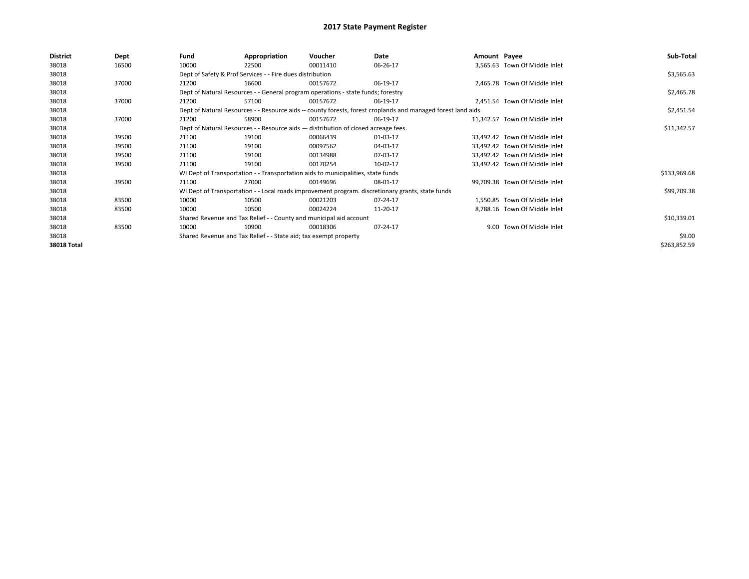| <b>District</b> | Dept  | Fund  | Appropriation                                                                                                | Voucher  | Date                                                                                             | Amount Payee |                                | Sub-Total    |  |
|-----------------|-------|-------|--------------------------------------------------------------------------------------------------------------|----------|--------------------------------------------------------------------------------------------------|--------------|--------------------------------|--------------|--|
| 38018           | 16500 | 10000 | 22500                                                                                                        | 00011410 | 06-26-17                                                                                         |              | 3,565.63 Town Of Middle Inlet  |              |  |
| 38018           |       |       | Dept of Safety & Prof Services - - Fire dues distribution                                                    |          |                                                                                                  |              |                                | \$3,565.63   |  |
| 38018           | 37000 | 21200 | 16600                                                                                                        | 00157672 | 06-19-17                                                                                         |              | 2,465.78 Town Of Middle Inlet  |              |  |
| 38018           |       |       | Dept of Natural Resources - - General program operations - state funds; forestry                             |          |                                                                                                  |              |                                | \$2,465.78   |  |
| 38018           | 37000 | 21200 | 57100                                                                                                        | 00157672 | 06-19-17                                                                                         |              | 2,451.54 Town Of Middle Inlet  |              |  |
| 38018           |       |       | Dept of Natural Resources - - Resource aids -- county forests, forest croplands and managed forest land aids |          |                                                                                                  |              |                                |              |  |
| 38018           | 37000 | 21200 | 58900                                                                                                        | 00157672 | 06-19-17                                                                                         |              | 11,342.57 Town Of Middle Inlet |              |  |
| 38018           |       |       | Dept of Natural Resources - - Resource aids - distribution of closed acreage fees.                           |          |                                                                                                  |              |                                | \$11,342.57  |  |
| 38018           | 39500 | 21100 | 19100                                                                                                        | 00066439 | 01-03-17                                                                                         |              | 33,492.42 Town Of Middle Inlet |              |  |
| 38018           | 39500 | 21100 | 19100                                                                                                        | 00097562 | 04-03-17                                                                                         |              | 33,492.42 Town Of Middle Inlet |              |  |
| 38018           | 39500 | 21100 | 19100                                                                                                        | 00134988 | 07-03-17                                                                                         |              | 33,492.42 Town Of Middle Inlet |              |  |
| 38018           | 39500 | 21100 | 19100                                                                                                        | 00170254 | 10-02-17                                                                                         |              | 33,492.42 Town Of Middle Inlet |              |  |
| 38018           |       |       | WI Dept of Transportation - - Transportation aids to municipalities, state funds                             |          |                                                                                                  |              |                                | \$133,969.68 |  |
| 38018           | 39500 | 21100 | 27000                                                                                                        | 00149696 | 08-01-17                                                                                         |              | 99,709.38 Town Of Middle Inlet |              |  |
| 38018           |       |       |                                                                                                              |          | WI Dept of Transportation - - Local roads improvement program. discretionary grants, state funds |              |                                | \$99,709.38  |  |
| 38018           | 83500 | 10000 | 10500                                                                                                        | 00021203 | 07-24-17                                                                                         |              | 1.550.85 Town Of Middle Inlet  |              |  |
| 38018           | 83500 | 10000 | 10500                                                                                                        | 00024224 | 11-20-17                                                                                         |              | 8,788.16 Town Of Middle Inlet  |              |  |
| 38018           |       |       | Shared Revenue and Tax Relief - - County and municipal aid account                                           |          |                                                                                                  |              |                                | \$10,339.01  |  |
| 38018           | 83500 | 10000 | 10900                                                                                                        | 00018306 | 07-24-17                                                                                         |              | 9.00 Town Of Middle Inlet      |              |  |
| 38018           |       |       | Shared Revenue and Tax Relief - - State aid; tax exempt property                                             |          |                                                                                                  |              |                                | \$9.00       |  |
| 38018 Total     |       |       |                                                                                                              |          |                                                                                                  |              |                                | \$263,852.59 |  |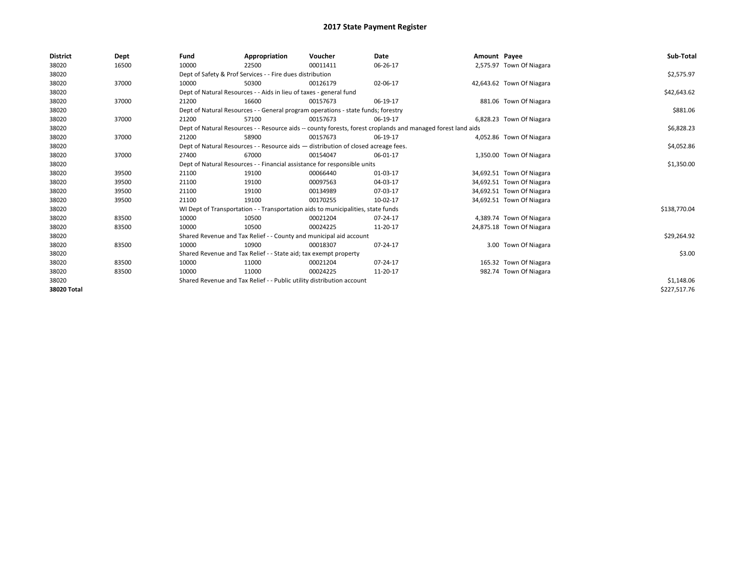| <b>District</b> | Dept  | Fund  | Appropriation                                                                                                | Voucher  | Date     | Amount Payee |                           | Sub-Total    |
|-----------------|-------|-------|--------------------------------------------------------------------------------------------------------------|----------|----------|--------------|---------------------------|--------------|
| 38020           | 16500 | 10000 | 22500                                                                                                        | 00011411 | 06-26-17 |              | 2,575.97 Town Of Niagara  |              |
| 38020           |       |       | Dept of Safety & Prof Services - - Fire dues distribution                                                    |          |          |              |                           | \$2,575.97   |
| 38020           | 37000 | 10000 | 50300                                                                                                        | 00126179 | 02-06-17 |              | 42,643.62 Town Of Niagara |              |
| 38020           |       |       | Dept of Natural Resources - - Aids in lieu of taxes - general fund                                           |          |          |              |                           | \$42,643.62  |
| 38020           | 37000 | 21200 | 16600                                                                                                        | 00157673 | 06-19-17 |              | 881.06 Town Of Niagara    |              |
| 38020           |       |       | Dept of Natural Resources - - General program operations - state funds; forestry                             |          | \$881.06 |              |                           |              |
| 38020           | 37000 | 21200 | 57100                                                                                                        | 00157673 | 06-19-17 |              | 6,828.23 Town Of Niagara  |              |
| 38020           |       |       | Dept of Natural Resources - - Resource aids -- county forests, forest croplands and managed forest land aids |          |          |              |                           | \$6,828.23   |
| 38020           | 37000 | 21200 | 58900                                                                                                        | 00157673 | 06-19-17 |              | 4,052.86 Town Of Niagara  |              |
| 38020           |       |       | Dept of Natural Resources - - Resource aids - distribution of closed acreage fees.                           |          |          |              |                           | \$4,052.86   |
| 38020           | 37000 | 27400 | 67000                                                                                                        | 00154047 | 06-01-17 |              | 1,350.00 Town Of Niagara  |              |
| 38020           |       |       | Dept of Natural Resources - - Financial assistance for responsible units                                     |          |          |              |                           | \$1,350.00   |
| 38020           | 39500 | 21100 | 19100                                                                                                        | 00066440 | 01-03-17 |              | 34,692.51 Town Of Niagara |              |
| 38020           | 39500 | 21100 | 19100                                                                                                        | 00097563 | 04-03-17 |              | 34,692.51 Town Of Niagara |              |
| 38020           | 39500 | 21100 | 19100                                                                                                        | 00134989 | 07-03-17 |              | 34,692.51 Town Of Niagara |              |
| 38020           | 39500 | 21100 | 19100                                                                                                        | 00170255 | 10-02-17 |              | 34,692.51 Town Of Niagara |              |
| 38020           |       |       | WI Dept of Transportation - - Transportation aids to municipalities, state funds                             |          |          |              |                           | \$138,770.04 |
| 38020           | 83500 | 10000 | 10500                                                                                                        | 00021204 | 07-24-17 |              | 4,389.74 Town Of Niagara  |              |
| 38020           | 83500 | 10000 | 10500                                                                                                        | 00024225 | 11-20-17 |              | 24,875.18 Town Of Niagara |              |
| 38020           |       |       | Shared Revenue and Tax Relief - - County and municipal aid account                                           |          |          |              |                           | \$29,264.92  |
| 38020           | 83500 | 10000 | 10900                                                                                                        | 00018307 | 07-24-17 |              | 3.00 Town Of Niagara      |              |
| 38020           |       |       | Shared Revenue and Tax Relief - - State aid; tax exempt property                                             |          |          |              |                           | \$3.00       |
| 38020           | 83500 | 10000 | 11000                                                                                                        | 00021204 | 07-24-17 |              | 165.32 Town Of Niagara    |              |
| 38020           | 83500 | 10000 | 11000                                                                                                        | 00024225 | 11-20-17 |              | 982.74 Town Of Niagara    |              |
| 38020           |       |       | Shared Revenue and Tax Relief - - Public utility distribution account                                        |          |          |              |                           | \$1,148.06   |
| 38020 Total     |       |       |                                                                                                              |          |          |              |                           | \$227,517.76 |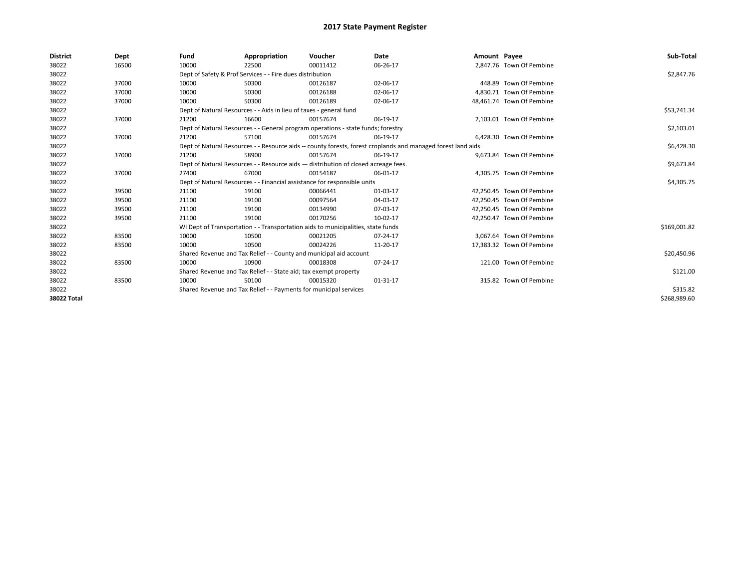| <b>District</b> | Dept  | Fund                                                              | Appropriation                                                                      | Voucher  | Date                                                                                                         | Amount Payee |                           | Sub-Total    |
|-----------------|-------|-------------------------------------------------------------------|------------------------------------------------------------------------------------|----------|--------------------------------------------------------------------------------------------------------------|--------------|---------------------------|--------------|
| 38022           | 16500 | 10000                                                             | 22500                                                                              | 00011412 | 06-26-17                                                                                                     |              | 2.847.76 Town Of Pembine  |              |
| 38022           |       |                                                                   | Dept of Safety & Prof Services - - Fire dues distribution                          |          |                                                                                                              |              |                           | \$2,847.76   |
| 38022           | 37000 | 10000                                                             | 50300                                                                              | 00126187 | 02-06-17                                                                                                     |              | 448.89 Town Of Pembine    |              |
| 38022           | 37000 | 10000                                                             | 50300                                                                              | 00126188 | 02-06-17                                                                                                     |              | 4.830.71 Town Of Pembine  |              |
| 38022           | 37000 | 10000                                                             | 50300                                                                              | 00126189 | 02-06-17                                                                                                     |              | 48,461.74 Town Of Pembine |              |
| 38022           |       |                                                                   | Dept of Natural Resources - - Aids in lieu of taxes - general fund                 |          |                                                                                                              |              |                           | \$53,741.34  |
| 38022           | 37000 | 21200                                                             | 16600                                                                              | 00157674 | 06-19-17                                                                                                     |              | 2.103.01 Town Of Pembine  |              |
| 38022           |       |                                                                   | Dept of Natural Resources - - General program operations - state funds; forestry   |          |                                                                                                              |              |                           | \$2,103.01   |
| 38022           | 37000 | 21200                                                             | 57100                                                                              | 00157674 | 06-19-17                                                                                                     |              | 6.428.30 Town Of Pembine  |              |
| 38022           |       |                                                                   |                                                                                    |          | Dept of Natural Resources - - Resource aids -- county forests, forest croplands and managed forest land aids |              |                           | \$6,428.30   |
| 38022           | 37000 | 21200                                                             | 58900                                                                              | 00157674 | 06-19-17                                                                                                     |              | 9,673.84 Town Of Pembine  |              |
| 38022           |       |                                                                   | Dept of Natural Resources - - Resource aids - distribution of closed acreage fees. |          |                                                                                                              |              |                           | \$9,673.84   |
| 38022           | 37000 | 27400                                                             | 67000                                                                              | 00154187 | 06-01-17                                                                                                     |              | 4,305.75 Town Of Pembine  |              |
| 38022           |       |                                                                   | Dept of Natural Resources - - Financial assistance for responsible units           |          |                                                                                                              |              |                           | \$4,305.75   |
| 38022           | 39500 | 21100                                                             | 19100                                                                              | 00066441 | 01-03-17                                                                                                     |              | 42,250.45 Town Of Pembine |              |
| 38022           | 39500 | 21100                                                             | 19100                                                                              | 00097564 | 04-03-17                                                                                                     |              | 42.250.45 Town Of Pembine |              |
| 38022           | 39500 | 21100                                                             | 19100                                                                              | 00134990 | 07-03-17                                                                                                     |              | 42,250.45 Town Of Pembine |              |
| 38022           | 39500 | 21100                                                             | 19100                                                                              | 00170256 | 10-02-17                                                                                                     |              | 42,250.47 Town Of Pembine |              |
| 38022           |       |                                                                   | WI Dept of Transportation - - Transportation aids to municipalities, state funds   |          |                                                                                                              |              |                           | \$169,001.82 |
| 38022           | 83500 | 10000                                                             | 10500                                                                              | 00021205 | 07-24-17                                                                                                     |              | 3.067.64 Town Of Pembine  |              |
| 38022           | 83500 | 10000                                                             | 10500                                                                              | 00024226 | 11-20-17                                                                                                     |              | 17,383.32 Town Of Pembine |              |
| 38022           |       |                                                                   | Shared Revenue and Tax Relief - - County and municipal aid account                 |          |                                                                                                              |              |                           | \$20,450.96  |
| 38022           | 83500 | 10000                                                             | 10900                                                                              | 00018308 | 07-24-17                                                                                                     |              | 121.00 Town Of Pembine    |              |
| 38022           |       |                                                                   | Shared Revenue and Tax Relief - - State aid; tax exempt property                   |          |                                                                                                              |              |                           | \$121.00     |
| 38022           | 83500 | 10000                                                             | 50100                                                                              | 00015320 | 01-31-17                                                                                                     |              | 315.82 Town Of Pembine    |              |
| 38022           |       | Shared Revenue and Tax Relief - - Payments for municipal services |                                                                                    | \$315.82 |                                                                                                              |              |                           |              |
| 38022 Total     |       |                                                                   |                                                                                    |          |                                                                                                              |              |                           | \$268,989.60 |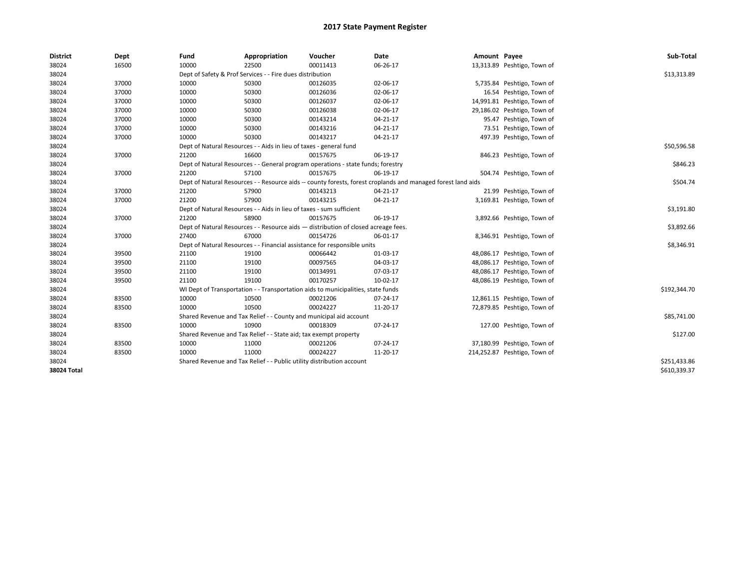| <b>District</b> | Dept  | Fund  | Appropriation                                                                      | Voucher  | Date                                                                                                         | Amount Payee |                              | Sub-Total    |
|-----------------|-------|-------|------------------------------------------------------------------------------------|----------|--------------------------------------------------------------------------------------------------------------|--------------|------------------------------|--------------|
| 38024           | 16500 | 10000 | 22500                                                                              | 00011413 | 06-26-17                                                                                                     |              | 13,313.89 Peshtigo, Town of  |              |
| 38024           |       |       | Dept of Safety & Prof Services - - Fire dues distribution                          |          |                                                                                                              |              |                              | \$13,313.89  |
| 38024           | 37000 | 10000 | 50300                                                                              | 00126035 | 02-06-17                                                                                                     |              | 5,735.84 Peshtigo, Town of   |              |
| 38024           | 37000 | 10000 | 50300                                                                              | 00126036 | 02-06-17                                                                                                     |              | 16.54 Peshtigo, Town of      |              |
| 38024           | 37000 | 10000 | 50300                                                                              | 00126037 | 02-06-17                                                                                                     |              | 14,991.81 Peshtigo, Town of  |              |
| 38024           | 37000 | 10000 | 50300                                                                              | 00126038 | 02-06-17                                                                                                     |              | 29,186.02 Peshtigo, Town of  |              |
| 38024           | 37000 | 10000 | 50300                                                                              | 00143214 | 04-21-17                                                                                                     |              | 95.47 Peshtigo, Town of      |              |
| 38024           | 37000 | 10000 | 50300                                                                              | 00143216 | 04-21-17                                                                                                     |              | 73.51 Peshtigo, Town of      |              |
| 38024           | 37000 | 10000 | 50300                                                                              | 00143217 | 04-21-17                                                                                                     |              | 497.39 Peshtigo, Town of     |              |
| 38024           |       |       | Dept of Natural Resources - - Aids in lieu of taxes - general fund                 |          |                                                                                                              |              |                              | \$50,596.58  |
| 38024           | 37000 | 21200 | 16600                                                                              | 00157675 | 06-19-17                                                                                                     |              | 846.23 Peshtigo, Town of     |              |
| 38024           |       |       | Dept of Natural Resources - - General program operations - state funds; forestry   |          |                                                                                                              |              |                              | \$846.23     |
| 38024           | 37000 | 21200 | 57100                                                                              | 00157675 | 06-19-17                                                                                                     |              | 504.74 Peshtigo, Town of     |              |
| 38024           |       |       |                                                                                    |          | Dept of Natural Resources - - Resource aids -- county forests, forest croplands and managed forest land aids |              |                              | \$504.74     |
| 38024           | 37000 | 21200 | 57900                                                                              | 00143213 | 04-21-17                                                                                                     |              | 21.99 Peshtigo, Town of      |              |
| 38024           | 37000 | 21200 | 57900                                                                              | 00143215 | 04-21-17                                                                                                     |              | 3,169.81 Peshtigo, Town of   |              |
| 38024           |       |       | Dept of Natural Resources - - Aids in lieu of taxes - sum sufficient               |          |                                                                                                              |              |                              | \$3,191.80   |
| 38024           | 37000 | 21200 | 58900                                                                              | 00157675 | 06-19-17                                                                                                     |              | 3,892.66 Peshtigo, Town of   |              |
| 38024           |       |       | Dept of Natural Resources - - Resource aids - distribution of closed acreage fees. |          |                                                                                                              |              |                              | \$3,892.66   |
| 38024           | 37000 | 27400 | 67000                                                                              | 00154726 | 06-01-17                                                                                                     |              | 8,346.91 Peshtigo, Town of   |              |
| 38024           |       |       | Dept of Natural Resources - - Financial assistance for responsible units           |          |                                                                                                              |              |                              | \$8,346.91   |
| 38024           | 39500 | 21100 | 19100                                                                              | 00066442 | 01-03-17                                                                                                     |              | 48,086.17 Peshtigo, Town of  |              |
| 38024           | 39500 | 21100 | 19100                                                                              | 00097565 | 04-03-17                                                                                                     |              | 48,086.17 Peshtigo, Town of  |              |
| 38024           | 39500 | 21100 | 19100                                                                              | 00134991 | 07-03-17                                                                                                     |              | 48,086.17 Peshtigo, Town of  |              |
| 38024           | 39500 | 21100 | 19100                                                                              | 00170257 | 10-02-17                                                                                                     |              | 48,086.19 Peshtigo, Town of  |              |
| 38024           |       |       | WI Dept of Transportation - - Transportation aids to municipalities, state funds   |          |                                                                                                              |              |                              | \$192,344.70 |
| 38024           | 83500 | 10000 | 10500                                                                              | 00021206 | 07-24-17                                                                                                     |              | 12,861.15 Peshtigo, Town of  |              |
| 38024           | 83500 | 10000 | 10500                                                                              | 00024227 | 11-20-17                                                                                                     |              | 72,879.85 Peshtigo, Town of  |              |
| 38024           |       |       | Shared Revenue and Tax Relief - - County and municipal aid account                 |          |                                                                                                              |              |                              | \$85,741.00  |
| 38024           | 83500 | 10000 | 10900                                                                              | 00018309 | 07-24-17                                                                                                     |              | 127.00 Peshtigo, Town of     |              |
| 38024           |       |       | Shared Revenue and Tax Relief - - State aid; tax exempt property                   |          |                                                                                                              |              |                              | \$127.00     |
| 38024           | 83500 | 10000 | 11000                                                                              | 00021206 | 07-24-17                                                                                                     |              | 37,180.99 Peshtigo, Town of  |              |
| 38024           | 83500 | 10000 | 11000                                                                              | 00024227 | 11-20-17                                                                                                     |              | 214,252.87 Peshtigo, Town of |              |
| 38024           |       |       | Shared Revenue and Tax Relief - - Public utility distribution account              |          |                                                                                                              |              |                              | \$251,433.86 |
| 38024 Total     |       |       |                                                                                    |          |                                                                                                              |              |                              | \$610,339.37 |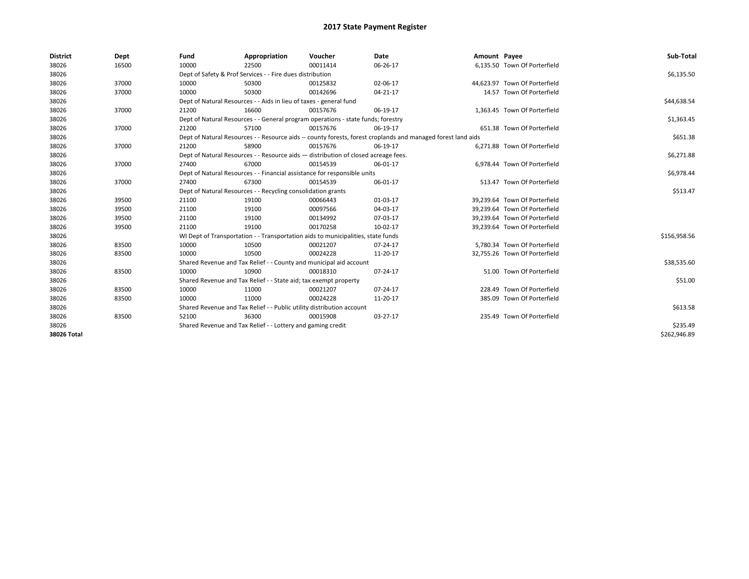| <b>District</b> | Dept  | Fund                                                               | Appropriation                                                                      | Voucher     | Date                                                                                                         | Amount Payee |                               | Sub-Total    |
|-----------------|-------|--------------------------------------------------------------------|------------------------------------------------------------------------------------|-------------|--------------------------------------------------------------------------------------------------------------|--------------|-------------------------------|--------------|
| 38026           | 16500 | 10000                                                              | 22500                                                                              | 00011414    | 06-26-17                                                                                                     |              | 6,135.50 Town Of Porterfield  |              |
| 38026           |       |                                                                    | Dept of Safety & Prof Services - - Fire dues distribution                          |             |                                                                                                              |              |                               | \$6,135.50   |
| 38026           | 37000 | 10000                                                              | 50300                                                                              | 00125832    | 02-06-17                                                                                                     |              | 44.623.97 Town Of Porterfield |              |
| 38026           | 37000 | 10000                                                              | 50300                                                                              | 00142696    | 04-21-17                                                                                                     |              | 14.57 Town Of Porterfield     |              |
| 38026           |       | Dept of Natural Resources - - Aids in lieu of taxes - general fund |                                                                                    | \$44,638.54 |                                                                                                              |              |                               |              |
| 38026           | 37000 | 21200                                                              | 16600                                                                              | 00157676    | 06-19-17                                                                                                     |              | 1,363.45 Town Of Porterfield  |              |
| 38026           |       |                                                                    | Dept of Natural Resources - - General program operations - state funds; forestry   |             |                                                                                                              |              |                               | \$1,363.45   |
| 38026           | 37000 | 21200                                                              | 57100                                                                              | 00157676    | 06-19-17                                                                                                     |              | 651.38 Town Of Porterfield    |              |
| 38026           |       |                                                                    |                                                                                    |             | Dept of Natural Resources - - Resource aids -- county forests, forest croplands and managed forest land aids |              |                               | \$651.38     |
| 38026           | 37000 | 21200                                                              | 58900                                                                              | 00157676    | 06-19-17                                                                                                     |              | 6,271.88 Town Of Porterfield  |              |
| 38026           |       |                                                                    | Dept of Natural Resources - - Resource aids - distribution of closed acreage fees. |             |                                                                                                              |              |                               | \$6,271.88   |
| 38026           | 37000 | 27400                                                              | 67000                                                                              | 00154539    | 06-01-17                                                                                                     |              | 6,978.44 Town Of Porterfield  |              |
| 38026           |       |                                                                    | Dept of Natural Resources - - Financial assistance for responsible units           |             |                                                                                                              |              |                               | \$6,978.44   |
| 38026           | 37000 | 27400                                                              | 67300                                                                              | 00154539    | 06-01-17                                                                                                     |              | 513.47 Town Of Porterfield    |              |
| 38026           |       |                                                                    | Dept of Natural Resources - - Recycling consolidation grants                       |             |                                                                                                              |              |                               | \$513.47     |
| 38026           | 39500 | 21100                                                              | 19100                                                                              | 00066443    | 01-03-17                                                                                                     |              | 39,239.64 Town Of Porterfield |              |
| 38026           | 39500 | 21100                                                              | 19100                                                                              | 00097566    | 04-03-17                                                                                                     |              | 39,239.64 Town Of Porterfield |              |
| 38026           | 39500 | 21100                                                              | 19100                                                                              | 00134992    | 07-03-17                                                                                                     |              | 39,239.64 Town Of Porterfield |              |
| 38026           | 39500 | 21100                                                              | 19100                                                                              | 00170258    | 10-02-17                                                                                                     |              | 39,239.64 Town Of Porterfield |              |
| 38026           |       |                                                                    | WI Dept of Transportation - - Transportation aids to municipalities, state funds   |             |                                                                                                              |              |                               | \$156,958.56 |
| 38026           | 83500 | 10000                                                              | 10500                                                                              | 00021207    | $07 - 24 - 17$                                                                                               |              | 5.780.34 Town Of Porterfield  |              |
| 38026           | 83500 | 10000                                                              | 10500                                                                              | 00024228    | 11-20-17                                                                                                     |              | 32,755.26 Town Of Porterfield |              |
| 38026           |       |                                                                    | Shared Revenue and Tax Relief - - County and municipal aid account                 |             |                                                                                                              |              |                               | \$38,535.60  |
| 38026           | 83500 | 10000                                                              | 10900                                                                              | 00018310    | 07-24-17                                                                                                     |              | 51.00 Town Of Porterfield     |              |
| 38026           |       |                                                                    | Shared Revenue and Tax Relief - - State aid; tax exempt property                   |             |                                                                                                              |              |                               | \$51.00      |
| 38026           | 83500 | 10000                                                              | 11000                                                                              | 00021207    | 07-24-17                                                                                                     |              | 228.49 Town Of Porterfield    |              |
| 38026           | 83500 | 10000                                                              | 11000                                                                              | 00024228    | 11-20-17                                                                                                     |              | 385.09 Town Of Porterfield    |              |
| 38026           |       |                                                                    | Shared Revenue and Tax Relief - - Public utility distribution account              |             |                                                                                                              |              |                               | \$613.58     |
| 38026           | 83500 | 52100                                                              | 36300                                                                              | 00015908    | 03-27-17                                                                                                     |              | 235.49 Town Of Porterfield    |              |
| 38026           |       |                                                                    | Shared Revenue and Tax Relief - - Lottery and gaming credit                        |             |                                                                                                              |              |                               | \$235.49     |
| 38026 Total     |       |                                                                    |                                                                                    |             |                                                                                                              |              |                               | \$262,946.89 |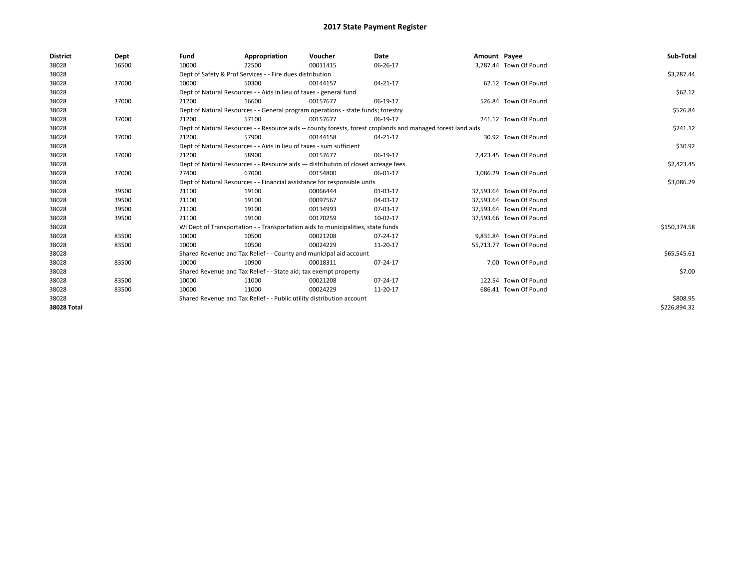| <b>District</b> | Dept  | Fund                                                                                                         | Appropriation                                                                      | Voucher  | Date     | Amount Payee |                         | Sub-Total    |
|-----------------|-------|--------------------------------------------------------------------------------------------------------------|------------------------------------------------------------------------------------|----------|----------|--------------|-------------------------|--------------|
| 38028           | 16500 | 10000                                                                                                        | 22500                                                                              | 00011415 | 06-26-17 |              | 3,787.44 Town Of Pound  |              |
| 38028           |       |                                                                                                              | Dept of Safety & Prof Services - - Fire dues distribution                          |          |          |              |                         | \$3,787.44   |
| 38028           | 37000 | 10000                                                                                                        | 50300                                                                              | 00144157 | 04-21-17 |              | 62.12 Town Of Pound     |              |
| 38028           |       |                                                                                                              | Dept of Natural Resources - - Aids in lieu of taxes - general fund                 |          |          |              |                         | \$62.12      |
| 38028           | 37000 | 21200                                                                                                        | 16600                                                                              | 00157677 | 06-19-17 |              | 526.84 Town Of Pound    |              |
| 38028           |       |                                                                                                              | Dept of Natural Resources - - General program operations - state funds; forestry   |          |          |              |                         | \$526.84     |
| 38028           | 37000 | 21200                                                                                                        | 57100                                                                              | 00157677 | 06-19-17 |              | 241.12 Town Of Pound    |              |
| 38028           |       | Dept of Natural Resources - - Resource aids -- county forests, forest croplands and managed forest land aids |                                                                                    | \$241.12 |          |              |                         |              |
| 38028           | 37000 | 21200                                                                                                        | 57900                                                                              | 00144158 | 04-21-17 |              | 30.92 Town Of Pound     |              |
| 38028           |       |                                                                                                              | Dept of Natural Resources - - Aids in lieu of taxes - sum sufficient               |          |          |              |                         | \$30.92      |
| 38028           | 37000 | 21200                                                                                                        | 58900                                                                              | 00157677 | 06-19-17 |              | 2,423.45 Town Of Pound  |              |
| 38028           |       |                                                                                                              | Dept of Natural Resources - - Resource aids - distribution of closed acreage fees. |          |          |              |                         | \$2,423.45   |
| 38028           | 37000 | 27400                                                                                                        | 67000                                                                              | 00154800 | 06-01-17 |              | 3,086.29 Town Of Pound  |              |
| 38028           |       |                                                                                                              | Dept of Natural Resources - - Financial assistance for responsible units           |          |          |              |                         | \$3,086.29   |
| 38028           | 39500 | 21100                                                                                                        | 19100                                                                              | 00066444 | 01-03-17 |              | 37,593.64 Town Of Pound |              |
| 38028           | 39500 | 21100                                                                                                        | 19100                                                                              | 00097567 | 04-03-17 |              | 37.593.64 Town Of Pound |              |
| 38028           | 39500 | 21100                                                                                                        | 19100                                                                              | 00134993 | 07-03-17 |              | 37,593.64 Town Of Pound |              |
| 38028           | 39500 | 21100                                                                                                        | 19100                                                                              | 00170259 | 10-02-17 |              | 37,593.66 Town Of Pound |              |
| 38028           |       |                                                                                                              | WI Dept of Transportation - - Transportation aids to municipalities, state funds   |          |          |              |                         | \$150,374.58 |
| 38028           | 83500 | 10000                                                                                                        | 10500                                                                              | 00021208 | 07-24-17 |              | 9.831.84 Town Of Pound  |              |
| 38028           | 83500 | 10000                                                                                                        | 10500                                                                              | 00024229 | 11-20-17 |              | 55,713.77 Town Of Pound |              |
| 38028           |       |                                                                                                              | Shared Revenue and Tax Relief - - County and municipal aid account                 |          |          |              |                         | \$65,545.61  |
| 38028           | 83500 | 10000                                                                                                        | 10900                                                                              | 00018311 | 07-24-17 |              | 7.00 Town Of Pound      |              |
| 38028           |       |                                                                                                              | Shared Revenue and Tax Relief - - State aid; tax exempt property                   |          |          |              |                         | \$7.00       |
| 38028           | 83500 | 10000                                                                                                        | 11000                                                                              | 00021208 | 07-24-17 |              | 122.54 Town Of Pound    |              |
| 38028           | 83500 | 10000                                                                                                        | 11000                                                                              | 00024229 | 11-20-17 |              | 686.41 Town Of Pound    |              |
| 38028           |       |                                                                                                              | Shared Revenue and Tax Relief - - Public utility distribution account              |          |          |              |                         | \$808.95     |
| 38028 Total     |       |                                                                                                              |                                                                                    |          |          |              |                         | \$226,894.32 |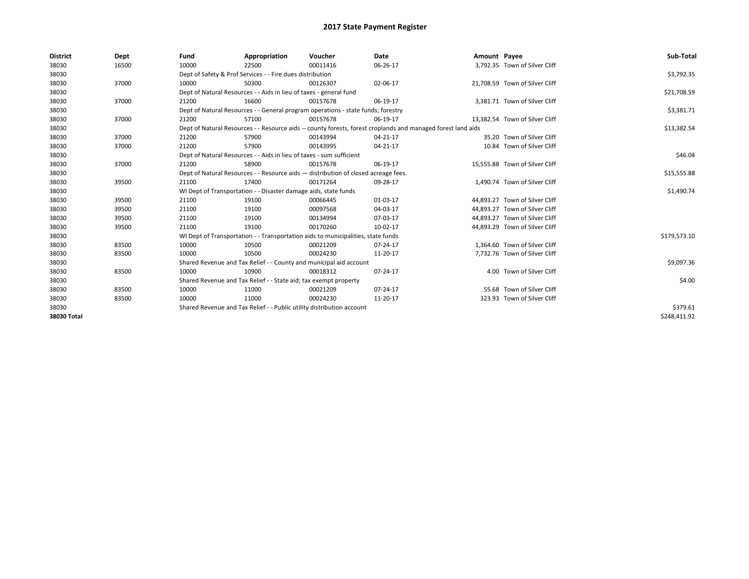| <b>District</b> | Dept  | Fund  | Appropriation                                                                                                | Voucher  | <b>Date</b> | Amount Payee |                                | Sub-Total    |  |  |  |
|-----------------|-------|-------|--------------------------------------------------------------------------------------------------------------|----------|-------------|--------------|--------------------------------|--------------|--|--|--|
| 38030           | 16500 | 10000 | 22500                                                                                                        | 00011416 | 06-26-17    |              | 3,792.35 Town of Silver Cliff  |              |  |  |  |
| 38030           |       |       | Dept of Safety & Prof Services - - Fire dues distribution                                                    |          |             |              |                                | \$3,792.35   |  |  |  |
| 38030           | 37000 | 10000 | 50300                                                                                                        | 00126307 | 02-06-17    |              | 21,708.59 Town of Silver Cliff |              |  |  |  |
| 38030           |       |       | Dept of Natural Resources - - Aids in lieu of taxes - general fund                                           |          |             |              |                                | \$21,708.59  |  |  |  |
| 38030           | 37000 | 21200 | 16600                                                                                                        | 00157678 | 06-19-17    |              | 3,381.71 Town of Silver Cliff  |              |  |  |  |
| 38030           |       |       | Dept of Natural Resources - - General program operations - state funds; forestry                             |          |             |              |                                | \$3,381.71   |  |  |  |
| 38030           | 37000 | 21200 | 57100                                                                                                        | 00157678 | 06-19-17    |              | 13,382.54 Town of Silver Cliff |              |  |  |  |
| 38030           |       |       | Dept of Natural Resources - - Resource aids -- county forests, forest croplands and managed forest land aids |          |             |              |                                | \$13,382.54  |  |  |  |
| 38030           | 37000 | 21200 | 57900                                                                                                        | 00143994 | 04-21-17    |              | 35.20 Town of Silver Cliff     |              |  |  |  |
| 38030           | 37000 | 21200 | 57900                                                                                                        | 00143995 | 04-21-17    |              | 10.84 Town of Silver Cliff     |              |  |  |  |
| 38030           |       |       | Dept of Natural Resources - - Aids in lieu of taxes - sum sufficient                                         |          |             |              |                                | \$46.04      |  |  |  |
| 38030           | 37000 | 21200 | 58900                                                                                                        | 00157678 | 06-19-17    |              | 15,555.88 Town of Silver Cliff |              |  |  |  |
| 38030           |       |       | Dept of Natural Resources - - Resource aids - distribution of closed acreage fees.                           |          |             |              |                                |              |  |  |  |
| 38030           | 39500 | 21100 | 17400                                                                                                        | 00171264 | 09-28-17    |              | 1,490.74 Town of Silver Cliff  |              |  |  |  |
| 38030           |       |       | WI Dept of Transportation - - Disaster damage aids, state funds                                              |          |             |              |                                | \$1,490.74   |  |  |  |
| 38030           | 39500 | 21100 | 19100                                                                                                        | 00066445 | 01-03-17    |              | 44.893.27 Town of Silver Cliff |              |  |  |  |
| 38030           | 39500 | 21100 | 19100                                                                                                        | 00097568 | 04-03-17    |              | 44,893.27 Town of Silver Cliff |              |  |  |  |
| 38030           | 39500 | 21100 | 19100                                                                                                        | 00134994 | 07-03-17    |              | 44.893.27 Town of Silver Cliff |              |  |  |  |
| 38030           | 39500 | 21100 | 19100                                                                                                        | 00170260 | 10-02-17    |              | 44,893.29 Town of Silver Cliff |              |  |  |  |
| 38030           |       |       | WI Dept of Transportation - - Transportation aids to municipalities, state funds                             |          |             |              |                                | \$179,573.10 |  |  |  |
| 38030           | 83500 | 10000 | 10500                                                                                                        | 00021209 | 07-24-17    |              | 1.364.60 Town of Silver Cliff  |              |  |  |  |
| 38030           | 83500 | 10000 | 10500                                                                                                        | 00024230 | 11-20-17    |              | 7,732.76 Town of Silver Cliff  |              |  |  |  |
| 38030           |       |       | Shared Revenue and Tax Relief - - County and municipal aid account                                           |          |             |              |                                | \$9,097.36   |  |  |  |
| 38030           | 83500 | 10000 | 10900                                                                                                        | 00018312 | 07-24-17    |              | 4.00 Town of Silver Cliff      |              |  |  |  |
| 38030           |       |       | Shared Revenue and Tax Relief - - State aid; tax exempt property                                             |          |             |              |                                | \$4.00       |  |  |  |
| 38030           | 83500 | 10000 | 11000                                                                                                        | 00021209 | 07-24-17    |              | 55.68 Town of Silver Cliff     |              |  |  |  |
| 38030           | 83500 | 10000 | 11000                                                                                                        | 00024230 | 11-20-17    |              | 323.93 Town of Silver Cliff    |              |  |  |  |
| 38030           |       |       | Shared Revenue and Tax Relief - - Public utility distribution account                                        |          |             |              |                                |              |  |  |  |
| 38030 Total     |       |       |                                                                                                              |          |             |              |                                | \$248,411.92 |  |  |  |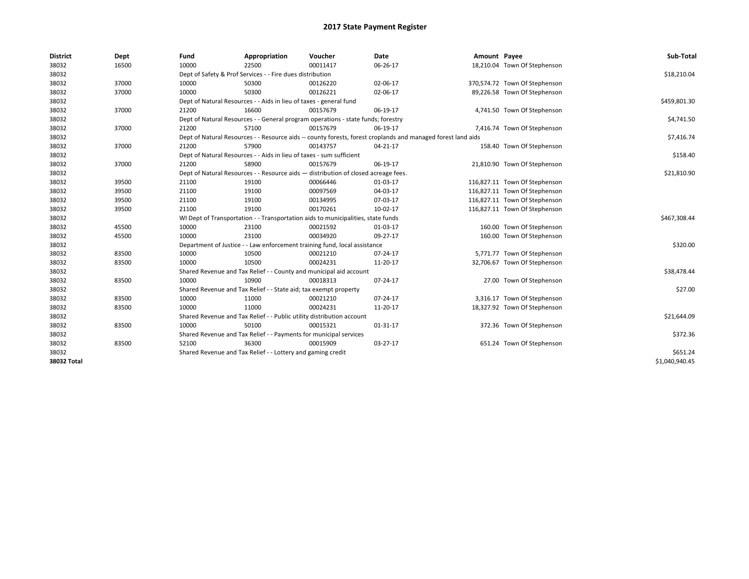| <b>District</b> | Dept  | Fund  | Appropriation                                                                      | Voucher  | Date                                                                                                         | Amount Payee |                               | Sub-Total      |
|-----------------|-------|-------|------------------------------------------------------------------------------------|----------|--------------------------------------------------------------------------------------------------------------|--------------|-------------------------------|----------------|
| 38032           | 16500 | 10000 | 22500                                                                              | 00011417 | 06-26-17                                                                                                     |              | 18,210.04 Town Of Stephenson  |                |
| 38032           |       |       | Dept of Safety & Prof Services - - Fire dues distribution                          |          |                                                                                                              |              |                               | \$18,210.04    |
| 38032           | 37000 | 10000 | 50300                                                                              | 00126220 | 02-06-17                                                                                                     |              | 370,574.72 Town Of Stephenson |                |
| 38032           | 37000 | 10000 | 50300                                                                              | 00126221 | 02-06-17                                                                                                     |              | 89,226.58 Town Of Stephenson  |                |
| 38032           |       |       | Dept of Natural Resources - - Aids in lieu of taxes - general fund                 |          |                                                                                                              |              |                               | \$459,801.30   |
| 38032           | 37000 | 21200 | 16600                                                                              | 00157679 | 06-19-17                                                                                                     |              | 4,741.50 Town Of Stephenson   |                |
| 38032           |       |       | Dept of Natural Resources - - General program operations - state funds; forestry   |          |                                                                                                              |              |                               | \$4,741.50     |
| 38032           | 37000 | 21200 | 57100                                                                              | 00157679 | 06-19-17                                                                                                     |              | 7,416.74 Town Of Stephenson   |                |
| 38032           |       |       |                                                                                    |          | Dept of Natural Resources - - Resource aids -- county forests, forest croplands and managed forest land aids |              |                               | \$7,416.74     |
| 38032           | 37000 | 21200 | 57900                                                                              | 00143757 | $04 - 21 - 17$                                                                                               |              | 158.40 Town Of Stephenson     |                |
| 38032           |       |       | Dept of Natural Resources - - Aids in lieu of taxes - sum sufficient               |          |                                                                                                              |              |                               | \$158.40       |
| 38032           | 37000 | 21200 | 58900                                                                              | 00157679 | 06-19-17                                                                                                     |              | 21,810.90 Town Of Stephenson  |                |
| 38032           |       |       | Dept of Natural Resources - - Resource aids - distribution of closed acreage fees. |          |                                                                                                              |              |                               | \$21,810.90    |
| 38032           | 39500 | 21100 | 19100                                                                              | 00066446 | 01-03-17                                                                                                     |              | 116,827.11 Town Of Stephenson |                |
| 38032           | 39500 | 21100 | 19100                                                                              | 00097569 | 04-03-17                                                                                                     |              | 116,827.11 Town Of Stephenson |                |
| 38032           | 39500 | 21100 | 19100                                                                              | 00134995 | 07-03-17                                                                                                     |              | 116,827.11 Town Of Stephenson |                |
| 38032           | 39500 | 21100 | 19100                                                                              | 00170261 | 10-02-17                                                                                                     |              | 116,827.11 Town Of Stephenson |                |
| 38032           |       |       | WI Dept of Transportation - - Transportation aids to municipalities, state funds   |          |                                                                                                              |              |                               | \$467,308.44   |
| 38032           | 45500 | 10000 | 23100                                                                              | 00021592 | 01-03-17                                                                                                     |              | 160.00 Town Of Stephenson     |                |
| 38032           | 45500 | 10000 | 23100                                                                              | 00034920 | 09-27-17                                                                                                     |              | 160.00 Town Of Stephenson     |                |
| 38032           |       |       | Department of Justice - - Law enforcement training fund, local assistance          |          |                                                                                                              |              |                               | \$320.00       |
| 38032           | 83500 | 10000 | 10500                                                                              | 00021210 | 07-24-17                                                                                                     |              | 5,771.77 Town Of Stephenson   |                |
| 38032           | 83500 | 10000 | 10500                                                                              | 00024231 | 11-20-17                                                                                                     |              | 32,706.67 Town Of Stephenson  |                |
| 38032           |       |       | Shared Revenue and Tax Relief - - County and municipal aid account                 |          |                                                                                                              |              |                               | \$38,478.44    |
| 38032           | 83500 | 10000 | 10900                                                                              | 00018313 | 07-24-17                                                                                                     |              | 27.00 Town Of Stephenson      |                |
| 38032           |       |       | Shared Revenue and Tax Relief - - State aid; tax exempt property                   |          |                                                                                                              |              |                               | \$27.00        |
| 38032           | 83500 | 10000 | 11000                                                                              | 00021210 | 07-24-17                                                                                                     |              | 3,316.17 Town Of Stephenson   |                |
| 38032           | 83500 | 10000 | 11000                                                                              | 00024231 | 11-20-17                                                                                                     |              | 18,327.92 Town Of Stephenson  |                |
| 38032           |       |       | Shared Revenue and Tax Relief - - Public utility distribution account              |          |                                                                                                              |              |                               | \$21,644.09    |
| 38032           | 83500 | 10000 | 50100                                                                              | 00015321 | 01-31-17                                                                                                     |              | 372.36 Town Of Stephenson     |                |
| 38032           |       |       | Shared Revenue and Tax Relief - - Payments for municipal services                  |          |                                                                                                              |              |                               | \$372.36       |
| 38032           | 83500 | 52100 | 36300                                                                              | 00015909 | 03-27-17                                                                                                     |              | 651.24 Town Of Stephenson     |                |
| 38032           |       |       | Shared Revenue and Tax Relief - - Lottery and gaming credit                        |          |                                                                                                              |              |                               | \$651.24       |
| 38032 Total     |       |       |                                                                                    |          |                                                                                                              |              |                               | \$1,040,940.45 |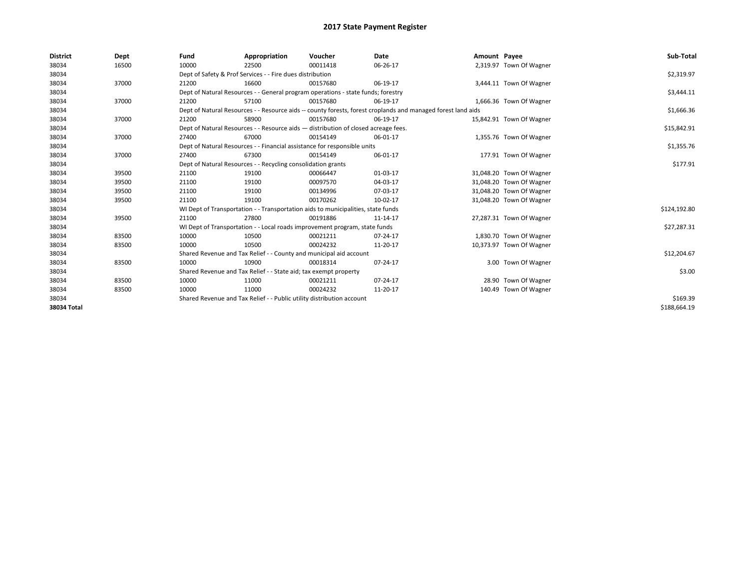| <b>District</b> | Dept  | Fund  | Appropriation                                                                                                | Voucher  | Date       | Amount Payee |                          | Sub-Total    |  |  |
|-----------------|-------|-------|--------------------------------------------------------------------------------------------------------------|----------|------------|--------------|--------------------------|--------------|--|--|
| 38034           | 16500 | 10000 | 22500                                                                                                        | 00011418 | 06-26-17   |              | 2,319.97 Town Of Wagner  |              |  |  |
| 38034           |       |       | Dept of Safety & Prof Services - - Fire dues distribution                                                    |          |            |              |                          | \$2,319.97   |  |  |
| 38034           | 37000 | 21200 | 16600                                                                                                        | 00157680 | 06-19-17   |              | 3,444.11 Town Of Wagner  |              |  |  |
| 38034           |       |       | Dept of Natural Resources - - General program operations - state funds; forestry                             |          |            |              |                          | \$3,444.11   |  |  |
| 38034           | 37000 | 21200 | 57100                                                                                                        | 00157680 | 06-19-17   |              | 1,666.36 Town Of Wagner  |              |  |  |
| 38034           |       |       | Dept of Natural Resources - - Resource aids -- county forests, forest croplands and managed forest land aids |          | \$1,666.36 |              |                          |              |  |  |
| 38034           | 37000 | 21200 | 58900                                                                                                        | 00157680 | 06-19-17   |              | 15,842.91 Town Of Wagner |              |  |  |
| 38034           |       |       | Dept of Natural Resources - - Resource aids - distribution of closed acreage fees.                           |          |            |              |                          | \$15,842.91  |  |  |
| 38034           | 37000 | 27400 | 67000                                                                                                        | 00154149 | 06-01-17   |              | 1,355.76 Town Of Wagner  |              |  |  |
| 38034           |       |       | Dept of Natural Resources - - Financial assistance for responsible units                                     |          |            |              |                          | \$1,355.76   |  |  |
| 38034           | 37000 | 27400 | 67300                                                                                                        | 00154149 | 06-01-17   |              | 177.91 Town Of Wagner    |              |  |  |
| 38034           |       |       | Dept of Natural Resources - - Recycling consolidation grants                                                 |          |            |              |                          | \$177.91     |  |  |
| 38034           | 39500 | 21100 | 19100                                                                                                        | 00066447 | 01-03-17   |              | 31,048.20 Town Of Wagner |              |  |  |
| 38034           | 39500 | 21100 | 19100                                                                                                        | 00097570 | 04-03-17   |              | 31,048.20 Town Of Wagner |              |  |  |
| 38034           | 39500 | 21100 | 19100                                                                                                        | 00134996 | 07-03-17   |              | 31,048.20 Town Of Wagner |              |  |  |
| 38034           | 39500 | 21100 | 19100                                                                                                        | 00170262 | 10-02-17   |              | 31,048.20 Town Of Wagner |              |  |  |
| 38034           |       |       | WI Dept of Transportation - - Transportation aids to municipalities, state funds                             |          |            |              |                          | \$124,192.80 |  |  |
| 38034           | 39500 | 21100 | 27800                                                                                                        | 00191886 | 11-14-17   |              | 27,287.31 Town Of Wagner |              |  |  |
| 38034           |       |       | WI Dept of Transportation - - Local roads improvement program, state funds                                   |          |            |              |                          | \$27,287.31  |  |  |
| 38034           | 83500 | 10000 | 10500                                                                                                        | 00021211 | 07-24-17   |              | 1,830.70 Town Of Wagner  |              |  |  |
| 38034           | 83500 | 10000 | 10500                                                                                                        | 00024232 | 11-20-17   |              | 10,373.97 Town Of Wagner |              |  |  |
| 38034           |       |       | Shared Revenue and Tax Relief - - County and municipal aid account                                           |          |            |              |                          | \$12,204.67  |  |  |
| 38034           | 83500 | 10000 | 10900                                                                                                        | 00018314 | 07-24-17   |              | 3.00 Town Of Wagner      |              |  |  |
| 38034           |       |       | Shared Revenue and Tax Relief - - State aid; tax exempt property                                             |          |            |              |                          | \$3.00       |  |  |
| 38034           | 83500 | 10000 | 11000                                                                                                        | 00021211 | 07-24-17   |              | 28.90 Town Of Wagner     |              |  |  |
| 38034           | 83500 | 10000 | 11000                                                                                                        | 00024232 | 11-20-17   |              | 140.49 Town Of Wagner    |              |  |  |
| 38034           |       |       | Shared Revenue and Tax Relief - - Public utility distribution account                                        |          |            |              |                          |              |  |  |
| 38034 Total     |       |       |                                                                                                              |          |            |              |                          | \$188.664.19 |  |  |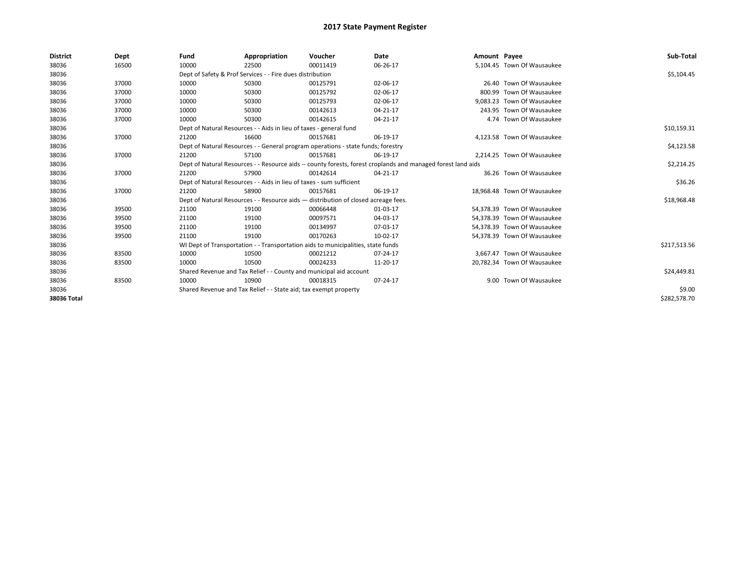| <b>District</b> | Dept  | Fund  | Appropriation                                                                      | Voucher  | Date                                                                                                         | Amount Payee |                             | Sub-Total    |
|-----------------|-------|-------|------------------------------------------------------------------------------------|----------|--------------------------------------------------------------------------------------------------------------|--------------|-----------------------------|--------------|
| 38036           | 16500 | 10000 | 22500                                                                              | 00011419 | 06-26-17                                                                                                     |              | 5,104.45 Town Of Wausaukee  |              |
| 38036           |       |       | Dept of Safety & Prof Services - - Fire dues distribution                          |          |                                                                                                              |              |                             | \$5,104.45   |
| 38036           | 37000 | 10000 | 50300                                                                              | 00125791 | 02-06-17                                                                                                     |              | 26.40 Town Of Wausaukee     |              |
| 38036           | 37000 | 10000 | 50300                                                                              | 00125792 | 02-06-17                                                                                                     |              | 800.99 Town Of Wausaukee    |              |
| 38036           | 37000 | 10000 | 50300                                                                              | 00125793 | 02-06-17                                                                                                     |              | 9.083.23 Town Of Wausaukee  |              |
| 38036           | 37000 | 10000 | 50300                                                                              | 00142613 | 04-21-17                                                                                                     |              | 243.95 Town Of Wausaukee    |              |
| 38036           | 37000 | 10000 | 50300                                                                              | 00142615 | 04-21-17                                                                                                     |              | 4.74 Town Of Wausaukee      |              |
| 38036           |       |       | Dept of Natural Resources - - Aids in lieu of taxes - general fund                 |          |                                                                                                              |              |                             | \$10,159.31  |
| 38036           | 37000 | 21200 | 16600                                                                              | 00157681 | 06-19-17                                                                                                     |              | 4,123.58 Town Of Wausaukee  |              |
| 38036           |       |       | Dept of Natural Resources - - General program operations - state funds; forestry   |          |                                                                                                              |              |                             | \$4,123.58   |
| 38036           | 37000 | 21200 | 57100                                                                              | 00157681 | 06-19-17                                                                                                     |              | 2,214.25 Town Of Wausaukee  |              |
| 38036           |       |       |                                                                                    |          | Dept of Natural Resources - - Resource aids -- county forests, forest croplands and managed forest land aids |              |                             | \$2,214.25   |
| 38036           | 37000 | 21200 | 57900                                                                              | 00142614 | 04-21-17                                                                                                     |              | 36.26 Town Of Wausaukee     |              |
| 38036           |       |       | Dept of Natural Resources - - Aids in lieu of taxes - sum sufficient               |          |                                                                                                              |              |                             | \$36.26      |
| 38036           | 37000 | 21200 | 58900                                                                              | 00157681 | 06-19-17                                                                                                     |              | 18.968.48 Town Of Wausaukee |              |
| 38036           |       |       | Dept of Natural Resources - - Resource aids - distribution of closed acreage fees. |          |                                                                                                              |              |                             | \$18,968.48  |
| 38036           | 39500 | 21100 | 19100                                                                              | 00066448 | 01-03-17                                                                                                     |              | 54.378.39 Town Of Wausaukee |              |
| 38036           | 39500 | 21100 | 19100                                                                              | 00097571 | 04-03-17                                                                                                     |              | 54.378.39 Town Of Wausaukee |              |
| 38036           | 39500 | 21100 | 19100                                                                              | 00134997 | 07-03-17                                                                                                     |              | 54,378.39 Town Of Wausaukee |              |
| 38036           | 39500 | 21100 | 19100                                                                              | 00170263 | 10-02-17                                                                                                     |              | 54,378.39 Town Of Wausaukee |              |
| 38036           |       |       | WI Dept of Transportation - - Transportation aids to municipalities, state funds   |          |                                                                                                              |              |                             | \$217,513.56 |
| 38036           | 83500 | 10000 | 10500                                                                              | 00021212 | 07-24-17                                                                                                     |              | 3.667.47 Town Of Wausaukee  |              |
| 38036           | 83500 | 10000 | 10500                                                                              | 00024233 | 11-20-17                                                                                                     |              | 20,782.34 Town Of Wausaukee |              |
| 38036           |       |       | Shared Revenue and Tax Relief - - County and municipal aid account                 |          |                                                                                                              |              |                             | \$24,449.81  |
| 38036           | 83500 | 10000 | 10900                                                                              | 00018315 | 07-24-17                                                                                                     |              | 9.00 Town Of Wausaukee      |              |
| 38036           |       |       | Shared Revenue and Tax Relief - - State aid; tax exempt property                   |          |                                                                                                              |              |                             | \$9.00       |
| 38036 Total     |       |       |                                                                                    |          |                                                                                                              |              |                             | \$282,578.70 |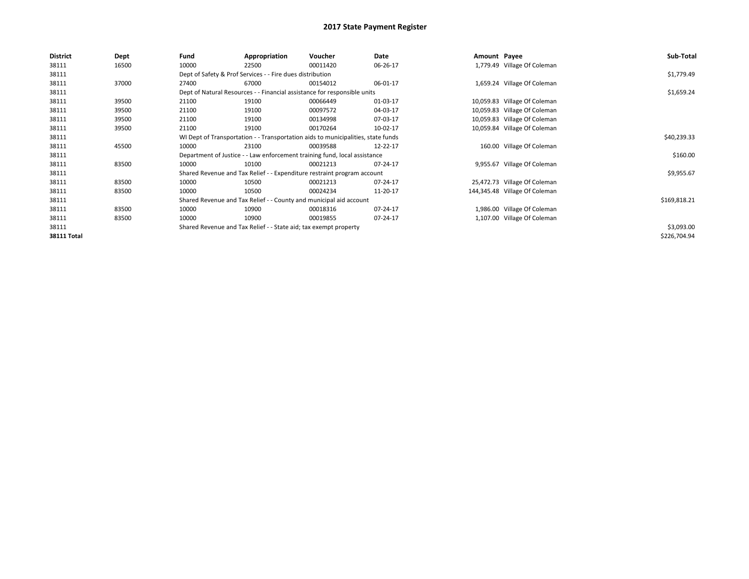| <b>District</b>    | Dept  | Fund  | Appropriation                                                                    | Voucher  | Date     | Amount Payee |                               | Sub-Total    |
|--------------------|-------|-------|----------------------------------------------------------------------------------|----------|----------|--------------|-------------------------------|--------------|
| 38111              | 16500 | 10000 | 22500                                                                            | 00011420 | 06-26-17 |              | 1,779.49 Village Of Coleman   |              |
| 38111              |       |       | Dept of Safety & Prof Services - - Fire dues distribution                        |          |          |              |                               | \$1,779.49   |
| 38111              | 37000 | 27400 | 67000                                                                            | 00154012 | 06-01-17 |              | 1,659.24 Village Of Coleman   |              |
| 38111              |       |       | Dept of Natural Resources - - Financial assistance for responsible units         |          |          |              |                               | \$1,659.24   |
| 38111              | 39500 | 21100 | 19100                                                                            | 00066449 | 01-03-17 |              | 10,059.83 Village Of Coleman  |              |
| 38111              | 39500 | 21100 | 19100                                                                            | 00097572 | 04-03-17 |              | 10,059.83 Village Of Coleman  |              |
| 38111              | 39500 | 21100 | 19100                                                                            | 00134998 | 07-03-17 |              | 10,059.83 Village Of Coleman  |              |
| 38111              | 39500 | 21100 | 19100                                                                            | 00170264 | 10-02-17 |              | 10,059.84 Village Of Coleman  |              |
| 38111              |       |       | WI Dept of Transportation - - Transportation aids to municipalities, state funds |          |          |              |                               | \$40,239.33  |
| 38111              | 45500 | 10000 | 23100                                                                            | 00039588 | 12-22-17 |              | 160.00 Village Of Coleman     |              |
| 38111              |       |       | Department of Justice - - Law enforcement training fund, local assistance        |          |          |              |                               | \$160.00     |
| 38111              | 83500 | 10000 | 10100                                                                            | 00021213 | 07-24-17 |              | 9,955.67 Village Of Coleman   |              |
| 38111              |       |       | Shared Revenue and Tax Relief - - Expenditure restraint program account          |          |          |              |                               | \$9,955.67   |
| 38111              | 83500 | 10000 | 10500                                                                            | 00021213 | 07-24-17 |              | 25,472.73 Village Of Coleman  |              |
| 38111              | 83500 | 10000 | 10500                                                                            | 00024234 | 11-20-17 |              | 144,345.48 Village Of Coleman |              |
| 38111              |       |       | Shared Revenue and Tax Relief - - County and municipal aid account               |          |          |              |                               | \$169,818.21 |
| 38111              | 83500 | 10000 | 10900                                                                            | 00018316 | 07-24-17 |              | 1,986.00 Village Of Coleman   |              |
| 38111              | 83500 | 10000 | 10900                                                                            | 00019855 | 07-24-17 |              | 1,107.00 Village Of Coleman   |              |
| 38111              |       |       | Shared Revenue and Tax Relief - - State aid; tax exempt property                 |          |          |              |                               | \$3,093.00   |
| <b>38111 Total</b> |       |       |                                                                                  |          |          |              |                               | \$226,704.94 |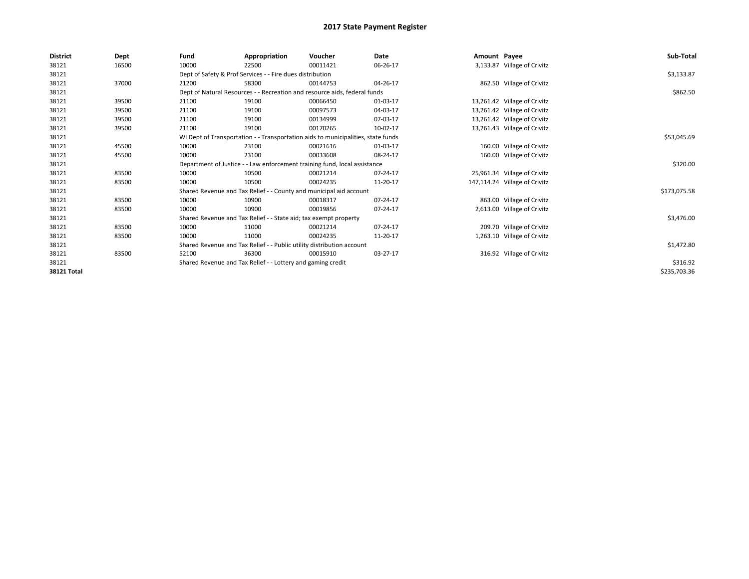| <b>District</b>    | Dept  | Fund  | Appropriation                                                             | Voucher                                                                          | Date           | Amount Payee |                               | Sub-Total    |  |  |
|--------------------|-------|-------|---------------------------------------------------------------------------|----------------------------------------------------------------------------------|----------------|--------------|-------------------------------|--------------|--|--|
| 38121              | 16500 | 10000 | 22500                                                                     | 00011421                                                                         | 06-26-17       |              | 3,133.87 Village of Crivitz   |              |  |  |
| 38121              |       |       | Dept of Safety & Prof Services - - Fire dues distribution                 |                                                                                  |                |              |                               | \$3,133.87   |  |  |
| 38121              | 37000 | 21200 | 58300                                                                     | 00144753                                                                         | 04-26-17       |              | 862.50 Village of Crivitz     |              |  |  |
| 38121              |       |       | Dept of Natural Resources - - Recreation and resource aids, federal funds |                                                                                  |                |              |                               |              |  |  |
| 38121              | 39500 | 21100 | 19100                                                                     | 00066450                                                                         | 01-03-17       |              | 13,261.42 Village of Crivitz  |              |  |  |
| 38121              | 39500 | 21100 | 19100                                                                     | 00097573                                                                         | 04-03-17       |              | 13,261.42 Village of Crivitz  |              |  |  |
| 38121              | 39500 | 21100 | 19100                                                                     | 00134999                                                                         | 07-03-17       |              | 13,261.42 Village of Crivitz  |              |  |  |
| 38121              | 39500 | 21100 | 19100                                                                     | 00170265                                                                         | 10-02-17       |              | 13,261.43 Village of Crivitz  |              |  |  |
| 38121              |       |       |                                                                           | WI Dept of Transportation - - Transportation aids to municipalities, state funds |                |              |                               | \$53,045.69  |  |  |
| 38121              | 45500 | 10000 | 23100                                                                     | 00021616                                                                         | 01-03-17       |              | 160.00 Village of Crivitz     |              |  |  |
| 38121              | 45500 | 10000 | 23100                                                                     | 00033608                                                                         | 08-24-17       |              | 160.00 Village of Crivitz     |              |  |  |
| 38121              |       |       |                                                                           | Department of Justice - - Law enforcement training fund, local assistance        |                |              |                               | \$320.00     |  |  |
| 38121              | 83500 | 10000 | 10500                                                                     | 00021214                                                                         | 07-24-17       |              | 25,961.34 Village of Crivitz  |              |  |  |
| 38121              | 83500 | 10000 | 10500                                                                     | 00024235                                                                         | 11-20-17       |              | 147,114.24 Village of Crivitz |              |  |  |
| 38121              |       |       |                                                                           | Shared Revenue and Tax Relief - - County and municipal aid account               |                |              |                               | \$173,075.58 |  |  |
| 38121              | 83500 | 10000 | 10900                                                                     | 00018317                                                                         | 07-24-17       |              | 863.00 Village of Crivitz     |              |  |  |
| 38121              | 83500 | 10000 | 10900                                                                     | 00019856                                                                         | 07-24-17       |              | 2,613.00 Village of Crivitz   |              |  |  |
| 38121              |       |       | Shared Revenue and Tax Relief - - State aid; tax exempt property          |                                                                                  |                |              |                               | \$3,476.00   |  |  |
| 38121              | 83500 | 10000 | 11000                                                                     | 00021214                                                                         | $07 - 24 - 17$ |              | 209.70 Village of Crivitz     |              |  |  |
| 38121              | 83500 | 10000 | 11000                                                                     | 00024235                                                                         | 11-20-17       |              | 1,263.10 Village of Crivitz   |              |  |  |
| 38121              |       |       | Shared Revenue and Tax Relief - - Public utility distribution account     |                                                                                  |                |              |                               | \$1,472.80   |  |  |
| 38121              | 83500 | 52100 | 36300                                                                     | 00015910                                                                         | 03-27-17       |              | 316.92 Village of Crivitz     |              |  |  |
| 38121              |       |       | Shared Revenue and Tax Relief - - Lottery and gaming credit               |                                                                                  |                |              |                               | \$316.92     |  |  |
| <b>38121 Total</b> |       |       |                                                                           |                                                                                  |                |              |                               | \$235,703.36 |  |  |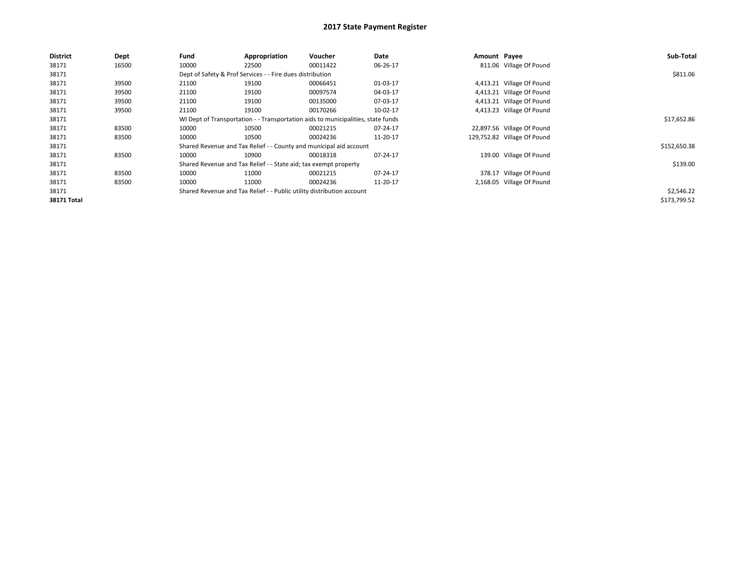| <b>District</b> | Dept  | Fund  | Appropriation                                                                    | Voucher  | Date     | Amount Payee |                             | Sub-Total    |  |  |
|-----------------|-------|-------|----------------------------------------------------------------------------------|----------|----------|--------------|-----------------------------|--------------|--|--|
| 38171           | 16500 | 10000 | 22500                                                                            | 00011422 | 06-26-17 |              | 811.06 Village Of Pound     |              |  |  |
| 38171           |       |       | Dept of Safety & Prof Services - - Fire dues distribution                        |          |          |              |                             |              |  |  |
| 38171           | 39500 | 21100 | 19100                                                                            | 00066451 | 01-03-17 |              | 4,413.21 Village Of Pound   |              |  |  |
| 38171           | 39500 | 21100 | 19100                                                                            | 00097574 | 04-03-17 |              | 4,413.21 Village Of Pound   |              |  |  |
| 38171           | 39500 | 21100 | 19100                                                                            | 00135000 | 07-03-17 |              | 4,413.21 Village Of Pound   |              |  |  |
| 38171           | 39500 | 21100 | 19100                                                                            | 00170266 | 10-02-17 |              | 4,413.23 Village Of Pound   |              |  |  |
| 38171           |       |       | WI Dept of Transportation - - Transportation aids to municipalities, state funds |          |          |              |                             |              |  |  |
| 38171           | 83500 | 10000 | 10500                                                                            | 00021215 | 07-24-17 |              | 22,897.56 Village Of Pound  |              |  |  |
| 38171           | 83500 | 10000 | 10500                                                                            | 00024236 | 11-20-17 |              | 129,752.82 Village Of Pound |              |  |  |
| 38171           |       |       | Shared Revenue and Tax Relief - - County and municipal aid account               |          |          |              |                             | \$152,650.38 |  |  |
| 38171           | 83500 | 10000 | 10900                                                                            | 00018318 | 07-24-17 |              | 139.00 Village Of Pound     |              |  |  |
| 38171           |       |       | Shared Revenue and Tax Relief - - State aid; tax exempt property                 |          |          |              |                             | \$139.00     |  |  |
| 38171           | 83500 | 10000 | 11000                                                                            | 00021215 | 07-24-17 |              | 378.17 Village Of Pound     |              |  |  |
| 38171           | 83500 | 10000 | 11000                                                                            | 00024236 | 11-20-17 |              | 2,168.05 Village Of Pound   |              |  |  |
| 38171           |       |       | Shared Revenue and Tax Relief - - Public utility distribution account            |          |          |              |                             | \$2,546.22   |  |  |
| 38171 Total     |       |       |                                                                                  |          |          |              |                             | \$173,799.52 |  |  |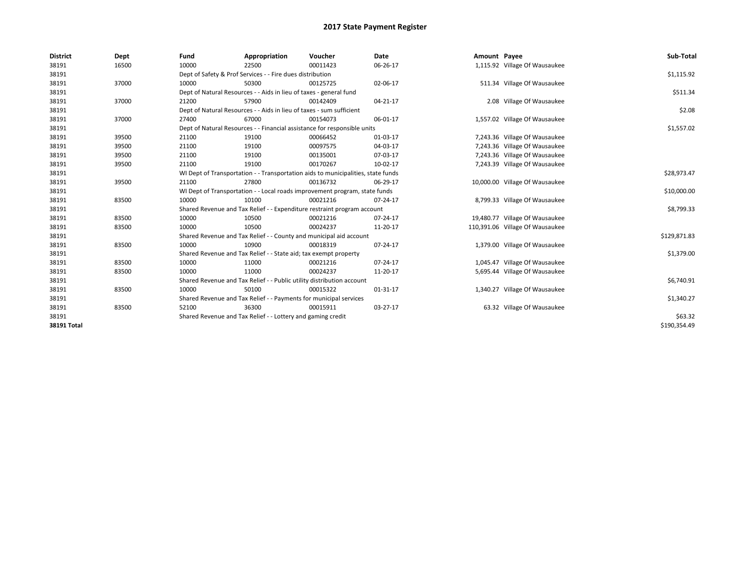| <b>District</b> | Dept  | Fund  | Appropriation                                                                    | Voucher  | <b>Date</b> | Amount Payee |                                 | Sub-Total    |  |  |
|-----------------|-------|-------|----------------------------------------------------------------------------------|----------|-------------|--------------|---------------------------------|--------------|--|--|
| 38191           | 16500 | 10000 | 22500                                                                            | 00011423 | 06-26-17    |              | 1,115.92 Village Of Wausaukee   |              |  |  |
| 38191           |       |       | Dept of Safety & Prof Services - - Fire dues distribution                        |          |             |              |                                 | \$1,115.92   |  |  |
| 38191           | 37000 | 10000 | 50300                                                                            | 00125725 | 02-06-17    |              | 511.34 Village Of Wausaukee     |              |  |  |
| 38191           |       |       | Dept of Natural Resources - - Aids in lieu of taxes - general fund               |          |             |              |                                 |              |  |  |
| 38191           | 37000 | 21200 | 57900                                                                            | 00142409 | 04-21-17    |              | 2.08 Village Of Wausaukee       |              |  |  |
| 38191           |       |       | Dept of Natural Resources - - Aids in lieu of taxes - sum sufficient             |          |             |              |                                 | \$2.08       |  |  |
| 38191           | 37000 | 27400 | 67000                                                                            | 00154073 | 06-01-17    |              | 1,557.02 Village Of Wausaukee   |              |  |  |
| 38191           |       |       | Dept of Natural Resources - - Financial assistance for responsible units         |          |             |              |                                 | \$1,557.02   |  |  |
| 38191           | 39500 | 21100 | 19100                                                                            | 00066452 | 01-03-17    |              | 7,243.36 Village Of Wausaukee   |              |  |  |
| 38191           | 39500 | 21100 | 19100                                                                            | 00097575 | 04-03-17    |              | 7,243.36 Village Of Wausaukee   |              |  |  |
| 38191           | 39500 | 21100 | 19100                                                                            | 00135001 | 07-03-17    |              | 7,243.36 Village Of Wausaukee   |              |  |  |
| 38191           | 39500 | 21100 | 19100                                                                            | 00170267 | 10-02-17    |              | 7,243.39 Village Of Wausaukee   |              |  |  |
| 38191           |       |       | WI Dept of Transportation - - Transportation aids to municipalities, state funds |          |             |              |                                 | \$28,973.47  |  |  |
| 38191           | 39500 | 21100 | 27800                                                                            | 00136732 | 06-29-17    |              | 10,000.00 Village Of Wausaukee  |              |  |  |
| 38191           |       |       | WI Dept of Transportation - - Local roads improvement program, state funds       |          |             |              |                                 | \$10,000.00  |  |  |
| 38191           | 83500 | 10000 | 10100                                                                            | 00021216 | 07-24-17    |              | 8,799.33 Village Of Wausaukee   |              |  |  |
| 38191           |       |       | Shared Revenue and Tax Relief - - Expenditure restraint program account          |          |             |              |                                 | \$8,799.33   |  |  |
| 38191           | 83500 | 10000 | 10500                                                                            | 00021216 | 07-24-17    |              | 19,480.77 Village Of Wausaukee  |              |  |  |
| 38191           | 83500 | 10000 | 10500                                                                            | 00024237 | 11-20-17    |              | 110,391.06 Village Of Wausaukee |              |  |  |
| 38191           |       |       | Shared Revenue and Tax Relief - - County and municipal aid account               |          |             |              |                                 | \$129,871.83 |  |  |
| 38191           | 83500 | 10000 | 10900                                                                            | 00018319 | 07-24-17    |              | 1,379.00 Village Of Wausaukee   |              |  |  |
| 38191           |       |       | Shared Revenue and Tax Relief - - State aid; tax exempt property                 |          |             |              |                                 | \$1,379.00   |  |  |
| 38191           | 83500 | 10000 | 11000                                                                            | 00021216 | 07-24-17    |              | 1,045.47 Village Of Wausaukee   |              |  |  |
| 38191           | 83500 | 10000 | 11000                                                                            | 00024237 | 11-20-17    |              | 5,695.44 Village Of Wausaukee   |              |  |  |
| 38191           |       |       | Shared Revenue and Tax Relief - - Public utility distribution account            |          |             |              |                                 | \$6,740.91   |  |  |
| 38191           | 83500 | 10000 | 50100                                                                            | 00015322 | 01-31-17    |              | 1,340.27 Village Of Wausaukee   |              |  |  |
| 38191           |       |       | Shared Revenue and Tax Relief - - Payments for municipal services                |          |             |              |                                 | \$1,340.27   |  |  |
| 38191           | 83500 | 52100 | 36300                                                                            | 00015911 | 03-27-17    |              | 63.32 Village Of Wausaukee      |              |  |  |
| 38191           |       |       | Shared Revenue and Tax Relief - - Lottery and gaming credit                      |          |             |              |                                 | \$63.32      |  |  |
| 38191 Total     |       |       |                                                                                  |          |             |              |                                 | \$190,354.49 |  |  |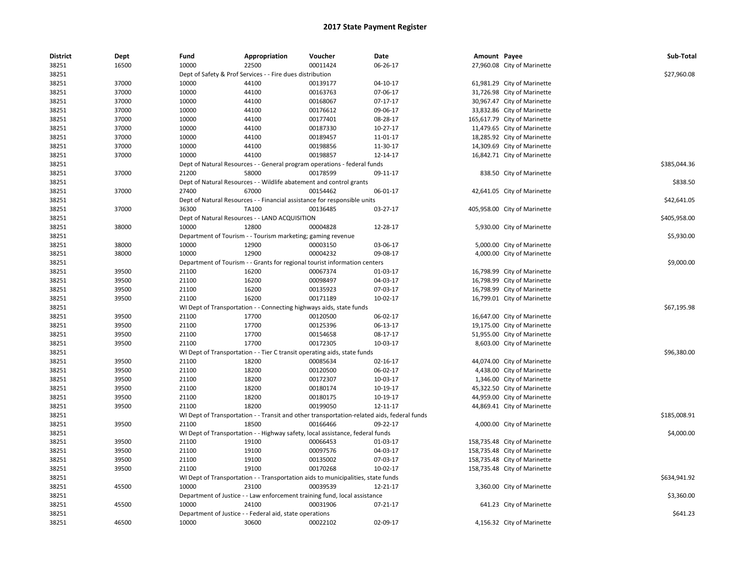| <b>District</b> | Dept           | Fund           | Appropriation                                                                              | Voucher  | Date           | Amount Payee |                              | Sub-Total    |
|-----------------|----------------|----------------|--------------------------------------------------------------------------------------------|----------|----------------|--------------|------------------------------|--------------|
| 38251           | 16500          | 10000          | 22500                                                                                      | 00011424 | 06-26-17       |              | 27,960.08 City of Marinette  |              |
| 38251           |                |                | Dept of Safety & Prof Services - - Fire dues distribution                                  |          |                |              |                              | \$27,960.08  |
| 38251           | 37000          | 10000          | 44100                                                                                      | 00139177 | 04-10-17       |              | 61,981.29 City of Marinette  |              |
| 38251           | 37000          | 10000          | 44100                                                                                      | 00163763 | 07-06-17       |              | 31,726.98 City of Marinette  |              |
| 38251           | 37000          | 10000          | 44100                                                                                      | 00168067 | 07-17-17       |              | 30,967.47 City of Marinette  |              |
| 38251           | 37000          | 10000          | 44100                                                                                      | 00176612 | 09-06-17       |              | 33,832.86 City of Marinette  |              |
| 38251           | 37000          | 10000          | 44100                                                                                      | 00177401 | 08-28-17       |              | 165,617.79 City of Marinette |              |
| 38251           | 37000          | 10000          | 44100                                                                                      | 00187330 | 10-27-17       |              | 11,479.65 City of Marinette  |              |
| 38251           | 37000          | 10000          | 44100                                                                                      | 00189457 | 11-01-17       |              | 18,285.92 City of Marinette  |              |
| 38251           | 37000          | 10000          | 44100                                                                                      | 00198856 | 11-30-17       |              | 14,309.69 City of Marinette  |              |
| 38251           | 37000          | 10000          | 44100                                                                                      | 00198857 | 12-14-17       |              | 16,842.71 City of Marinette  |              |
| 38251           |                |                | Dept of Natural Resources - - General program operations - federal funds                   |          |                |              |                              | \$385,044.36 |
| 38251           | 37000          | 21200          | 58000                                                                                      | 00178599 | 09-11-17       |              | 838.50 City of Marinette     |              |
| 38251           |                |                | Dept of Natural Resources - - Wildlife abatement and control grants                        |          |                |              |                              | \$838.50     |
| 38251           | 37000          | 27400          | 67000                                                                                      | 00154462 | 06-01-17       |              | 42,641.05 City of Marinette  |              |
| 38251           |                |                | Dept of Natural Resources - - Financial assistance for responsible units                   |          |                |              |                              | \$42,641.05  |
| 38251           | 37000          | 36300          | TA100                                                                                      | 00136485 | 03-27-17       |              | 405,958.00 City of Marinette |              |
| 38251           |                |                | Dept of Natural Resources - - LAND ACQUISITION                                             |          |                |              |                              | \$405,958.00 |
| 38251           | 38000          | 10000          | 12800                                                                                      | 00004828 | 12-28-17       |              | 5,930.00 City of Marinette   |              |
| 38251           |                |                | Department of Tourism - - Tourism marketing; gaming revenue                                |          |                |              |                              | \$5,930.00   |
| 38251           | 38000          | 10000          | 12900                                                                                      | 00003150 | 03-06-17       |              | 5,000.00 City of Marinette   |              |
| 38251           | 38000          | 10000          | 12900                                                                                      | 00004232 | 09-08-17       |              | 4,000.00 City of Marinette   |              |
| 38251           |                |                | Department of Tourism - - Grants for regional tourist information centers                  |          |                |              |                              | \$9,000.00   |
| 38251           | 39500          | 21100          | 16200                                                                                      | 00067374 | 01-03-17       |              | 16,798.99 City of Marinette  |              |
| 38251           | 39500          | 21100          | 16200                                                                                      | 00098497 | 04-03-17       |              | 16,798.99 City of Marinette  |              |
| 38251           | 39500          | 21100          | 16200                                                                                      | 00135923 | 07-03-17       |              | 16,798.99 City of Marinette  |              |
| 38251           | 39500          | 21100          | 16200                                                                                      | 00171189 | 10-02-17       |              | 16,799.01 City of Marinette  |              |
| 38251           |                |                | WI Dept of Transportation - - Connecting highways aids, state funds                        |          |                |              |                              | \$67,195.98  |
| 38251           | 39500          | 21100          | 17700                                                                                      | 00120500 | 06-02-17       |              | 16,647.00 City of Marinette  |              |
| 38251           | 39500          | 21100          | 17700                                                                                      | 00125396 | 06-13-17       |              | 19,175.00 City of Marinette  |              |
| 38251           | 39500          | 21100          | 17700                                                                                      | 00154658 | 08-17-17       |              | 51,955.00 City of Marinette  |              |
| 38251           | 39500          | 21100          | 17700                                                                                      | 00172305 | 10-03-17       |              | 8,603.00 City of Marinette   |              |
| 38251           |                |                | WI Dept of Transportation - - Tier C transit operating aids, state funds                   |          |                |              |                              | \$96,380.00  |
| 38251           | 39500          | 21100          | 18200                                                                                      | 00085634 | 02-16-17       |              | 44,074.00 City of Marinette  |              |
| 38251           | 39500          | 21100          | 18200                                                                                      | 00120500 | 06-02-17       |              | 4,438.00 City of Marinette   |              |
| 38251           | 39500          | 21100          | 18200                                                                                      | 00172307 | 10-03-17       |              | 1,346.00 City of Marinette   |              |
| 38251           | 39500          | 21100          | 18200                                                                                      | 00180174 | 10-19-17       |              | 45,322.50 City of Marinette  |              |
|                 |                |                | 18200                                                                                      | 00180175 | 10-19-17       |              |                              |              |
| 38251<br>38251  | 39500<br>39500 | 21100<br>21100 | 18200                                                                                      | 00199050 | 12-11-17       |              | 44,959.00 City of Marinette  |              |
|                 |                |                | WI Dept of Transportation - - Transit and other transportation-related aids, federal funds |          |                |              | 44,869.41 City of Marinette  | \$185,008.91 |
| 38251           |                |                |                                                                                            |          |                |              |                              |              |
| 38251           | 39500          | 21100          | 18500                                                                                      | 00166466 | 09-22-17       |              | 4,000.00 City of Marinette   |              |
| 38251           |                |                | WI Dept of Transportation - - Highway safety, local assistance, federal funds              |          |                |              |                              | \$4,000.00   |
| 38251           | 39500          | 21100          | 19100                                                                                      | 00066453 | 01-03-17       |              | 158,735.48 City of Marinette |              |
| 38251           | 39500          | 21100          | 19100                                                                                      | 00097576 | 04-03-17       |              | 158,735.48 City of Marinette |              |
| 38251           | 39500          | 21100          | 19100                                                                                      | 00135002 | 07-03-17       |              | 158,735.48 City of Marinette |              |
| 38251           | 39500          | 21100          | 19100                                                                                      | 00170268 | 10-02-17       |              | 158,735.48 City of Marinette |              |
| 38251           |                |                | WI Dept of Transportation - - Transportation aids to municipalities, state funds           |          |                |              |                              | \$634,941.92 |
| 38251           | 45500          | 10000          | 23100                                                                                      | 00039539 | 12-21-17       |              | 3,360.00 City of Marinette   |              |
| 38251           |                |                | Department of Justice - - Law enforcement training fund, local assistance                  |          |                |              |                              | \$3,360.00   |
| 38251           | 45500          | 10000          | 24100                                                                                      | 00031906 | $07 - 21 - 17$ |              | 641.23 City of Marinette     |              |
| 38251           |                |                | Department of Justice - - Federal aid, state operations                                    |          |                |              |                              | \$641.23     |
| 38251           | 46500          | 10000          | 30600                                                                                      | 00022102 | 02-09-17       |              | 4,156.32 City of Marinette   |              |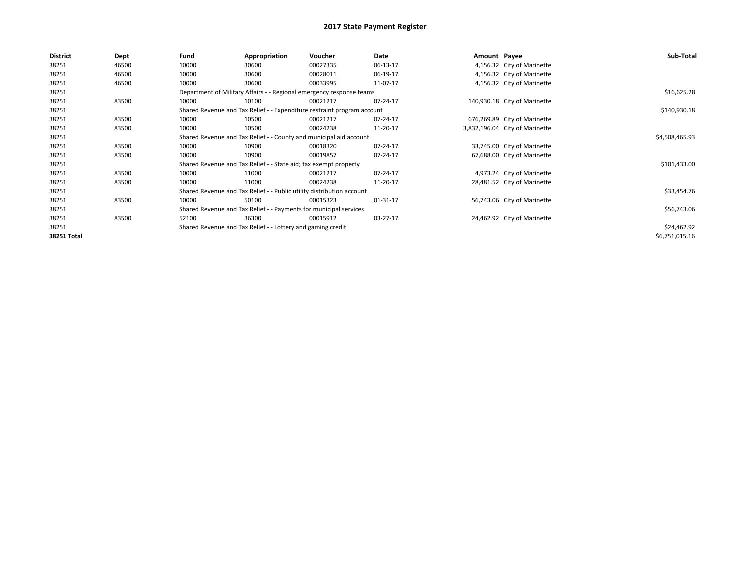| <b>District</b> | Dept  | Fund                                                               | Appropriation                                                           | Voucher        | Date     | Amount Payee |                                | Sub-Total      |
|-----------------|-------|--------------------------------------------------------------------|-------------------------------------------------------------------------|----------------|----------|--------------|--------------------------------|----------------|
| 38251           | 46500 | 10000                                                              | 30600                                                                   | 00027335       | 06-13-17 |              | 4,156.32 City of Marinette     |                |
| 38251           | 46500 | 10000                                                              | 30600                                                                   | 00028011       | 06-19-17 |              | 4,156.32 City of Marinette     |                |
| 38251           | 46500 | 10000                                                              | 30600                                                                   | 00033995       | 11-07-17 |              | 4,156.32 City of Marinette     |                |
| 38251           |       |                                                                    | Department of Military Affairs - - Regional emergency response teams    |                |          |              |                                | \$16,625.28    |
| 38251           | 83500 | 10000                                                              | 10100                                                                   | 00021217       | 07-24-17 |              | 140,930.18 City of Marinette   |                |
| 38251           |       |                                                                    | Shared Revenue and Tax Relief - - Expenditure restraint program account |                |          |              |                                | \$140,930.18   |
| 38251           | 83500 | 10000                                                              | 10500                                                                   | 00021217       | 07-24-17 |              | 676,269.89 City of Marinette   |                |
| 38251           | 83500 | 10000                                                              | 10500                                                                   | 00024238       | 11-20-17 |              | 3,832,196.04 City of Marinette |                |
| 38251           |       | Shared Revenue and Tax Relief - - County and municipal aid account |                                                                         | \$4,508,465.93 |          |              |                                |                |
| 38251           | 83500 | 10000                                                              | 10900                                                                   | 00018320       | 07-24-17 |              | 33,745.00 City of Marinette    |                |
| 38251           | 83500 | 10000                                                              | 10900                                                                   | 00019857       | 07-24-17 |              | 67,688.00 City of Marinette    |                |
| 38251           |       |                                                                    | Shared Revenue and Tax Relief - - State aid; tax exempt property        |                |          |              |                                | \$101,433.00   |
| 38251           | 83500 | 10000                                                              | 11000                                                                   | 00021217       | 07-24-17 |              | 4,973.24 City of Marinette     |                |
| 38251           | 83500 | 10000                                                              | 11000                                                                   | 00024238       | 11-20-17 |              | 28,481.52 City of Marinette    |                |
| 38251           |       |                                                                    | Shared Revenue and Tax Relief - - Public utility distribution account   |                |          |              |                                | \$33,454.76    |
| 38251           | 83500 | 10000                                                              | 50100                                                                   | 00015323       | 01-31-17 |              | 56,743.06 City of Marinette    |                |
| 38251           |       |                                                                    | Shared Revenue and Tax Relief - - Payments for municipal services       |                |          |              |                                | \$56,743.06    |
| 38251           | 83500 | 52100                                                              | 36300                                                                   | 00015912       | 03-27-17 |              | 24,462.92 City of Marinette    |                |
| 38251           |       |                                                                    | Shared Revenue and Tax Relief - - Lottery and gaming credit             |                |          |              |                                | \$24,462.92    |
| 38251 Total     |       |                                                                    |                                                                         |                |          |              |                                | \$6,751,015.16 |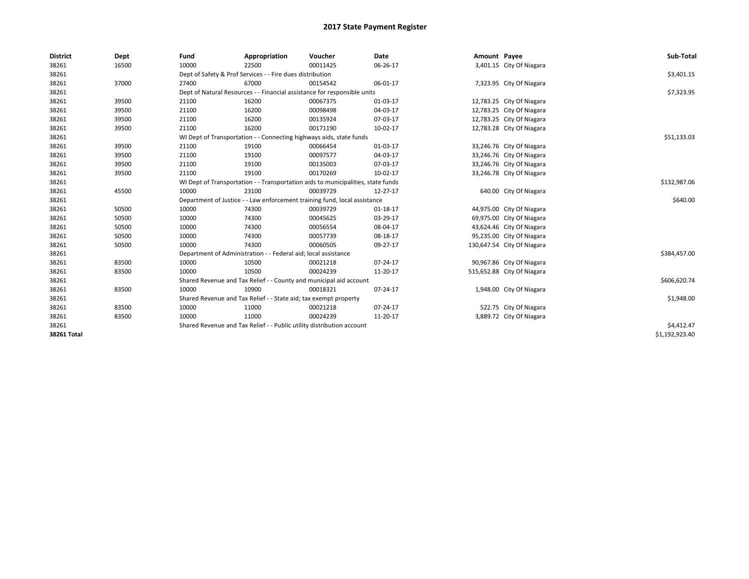| <b>District</b> | Dept  | Fund  | Appropriation                                                                    | Voucher  | Date     | Amount Payee |                            | Sub-Total      |  |  |
|-----------------|-------|-------|----------------------------------------------------------------------------------|----------|----------|--------------|----------------------------|----------------|--|--|
| 38261           | 16500 | 10000 | 22500                                                                            | 00011425 | 06-26-17 |              | 3,401.15 City Of Niagara   |                |  |  |
| 38261           |       |       | Dept of Safety & Prof Services - - Fire dues distribution                        |          |          |              |                            | \$3,401.15     |  |  |
| 38261           | 37000 | 27400 | 67000                                                                            | 00154542 | 06-01-17 |              | 7,323.95 City Of Niagara   |                |  |  |
| 38261           |       |       | Dept of Natural Resources - - Financial assistance for responsible units         |          |          |              |                            | \$7,323.95     |  |  |
| 38261           | 39500 | 21100 | 16200                                                                            | 00067375 | 01-03-17 |              | 12,783.25 City Of Niagara  |                |  |  |
| 38261           | 39500 | 21100 | 16200                                                                            | 00098498 | 04-03-17 |              | 12,783.25 City Of Niagara  |                |  |  |
| 38261           | 39500 | 21100 | 16200                                                                            | 00135924 | 07-03-17 |              | 12,783.25 City Of Niagara  |                |  |  |
| 38261           | 39500 | 21100 | 16200                                                                            | 00171190 | 10-02-17 |              | 12,783.28 City Of Niagara  |                |  |  |
| 38261           |       |       | WI Dept of Transportation - - Connecting highways aids, state funds              |          |          |              |                            | \$51,133.03    |  |  |
| 38261           | 39500 | 21100 | 19100                                                                            | 00066454 | 01-03-17 |              | 33,246.76 City Of Niagara  |                |  |  |
| 38261           | 39500 | 21100 | 19100                                                                            | 00097577 | 04-03-17 |              | 33,246.76 City Of Niagara  |                |  |  |
| 38261           | 39500 | 21100 | 19100                                                                            | 00135003 | 07-03-17 |              | 33,246.76 City Of Niagara  |                |  |  |
| 38261           | 39500 | 21100 | 19100                                                                            | 00170269 | 10-02-17 |              | 33,246.78 City Of Niagara  |                |  |  |
| 38261           |       |       | WI Dept of Transportation - - Transportation aids to municipalities, state funds |          |          |              |                            |                |  |  |
| 38261           | 45500 | 10000 | 23100                                                                            | 00039729 | 12-27-17 |              | 640.00 City Of Niagara     |                |  |  |
| 38261           |       |       | Department of Justice - - Law enforcement training fund, local assistance        |          |          |              |                            | \$640.00       |  |  |
| 38261           | 50500 | 10000 | 74300                                                                            | 00039729 | 01-18-17 |              | 44,975.00 City Of Niagara  |                |  |  |
| 38261           | 50500 | 10000 | 74300                                                                            | 00045625 | 03-29-17 |              | 69,975.00 City Of Niagara  |                |  |  |
| 38261           | 50500 | 10000 | 74300                                                                            | 00056554 | 08-04-17 |              | 43,624.46 City Of Niagara  |                |  |  |
| 38261           | 50500 | 10000 | 74300                                                                            | 00057739 | 08-18-17 |              | 95,235.00 City Of Niagara  |                |  |  |
| 38261           | 50500 | 10000 | 74300                                                                            | 00060505 | 09-27-17 |              | 130,647.54 City Of Niagara |                |  |  |
| 38261           |       |       | Department of Administration - - Federal aid; local assistance                   |          |          |              |                            | \$384,457.00   |  |  |
| 38261           | 83500 | 10000 | 10500                                                                            | 00021218 | 07-24-17 |              | 90,967.86 City Of Niagara  |                |  |  |
| 38261           | 83500 | 10000 | 10500                                                                            | 00024239 | 11-20-17 |              | 515,652.88 City Of Niagara |                |  |  |
| 38261           |       |       | Shared Revenue and Tax Relief - - County and municipal aid account               |          |          |              |                            | \$606,620.74   |  |  |
| 38261           | 83500 | 10000 | 10900                                                                            | 00018321 | 07-24-17 |              | 1,948.00 City Of Niagara   |                |  |  |
| 38261           |       |       | Shared Revenue and Tax Relief - - State aid; tax exempt property                 |          |          |              |                            | \$1,948.00     |  |  |
| 38261           | 83500 | 10000 | 11000                                                                            | 00021218 | 07-24-17 |              | 522.75 City Of Niagara     |                |  |  |
| 38261           | 83500 | 10000 | 11000                                                                            | 00024239 | 11-20-17 |              | 3,889.72 City Of Niagara   |                |  |  |
| 38261           |       |       | Shared Revenue and Tax Relief - - Public utility distribution account            |          |          |              |                            | \$4,412.47     |  |  |
| 38261 Total     |       |       |                                                                                  |          |          |              |                            | \$1,192,923.40 |  |  |